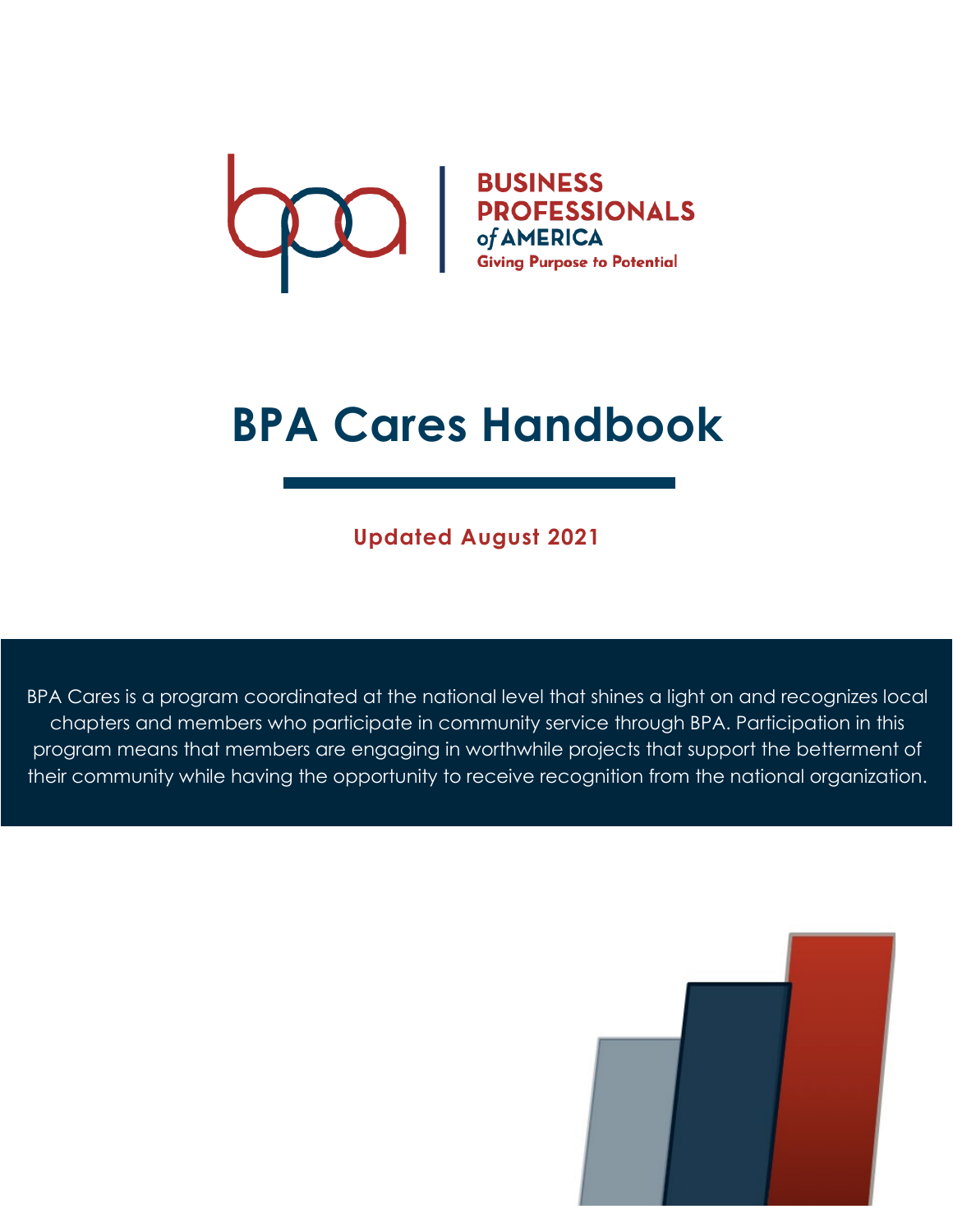

# **BPA Cares Handbook**

**Updated August 2021**

BPA Cares is a program coordinated at the national level that shines a light on and recognizes local chapters and members who participate in community service through BPA. Participation in this program means that members are engaging in worthwhile projects that support the betterment of their community while having the opportunity to receive recognition from the national organization.

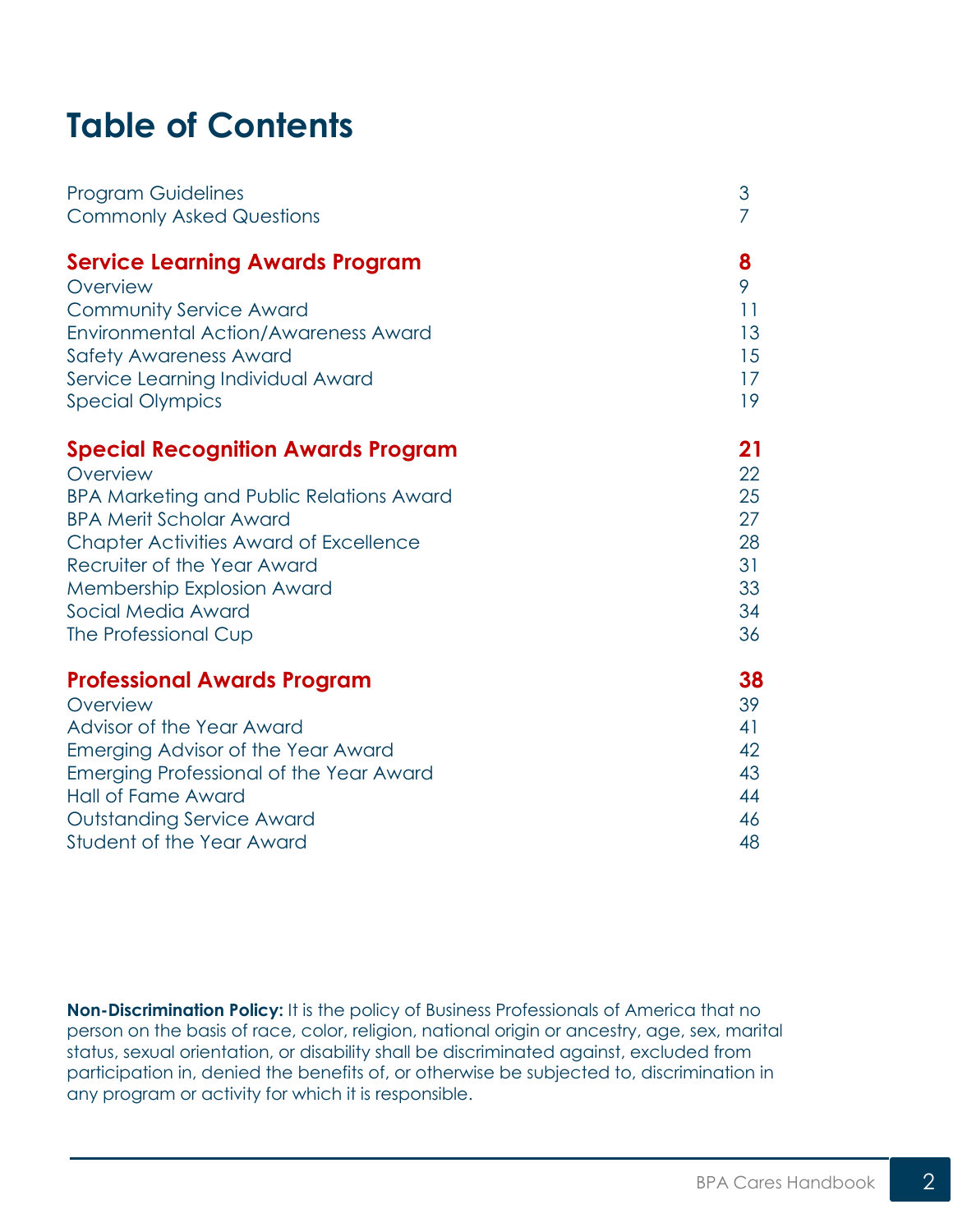## **Table of Contents**

| <b>Program Guidelines</b>                       | 3  |
|-------------------------------------------------|----|
| <b>Commonly Asked Questions</b>                 | 7  |
| <b>Service Learning Awards Program</b>          | 8  |
| Overview                                        | 9  |
| <b>Community Service Award</b>                  | 11 |
| <b>Environmental Action/Awareness Award</b>     | 13 |
| <b>Safety Awareness Award</b>                   | 15 |
| Service Learning Individual Award               | 17 |
| <b>Special Olympics</b>                         | 19 |
| <b>Special Recognition Awards Program</b>       | 21 |
| Overview                                        | 22 |
| <b>BPA Marketing and Public Relations Award</b> | 25 |
| <b>BPA Merit Scholar Award</b>                  | 27 |
| <b>Chapter Activities Award of Excellence</b>   | 28 |
| Recruiter of the Year Award                     | 31 |
| <b>Membership Explosion Award</b>               | 33 |
| Social Media Award                              | 34 |
| The Professional Cup                            | 36 |
| <b>Professional Awards Program</b>              | 38 |
| Overview                                        | 39 |
| Advisor of the Year Award                       | 41 |
| Emerging Advisor of the Year Award              | 42 |
| Emerging Professional of the Year Award         | 43 |
| <b>Hall of Fame Award</b>                       | 44 |
| <b>Outstanding Service Award</b>                | 46 |
| <b>Student of the Year Award</b>                | 48 |

**Non-Discrimination Policy:** It is the policy of Business Professionals of America that no person on the basis of race, color, religion, national origin or ancestry, age, sex, marital status, sexual orientation, or disability shall be discriminated against, excluded from participation in, denied the benefits of, or otherwise be subjected to, discrimination in any program or activity for which it is responsible.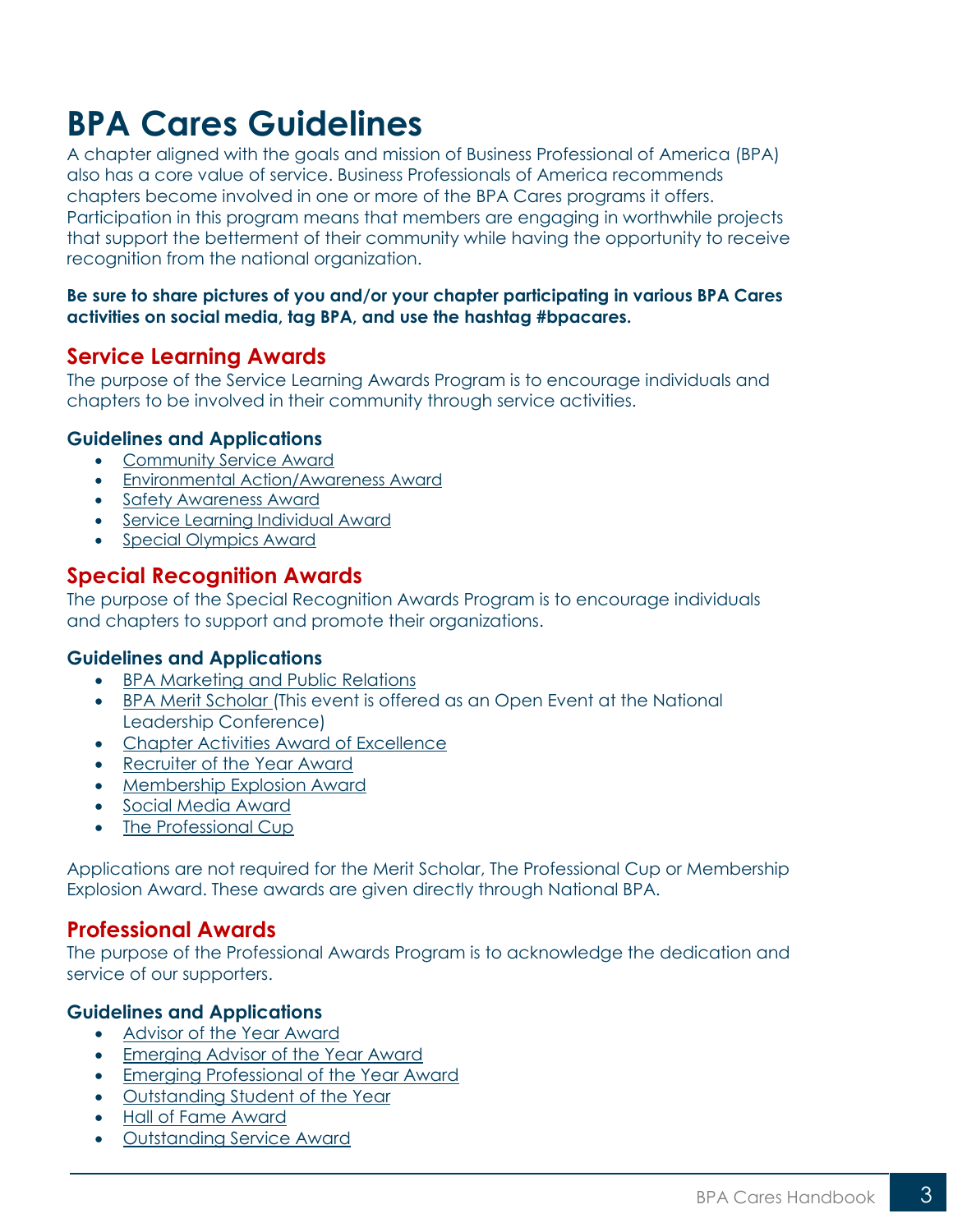## <span id="page-2-0"></span>**BPA Cares Guidelines**

A chapter aligned with the goals and mission of Business Professional of America (BPA) also has a core value of service. Business Professionals of America recommends chapters become involved in one or more of the BPA Cares programs it offers. Participation in this program means that members are engaging in worthwhile projects that support the betterment of their community while having the opportunity to receive recognition from the national organization.

#### **Be sure to share pictures of you and/or your chapter participating in various BPA Cares activities on social media, tag BPA, and use the hashtag #bpacares.**

### **Service Learning Awards**

The purpose of the Service Learning Awards Program is to encourage individuals and chapters to be involved in their community through service activities.

#### **Guidelines and Applications**

- [Community Service Award](https://bpa.org/students/bpa-cares/community-service-award/)
- [Environmental Action/Awareness Award](https://bpa.org/students/bpa-cares/environmental-action-awareness-award/)
- [Safety Awareness Award](https://bpa.org/students/bpa-cares/safety-awareness-award/)
- [Service Learning Individual Award](https://bpa.org/students/bpa-cares/service-learning-individual-award/)
- [Special Olympics Award](https://bpa.org/students/bpa-cares/special-olympics-award/)

## **Special Recognition Awards**

The purpose of the Special Recognition Awards Program is to encourage individuals and chapters to support and promote their organizations.

#### **Guidelines and Applications**

- [BPA Marketing and Public Relations](https://bpa.org/students/bpa-cares/marketing-and-public-relations/)
- [BPA Merit Scholar](https://bpa.org/students/bpa-cares/bpa-merit-scholar-award/) (This event is offered as an Open Event at the National Leadership Conference)
- [Chapter Activities Award of Excellence](https://bpa.org/students/bpa-cares/chapter-activities-award-of-excellence/)
- [Recruiter of the Year Award](https://bpa.org/students/bpa-cares/recruiter-of-the-year-award/)
- [Membership Explosion Award](https://bpa.org/students/bpa-cares/membership-explosion-award/)
- [Social Media Award](https://bpa.org/students/bpa-cares/social-media-award/)
- [The Professional Cup](https://bpa.org/students/bpa-cares/professional-cup-award/)

Applications are not required for the Merit Scholar, The Professional Cup or Membership Explosion Award. These awards are given directly through National BPA.

#### **Professional Awards**

The purpose of the Professional Awards Program is to acknowledge the dedication and service of our supporters.

#### **Guidelines and Applications**

- [Advisor of the Year Award](https://bpa.org/students/bpa-cares/advisor-of-the-year-award/)
- [Emerging Advisor of the Year Award](https://bpa.org/students/bpa-cares/emerging-advisor-of-the-year-award/)
- [Emerging Professional of the Year Award](https://bpa.org/students/bpa-cares/emerging-professional-of-the-year-award/)
- [Outstanding Student of the Year](https://bpa.org/students/bpa-cares/student-of-the-year-award/)
- [Hall of Fame Award](https://bpa.org/students/bpa-cares/hall-of-fame/)
- [Outstanding Service Award](https://bpa.org/students/bpa-cares/outstanding-service-award/)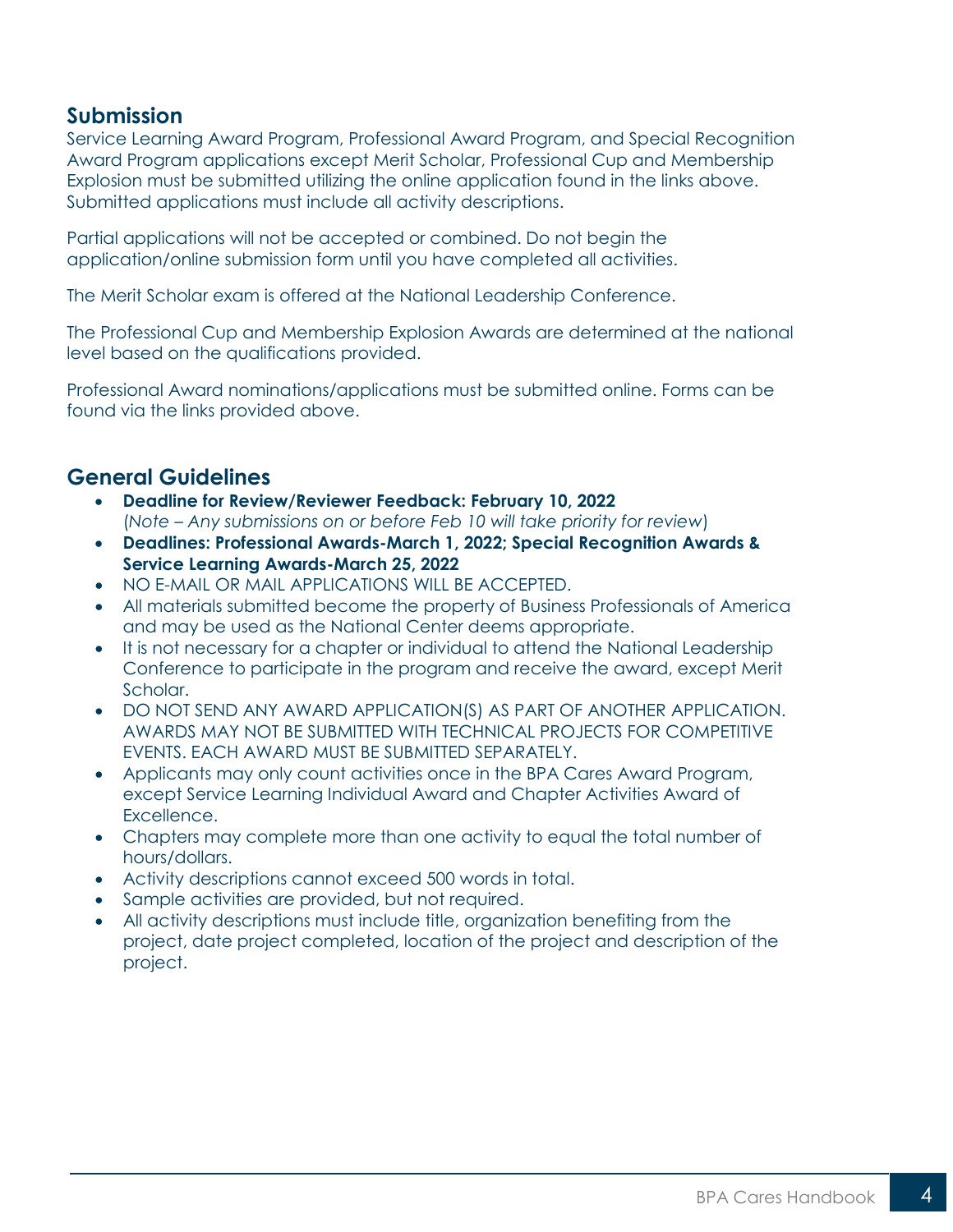### **Submission**

Service Learning Award Program, Professional Award Program, and Special Recognition Award Program applications except Merit Scholar, Professional Cup and Membership Explosion must be submitted utilizing the online application found in the links above. Submitted applications must include all activity descriptions.

Partial applications will not be accepted or combined. Do not begin the application/online submission form until you have completed all activities.

The Merit Scholar exam is offered at the National Leadership Conference.

The Professional Cup and Membership Explosion Awards are determined at the national level based on the qualifications provided.

Professional Award nominations/applications must be submitted online. Forms can be found via the links provided above.

#### **General Guidelines**

- **Deadline for Review/Reviewer Feedback: February 10, 2022** (*Note – Any submissions on or before Feb 10 will take priority for review*)
- **Deadlines: Professional Awards-March 1, 2022; Special Recognition Awards & Service Learning Awards-March 25, 2022**
- NO E-MAIL OR MAIL APPLICATIONS WILL BE ACCEPTED.
- All materials submitted become the property of Business Professionals of America and may be used as the National Center deems appropriate.
- It is not necessary for a chapter or individual to attend the National Leadership Conference to participate in the program and receive the award, except Merit Scholar.
- DO NOT SEND ANY AWARD APPLICATION(S) AS PART OF ANOTHER APPLICATION. AWARDS MAY NOT BE SUBMITTED WITH TECHNICAL PROJECTS FOR COMPETITIVE EVENTS. EACH AWARD MUST BE SUBMITTED SEPARATELY.
- Applicants may only count activities once in the BPA Cares Award Program, except Service Learning Individual Award and Chapter Activities Award of Excellence.
- Chapters may complete more than one activity to equal the total number of hours/dollars.
- Activity descriptions cannot exceed 500 words in total.
- Sample activities are provided, but not required.
- All activity descriptions must include title, organization benefiting from the project, date project completed, location of the project and description of the project.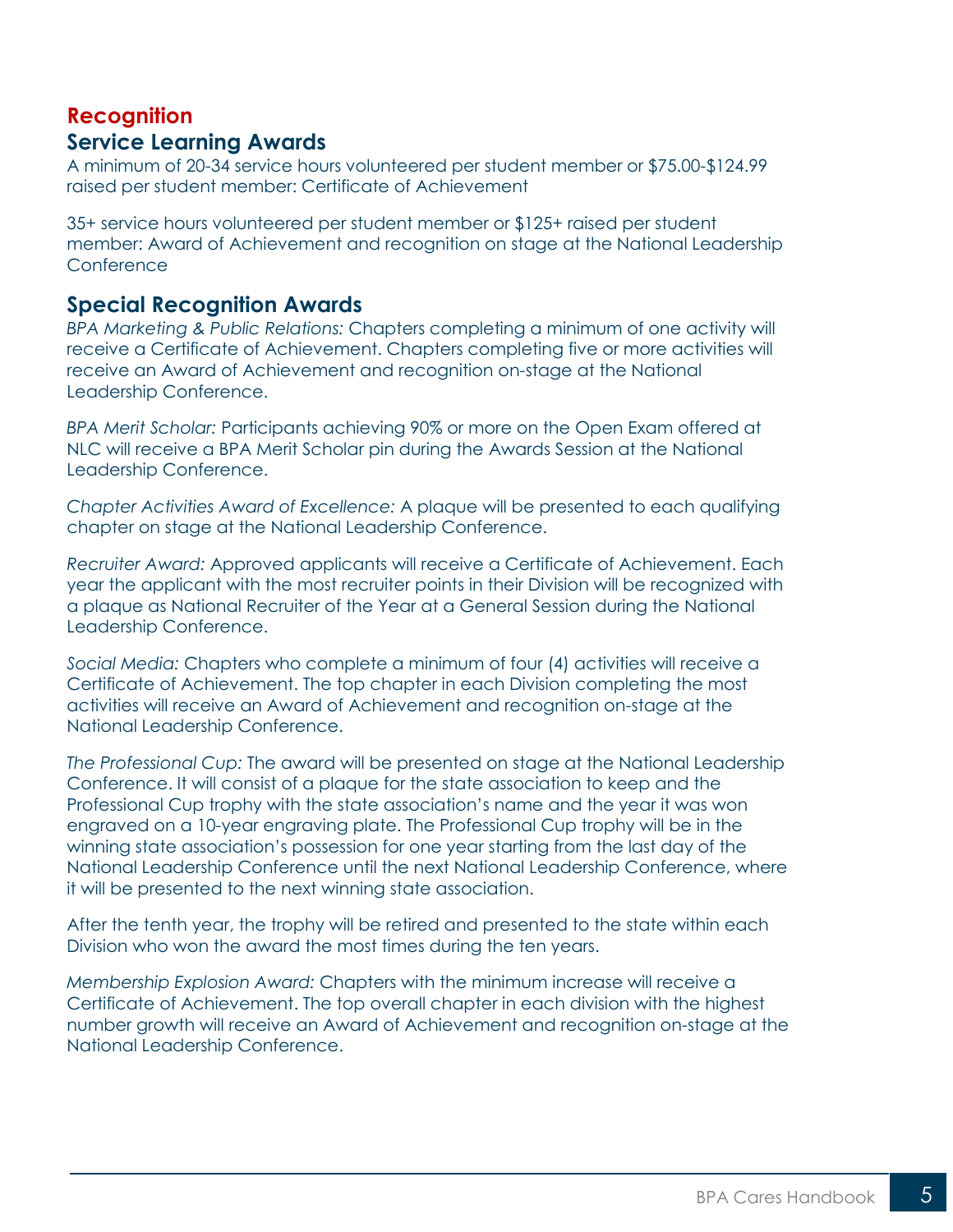## **Recognition Service Learning Awards**

A minimum of 20-34 service hours volunteered per student member or \$75.00-\$124.99 raised per student member: Certificate of Achievement

35+ service hours volunteered per student member or \$125+ raised per student member: Award of Achievement and recognition on stage at the National Leadership **Conference** 

#### **Special Recognition Awards**

*BPA Marketing & Public Relations:* Chapters completing a minimum of one activity will receive a Certificate of Achievement. Chapters completing five or more activities will receive an Award of Achievement and recognition on-stage at the National Leadership Conference.

*BPA Merit Scholar:* Participants achieving 90% or more on the Open Exam offered at NLC will receive a BPA Merit Scholar pin during the Awards Session at the National Leadership Conference.

*Chapter Activities Award of Excellence:* A plaque will be presented to each qualifying chapter on stage at the National Leadership Conference.

*Recruiter Award:* Approved applicants will receive a Certificate of Achievement. Each year the applicant with the most recruiter points in their Division will be recognized with a plaque as National Recruiter of the Year at a General Session during the National Leadership Conference.

*Social Media:* Chapters who complete a minimum of four (4) activities will receive a Certificate of Achievement. The top chapter in each Division completing the most activities will receive an Award of Achievement and recognition on-stage at the National Leadership Conference.

*The Professional Cup:* The award will be presented on stage at the National Leadership Conference. It will consist of a plaque for the state association to keep and the Professional Cup trophy with the state association's name and the year it was won engraved on a 10-year engraving plate. The Professional Cup trophy will be in the winning state association's possession for one year starting from the last day of the National Leadership Conference until the next National Leadership Conference, where it will be presented to the next winning state association.

After the tenth year, the trophy will be retired and presented to the state within each Division who won the award the most times during the ten years.

*Membership Explosion Award:* Chapters with the minimum increase will receive a Certificate of Achievement. The top overall chapter in each division with the highest number growth will receive an Award of Achievement and recognition on-stage at the National Leadership Conference.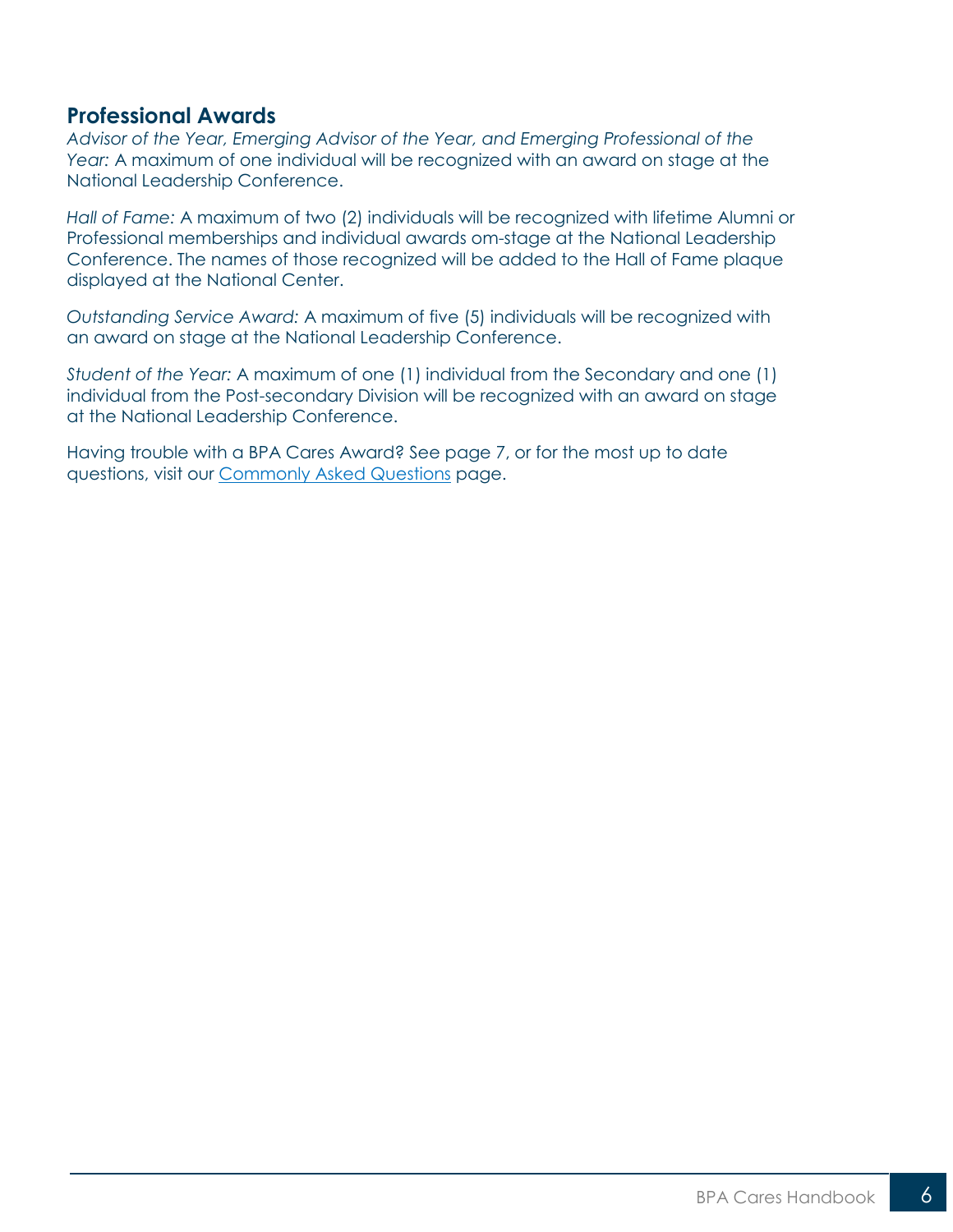#### **Professional Awards**

*Advisor of the Year, Emerging Advisor of the Year, and Emerging Professional of the Year:* A maximum of one individual will be recognized with an award on stage at the National Leadership Conference.

*Hall of Fame:* A maximum of two (2) individuals will be recognized with lifetime Alumni or Professional memberships and individual awards om-stage at the National Leadership Conference. The names of those recognized will be added to the Hall of Fame plaque displayed at the National Center.

*Outstanding Service Award:* A maximum of five (5) individuals will be recognized with an award on stage at the National Leadership Conference.

*Student of the Year:* A maximum of one (1) individual from the Secondary and one (1) individual from the Post-secondary Division will be recognized with an award on stage at the National Leadership Conference.

Having trouble with a BPA Cares Award? See page 7, or for the most up to date questions, visit our [Commonly Asked Questions](https://bpa.org/students/bpa-cares/) page.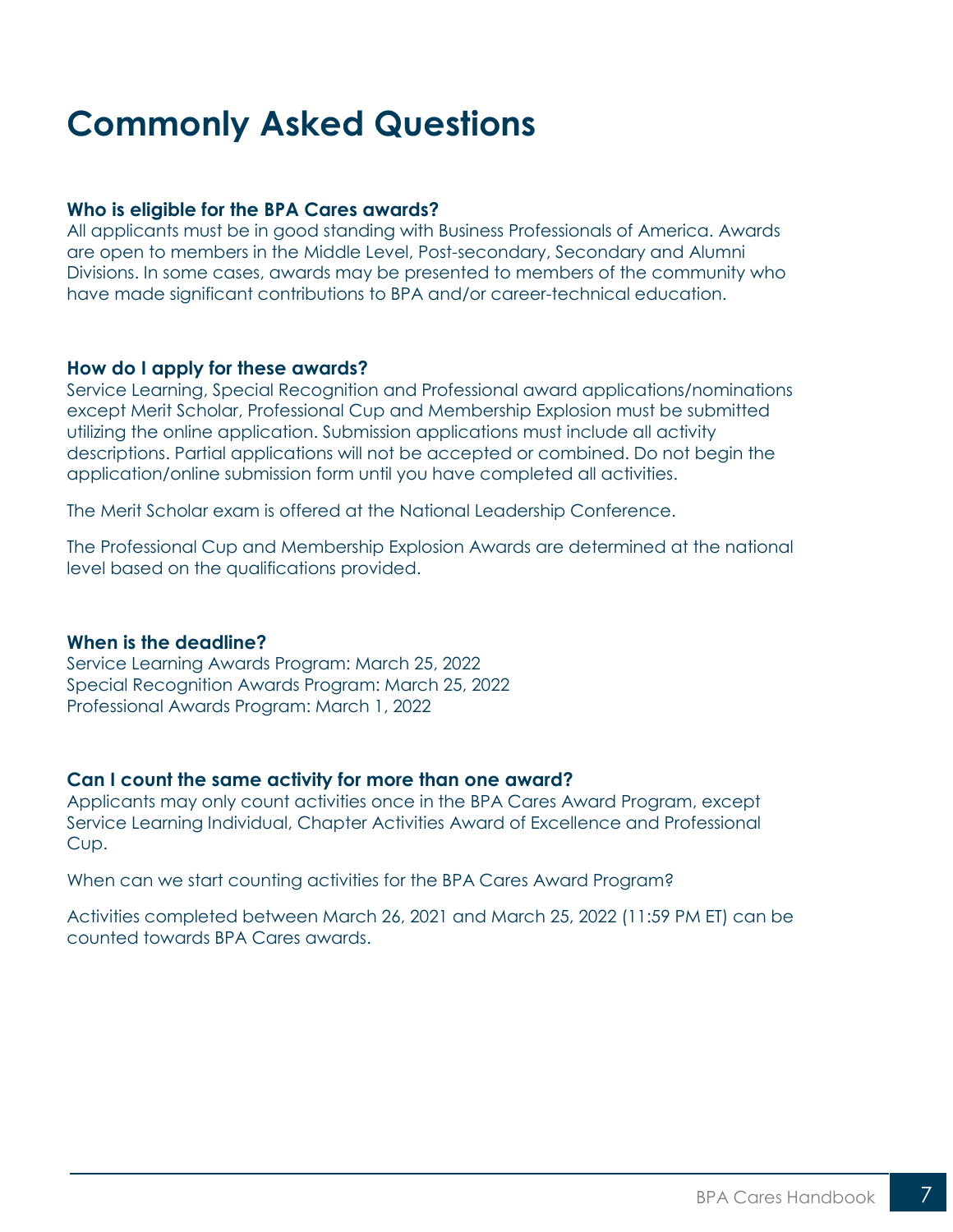## <span id="page-6-0"></span>**Commonly Asked Questions**

#### **Who is eligible for the BPA Cares awards?**

All applicants must be in good standing with Business Professionals of America. Awards are open to members in the Middle Level, Post-secondary, Secondary and Alumni Divisions. In some cases, awards may be presented to members of the community who have made significant contributions to BPA and/or career-technical education.

#### **How do I apply for these awards?**

Service Learning, Special Recognition and Professional award applications/nominations except Merit Scholar, Professional Cup and Membership Explosion must be submitted utilizing the online application. Submission applications must include all activity descriptions. Partial applications will not be accepted or combined. Do not begin the application/online submission form until you have completed all activities.

The Merit Scholar exam is offered at the National Leadership Conference.

The Professional Cup and Membership Explosion Awards are determined at the national level based on the qualifications provided.

#### **When is the deadline?**

Service Learning Awards Program: March 25, 2022 Special Recognition Awards Program: March 25, 2022 Professional Awards Program: March 1, 2022

#### **Can I count the same activity for more than one award?**

Applicants may only count activities once in the BPA Cares Award Program, except Service Learning Individual, Chapter Activities Award of Excellence and Professional Cup.

When can we start counting activities for the BPA Cares Award Program?

Activities completed between March 26, 2021 and March 25, 2022 (11:59 PM ET) can be counted towards BPA Cares awards.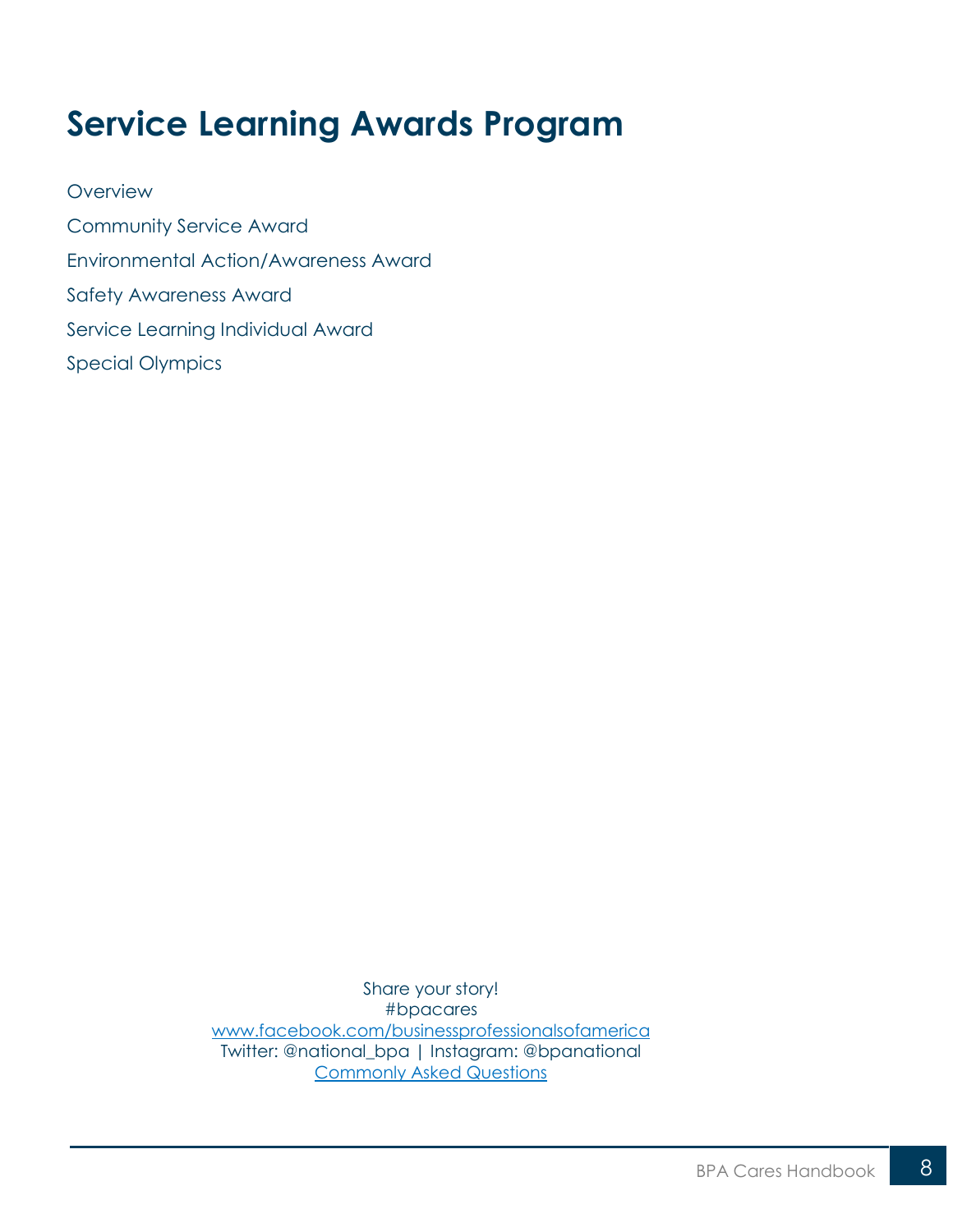## <span id="page-7-0"></span>**Service Learning Awards Program**

**[Overview](#page-8-0)** [Community Service Award](#page-10-0) [Environmental Action/Awareness Award](#page-12-0) [Safety Awareness Award](#page-14-0) [Service Learning Individual Award](#page-16-0) [Special Olympics](#page-18-0)

> Share your story! #bpacares [www.facebook.com/businessprofessionalsofamerica](http://www.facebook.com/businessprofessionalsofamerica) Twitter: @national\_bpa | Instagram: @bpanational [Commonly Asked Questions](https://bpa.org/students/bpa-cares/)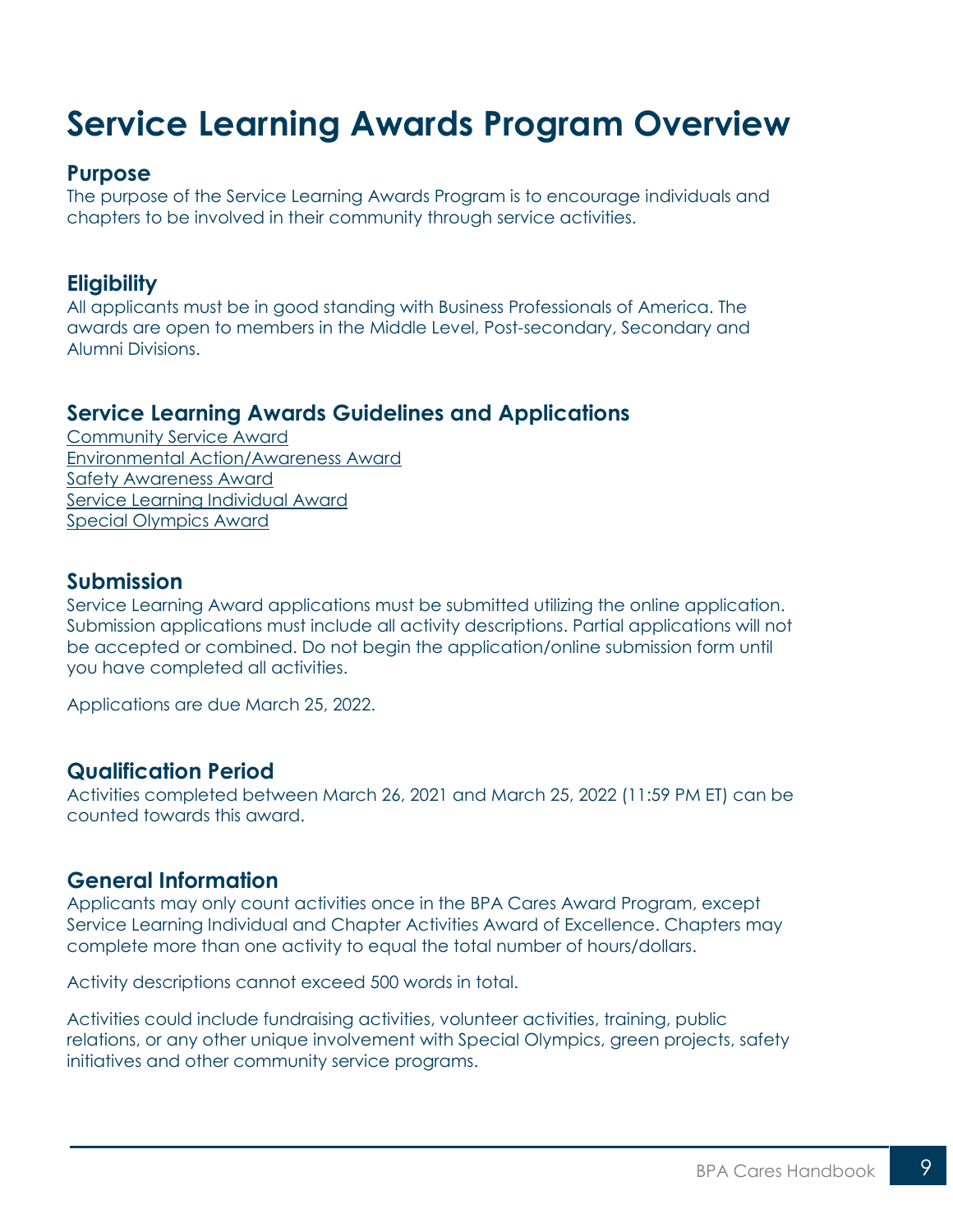## <span id="page-8-0"></span>**Service Learning Awards Program Overview**

#### **Purpose**

The purpose of the Service Learning Awards Program is to encourage individuals and chapters to be involved in their community through service activities.

#### **Eligibility**

All applicants must be in good standing with Business Professionals of America. The awards are open to members in the Middle Level, Post-secondary, Secondary and Alumni Divisions.

### **Service Learning Awards Guidelines and Applications**

[Community Service Award](https://bpa.org/students/bpa-cares/community-service-award/) [Environmental Action/Awareness Award](https://bpa.org/students/bpa-cares/environmental-action-awareness-award/) [Safety Awareness Award](https://bpa.org/students/bpa-cares/safety-awareness-award/) [Service Learning Individual Award](https://bpa.org/students/bpa-cares/service-learning-individual-award/) [Special Olympics Award](https://bpa.org/students/bpa-cares/special-olympics-award/)

#### **Submission**

Service Learning Award applications must be submitted utilizing the online application. Submission applications must include all activity descriptions. Partial applications will not be accepted or combined. Do not begin the application/online submission form until you have completed all activities.

Applications are due March 25, 2022.

#### **Qualification Period**

Activities completed between March 26, 2021 and March 25, 2022 (11:59 PM ET) can be counted towards this award.

#### **General Information**

Applicants may only count activities once in the BPA Cares Award Program, except Service Learning Individual and Chapter Activities Award of Excellence. Chapters may complete more than one activity to equal the total number of hours/dollars.

Activity descriptions cannot exceed 500 words in total.

Activities could include fundraising activities, volunteer activities, training, public relations, or any other unique involvement with Special Olympics, green projects, safety initiatives and other community service programs.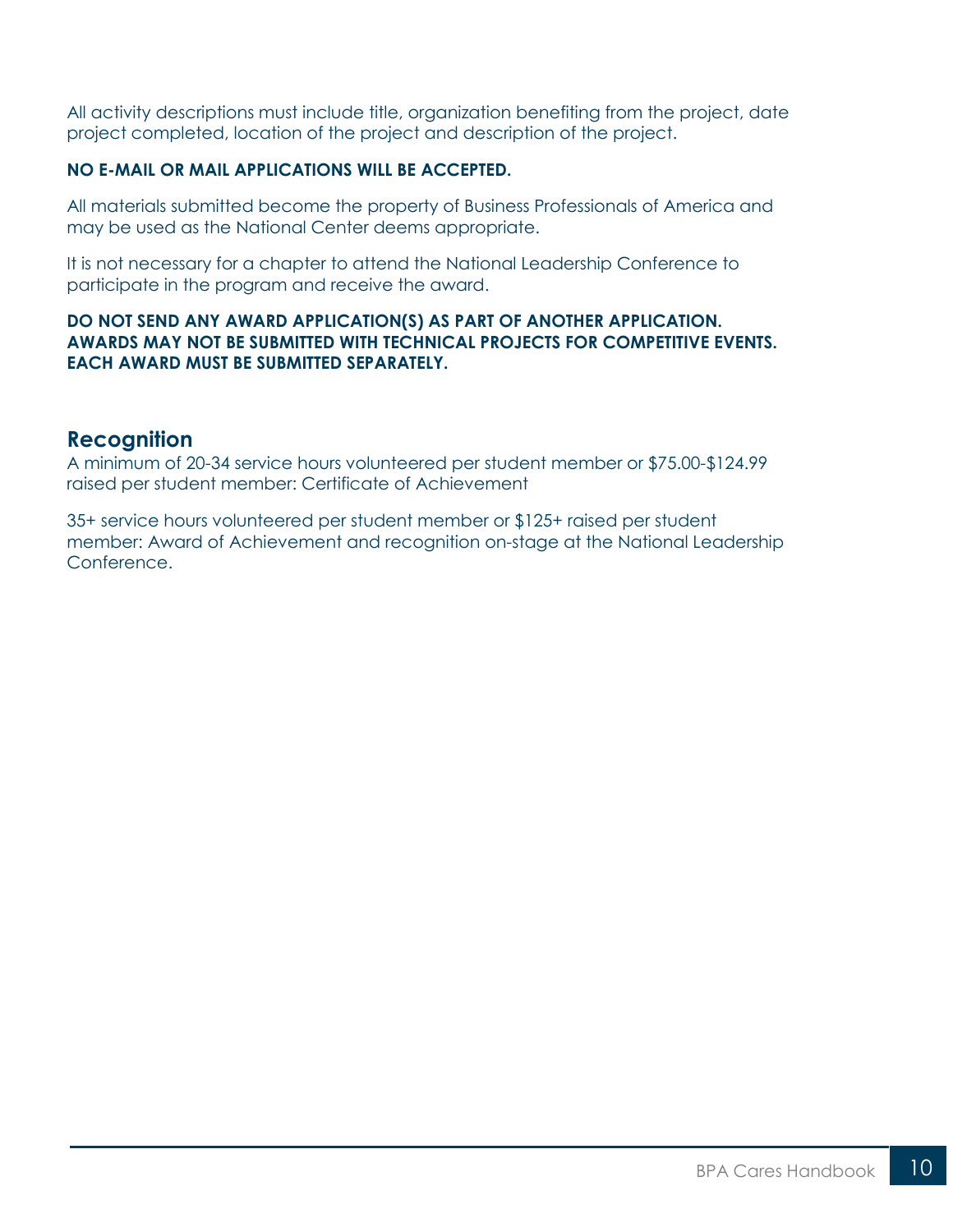All activity descriptions must include title, organization benefiting from the project, date project completed, location of the project and description of the project.

#### **NO E-MAIL OR MAIL APPLICATIONS WILL BE ACCEPTED.**

All materials submitted become the property of Business Professionals of America and may be used as the National Center deems appropriate.

It is not necessary for a chapter to attend the National Leadership Conference to participate in the program and receive the award.

#### **DO NOT SEND ANY AWARD APPLICATION(S) AS PART OF ANOTHER APPLICATION. AWARDS MAY NOT BE SUBMITTED WITH TECHNICAL PROJECTS FOR COMPETITIVE EVENTS. EACH AWARD MUST BE SUBMITTED SEPARATELY.**

#### **Recognition**

A minimum of 20-34 service hours volunteered per student member or \$75.00-\$124.99 raised per student member: Certificate of Achievement

35+ service hours volunteered per student member or \$125+ raised per student member: Award of Achievement and recognition on-stage at the National Leadership Conference.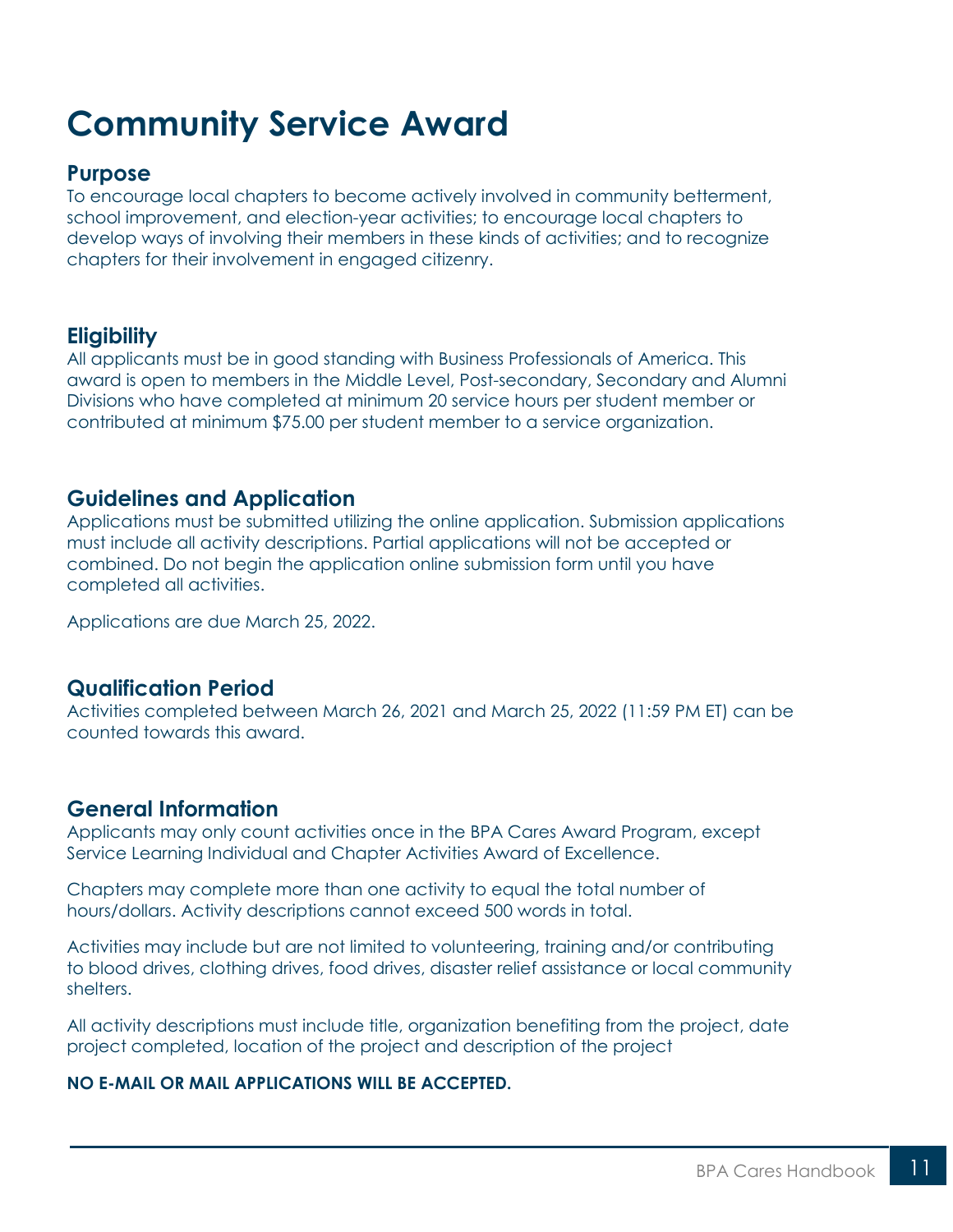## <span id="page-10-0"></span>**Community Service Award**

#### **Purpose**

To encourage local chapters to become actively involved in community betterment, school improvement, and election-year activities; to encourage local chapters to develop ways of involving their members in these kinds of activities; and to recognize chapters for their involvement in engaged citizenry.

### **Eligibility**

All applicants must be in good standing with Business Professionals of America. This award is open to members in the Middle Level, Post-secondary, Secondary and Alumni Divisions who have completed at minimum 20 service hours per student member or contributed at minimum \$75.00 per student member to a service organization.

#### **Guidelines and Application**

Applications must be submitted utilizing the online application. Submission applications must include all activity descriptions. Partial applications will not be accepted or combined. Do not begin the application online submission form until you have completed all activities.

Applications are due March 25, 2022.

### **Qualification Period**

Activities completed between March 26, 2021 and March 25, 2022 (11:59 PM ET) can be counted towards this award.

#### **General Information**

Applicants may only count activities once in the BPA Cares Award Program, except Service Learning Individual and Chapter Activities Award of Excellence.

Chapters may complete more than one activity to equal the total number of hours/dollars. Activity descriptions cannot exceed 500 words in total.

Activities may include but are not limited to volunteering, training and/or contributing to blood drives, clothing drives, food drives, disaster relief assistance or local community shelters.

All activity descriptions must include title, organization benefiting from the project, date project completed, location of the project and description of the project

#### **NO E-MAIL OR MAIL APPLICATIONS WILL BE ACCEPTED.**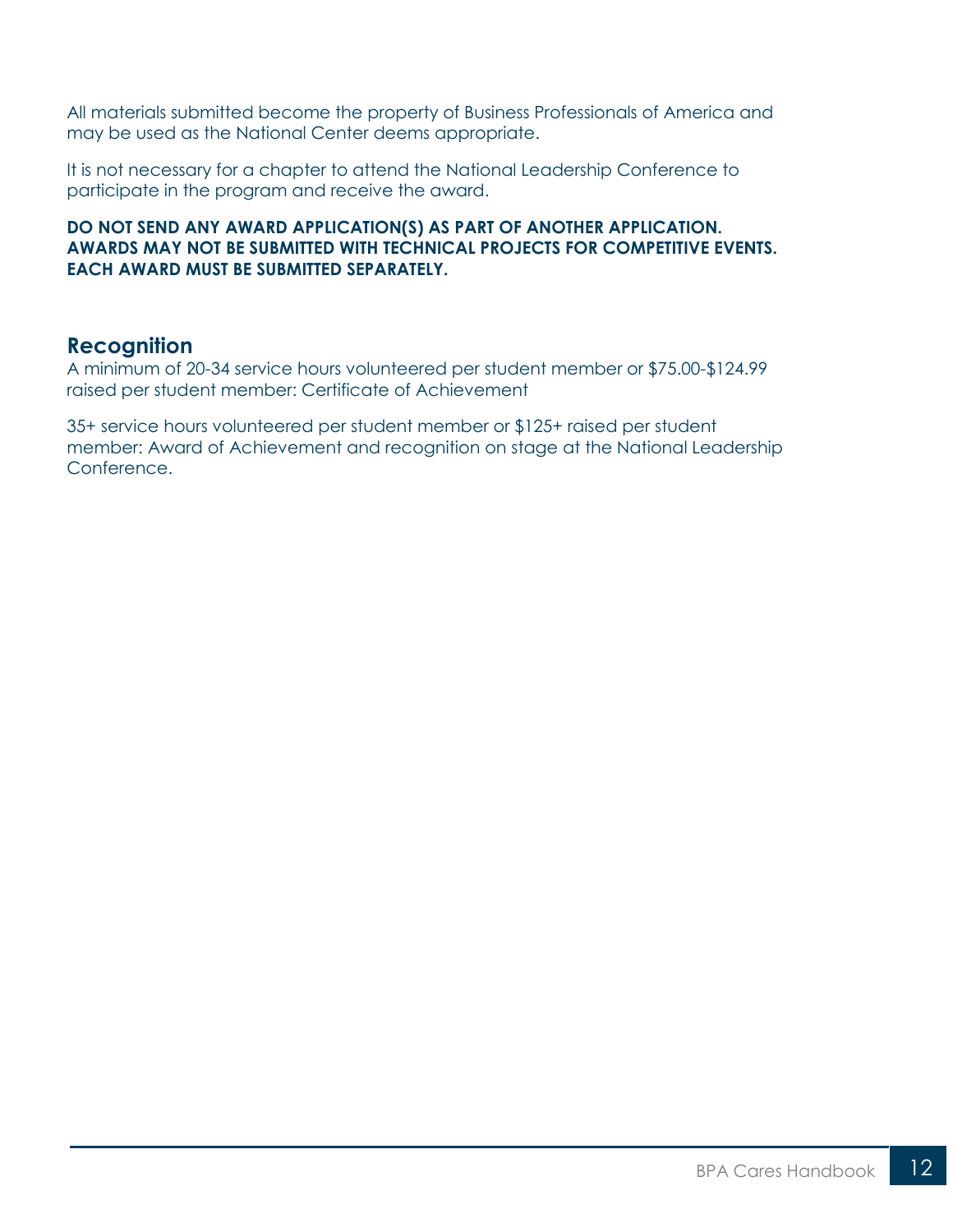All materials submitted become the property of Business Professionals of America and may be used as the National Center deems appropriate.

It is not necessary for a chapter to attend the National Leadership Conference to participate in the program and receive the award.

#### **DO NOT SEND ANY AWARD APPLICATION(S) AS PART OF ANOTHER APPLICATION. AWARDS MAY NOT BE SUBMITTED WITH TECHNICAL PROJECTS FOR COMPETITIVE EVENTS. EACH AWARD MUST BE SUBMITTED SEPARATELY.**

### **Recognition**

A minimum of 20-34 service hours volunteered per student member or \$75.00-\$124.99 raised per student member: Certificate of Achievement

35+ service hours volunteered per student member or \$125+ raised per student member: Award of Achievement and recognition on stage at the National Leadership Conference.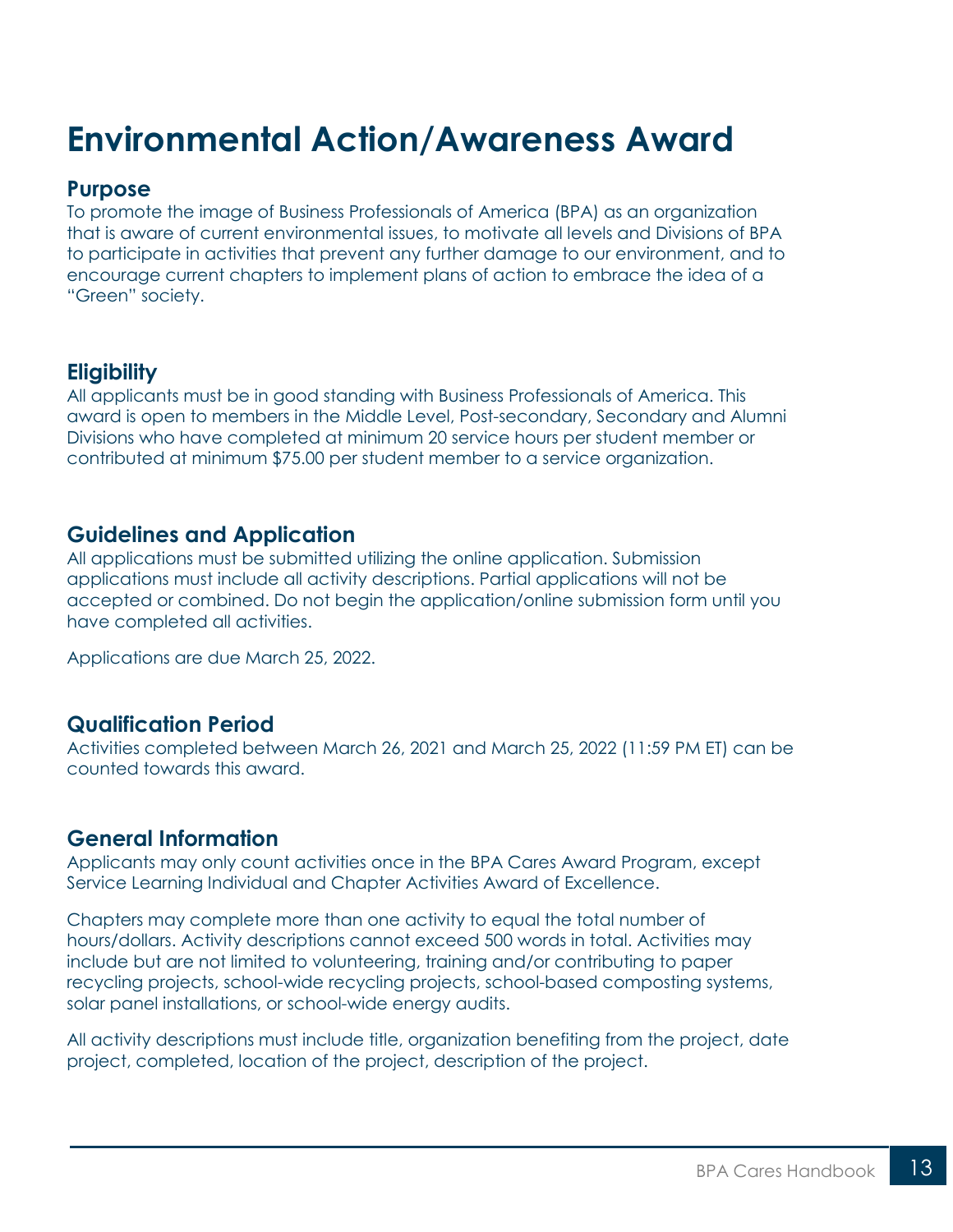## <span id="page-12-0"></span>**Environmental Action/Awareness Award**

#### **Purpose**

To promote the image of Business Professionals of America (BPA) as an organization that is aware of current environmental issues, to motivate all levels and Divisions of BPA to participate in activities that prevent any further damage to our environment, and to encourage current chapters to implement plans of action to embrace the idea of a "Green" society.

### **Eligibility**

All applicants must be in good standing with Business Professionals of America. This award is open to members in the Middle Level, Post-secondary, Secondary and Alumni Divisions who have completed at minimum 20 service hours per student member or contributed at minimum \$75.00 per student member to a service organization.

#### **Guidelines and Application**

All applications must be submitted utilizing the online application. Submission applications must include all activity descriptions. Partial applications will not be accepted or combined. Do not begin the application/online submission form until you have completed all activities.

Applications are due March 25, 2022.

#### **Qualification Period**

Activities completed between March 26, 2021 and March 25, 2022 (11:59 PM ET) can be counted towards this award.

### **General Information**

Applicants may only count activities once in the BPA Cares Award Program, except Service Learning Individual and Chapter Activities Award of Excellence.

Chapters may complete more than one activity to equal the total number of hours/dollars. Activity descriptions cannot exceed 500 words in total. Activities may include but are not limited to volunteering, training and/or contributing to paper recycling projects, school-wide recycling projects, school-based composting systems, solar panel installations, or school-wide energy audits.

All activity descriptions must include title, organization benefiting from the project, date project, completed, location of the project, description of the project.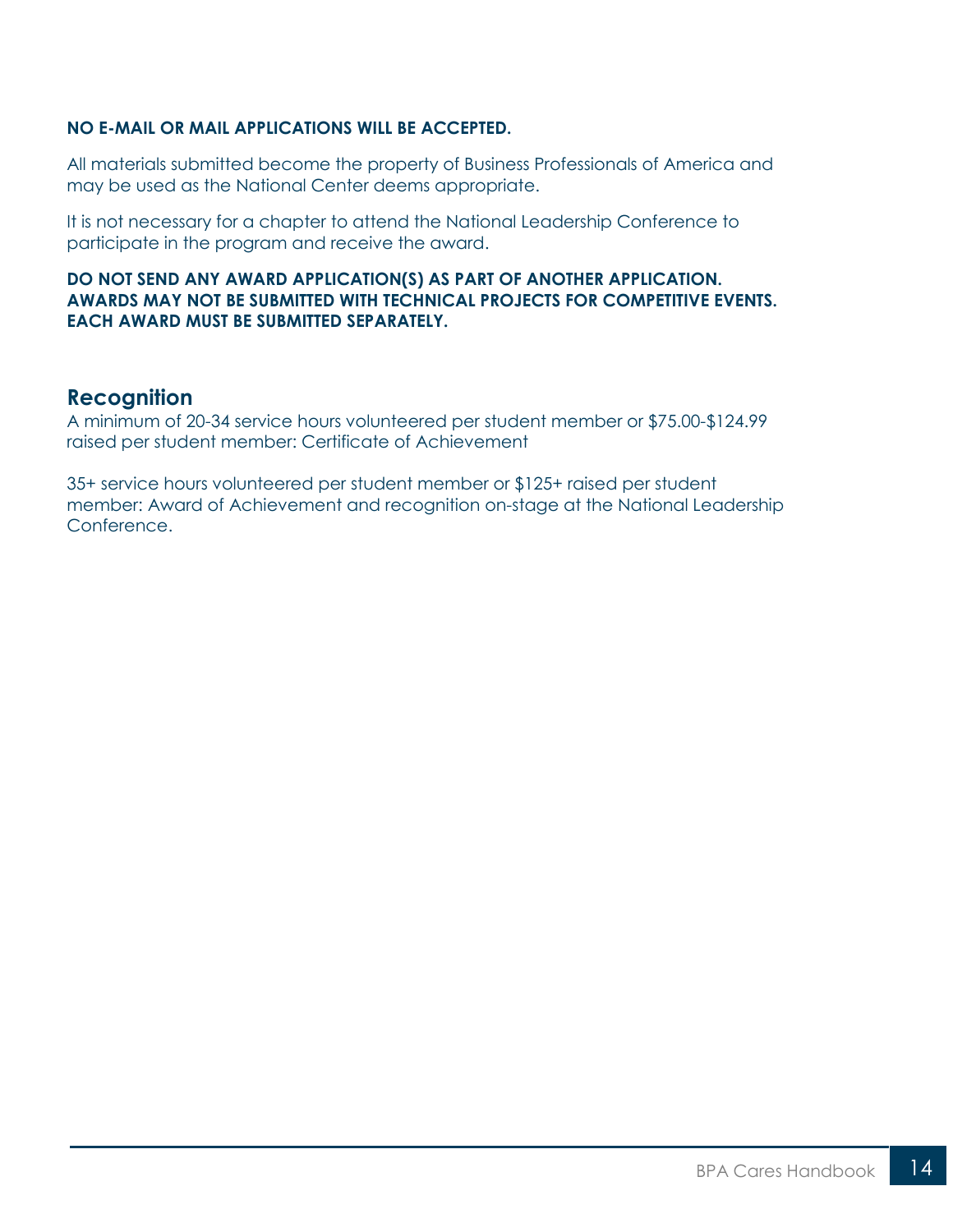#### **NO E-MAIL OR MAIL APPLICATIONS WILL BE ACCEPTED.**

All materials submitted become the property of Business Professionals of America and may be used as the National Center deems appropriate.

It is not necessary for a chapter to attend the National Leadership Conference to participate in the program and receive the award.

#### **DO NOT SEND ANY AWARD APPLICATION(S) AS PART OF ANOTHER APPLICATION. AWARDS MAY NOT BE SUBMITTED WITH TECHNICAL PROJECTS FOR COMPETITIVE EVENTS. EACH AWARD MUST BE SUBMITTED SEPARATELY.**

#### **Recognition**

A minimum of 20-34 service hours volunteered per student member or \$75.00-\$124.99 raised per student member: Certificate of Achievement

35+ service hours volunteered per student member or \$125+ raised per student member: Award of Achievement and recognition on-stage at the National Leadership Conference.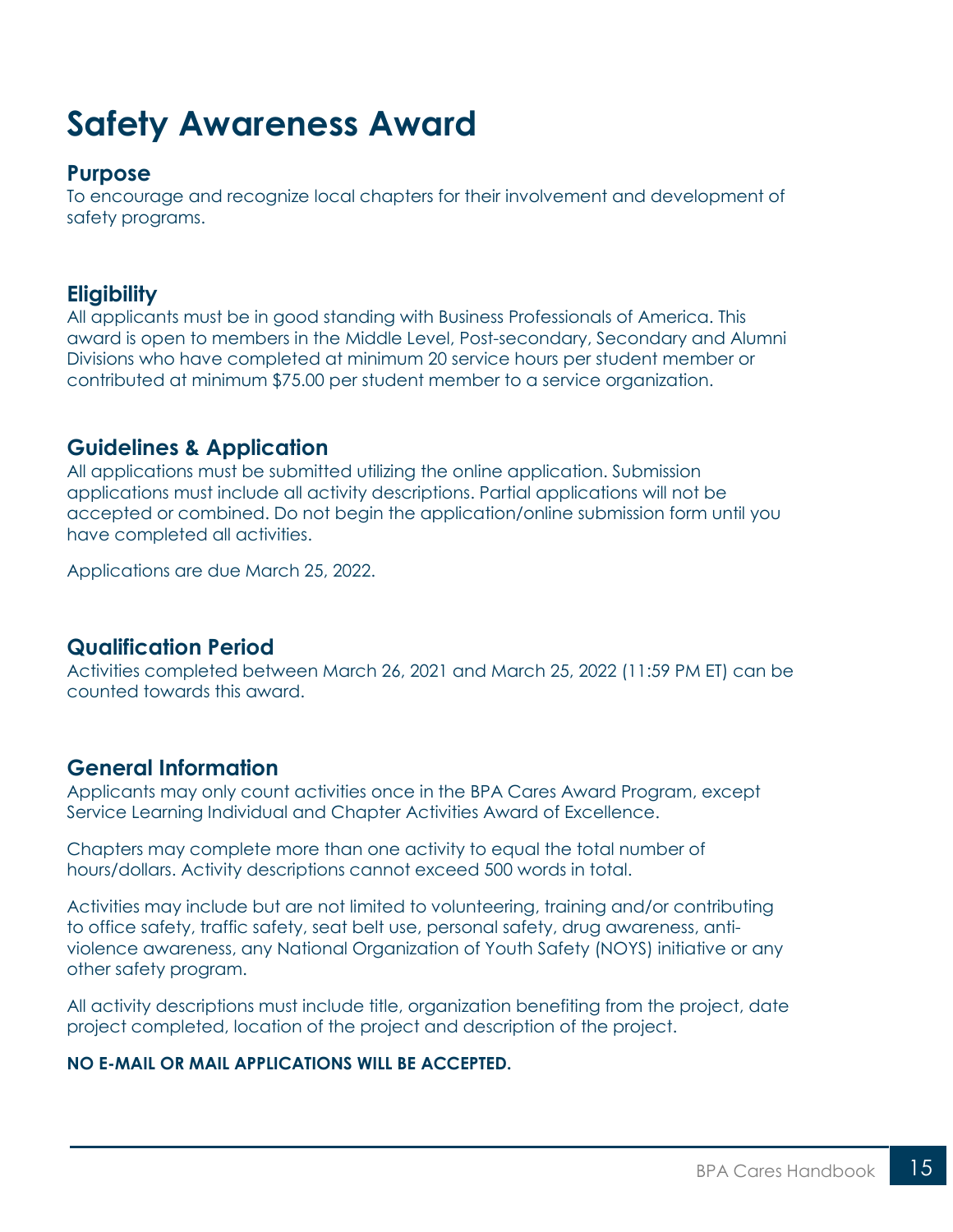## <span id="page-14-0"></span>**Safety Awareness Award**

### **Purpose**

To encourage and recognize local chapters for their involvement and development of safety programs.

#### **Eligibility**

All applicants must be in good standing with Business Professionals of America. This award is open to members in the Middle Level, Post-secondary, Secondary and Alumni Divisions who have completed at minimum 20 service hours per student member or contributed at minimum \$75.00 per student member to a service organization.

#### **Guidelines & Application**

All applications must be submitted utilizing the online application. Submission applications must include all activity descriptions. Partial applications will not be accepted or combined. Do not begin the application/online submission form until you have completed all activities.

Applications are due March 25, 2022.

#### **Qualification Period**

Activities completed between March 26, 2021 and March 25, 2022 (11:59 PM ET) can be counted towards this award.

### **General Information**

Applicants may only count activities once in the BPA Cares Award Program, except Service Learning Individual and Chapter Activities Award of Excellence.

Chapters may complete more than one activity to equal the total number of hours/dollars. Activity descriptions cannot exceed 500 words in total.

Activities may include but are not limited to volunteering, training and/or contributing to office safety, traffic safety, seat belt use, personal safety, drug awareness, antiviolence awareness, any National Organization of Youth Safety (NOYS) initiative or any other safety program.

All activity descriptions must include title, organization benefiting from the project, date project completed, location of the project and description of the project.

#### **NO E-MAIL OR MAIL APPLICATIONS WILL BE ACCEPTED.**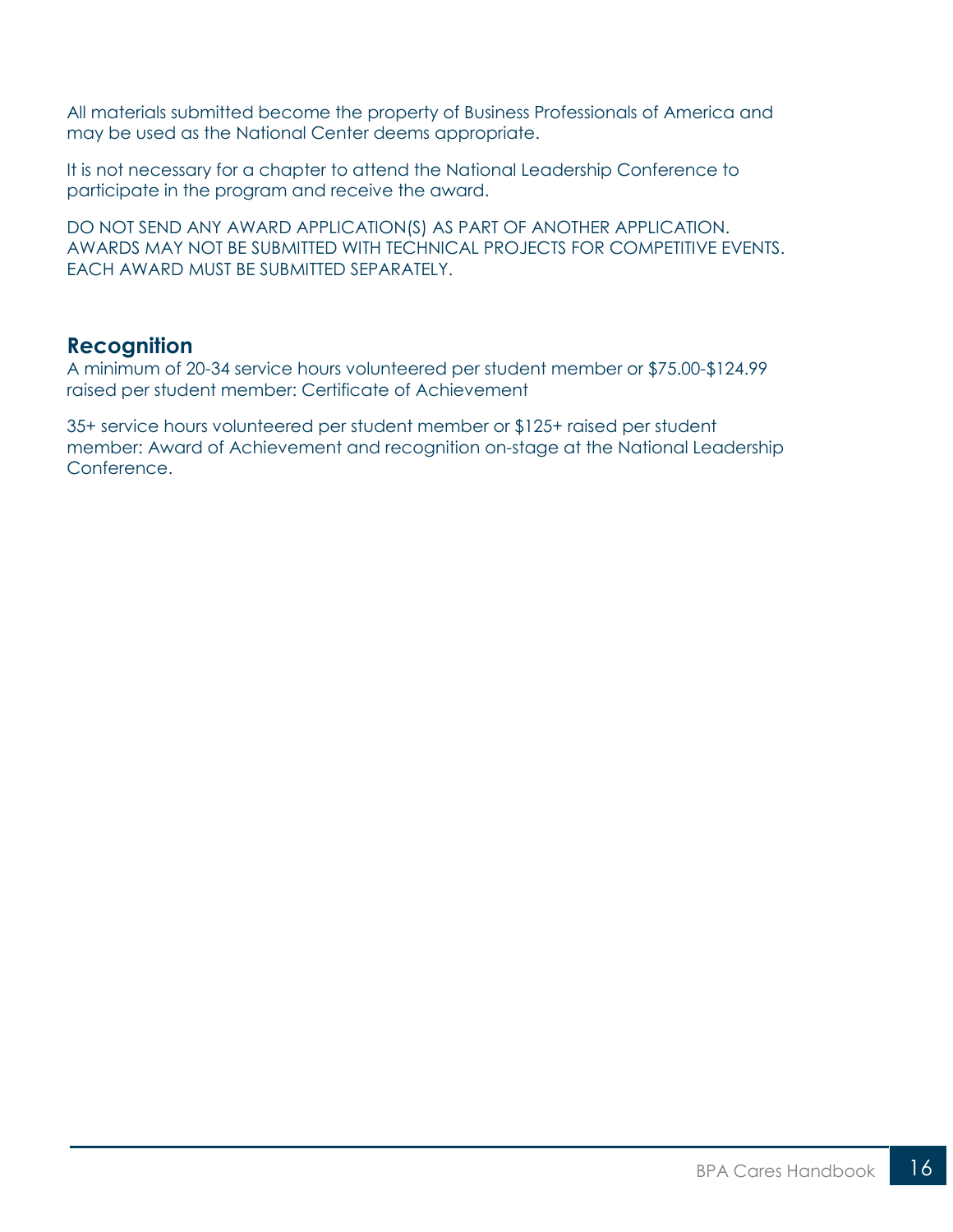All materials submitted become the property of Business Professionals of America and may be used as the National Center deems appropriate.

It is not necessary for a chapter to attend the National Leadership Conference to participate in the program and receive the award.

DO NOT SEND ANY AWARD APPLICATION(S) AS PART OF ANOTHER APPLICATION. AWARDS MAY NOT BE SUBMITTED WITH TECHNICAL PROJECTS FOR COMPETITIVE EVENTS. EACH AWARD MUST BE SUBMITTED SEPARATELY.

#### **Recognition**

A minimum of 20-34 service hours volunteered per student member or \$75.00-\$124.99 raised per student member: Certificate of Achievement

35+ service hours volunteered per student member or \$125+ raised per student member: Award of Achievement and recognition on-stage at the National Leadership Conference.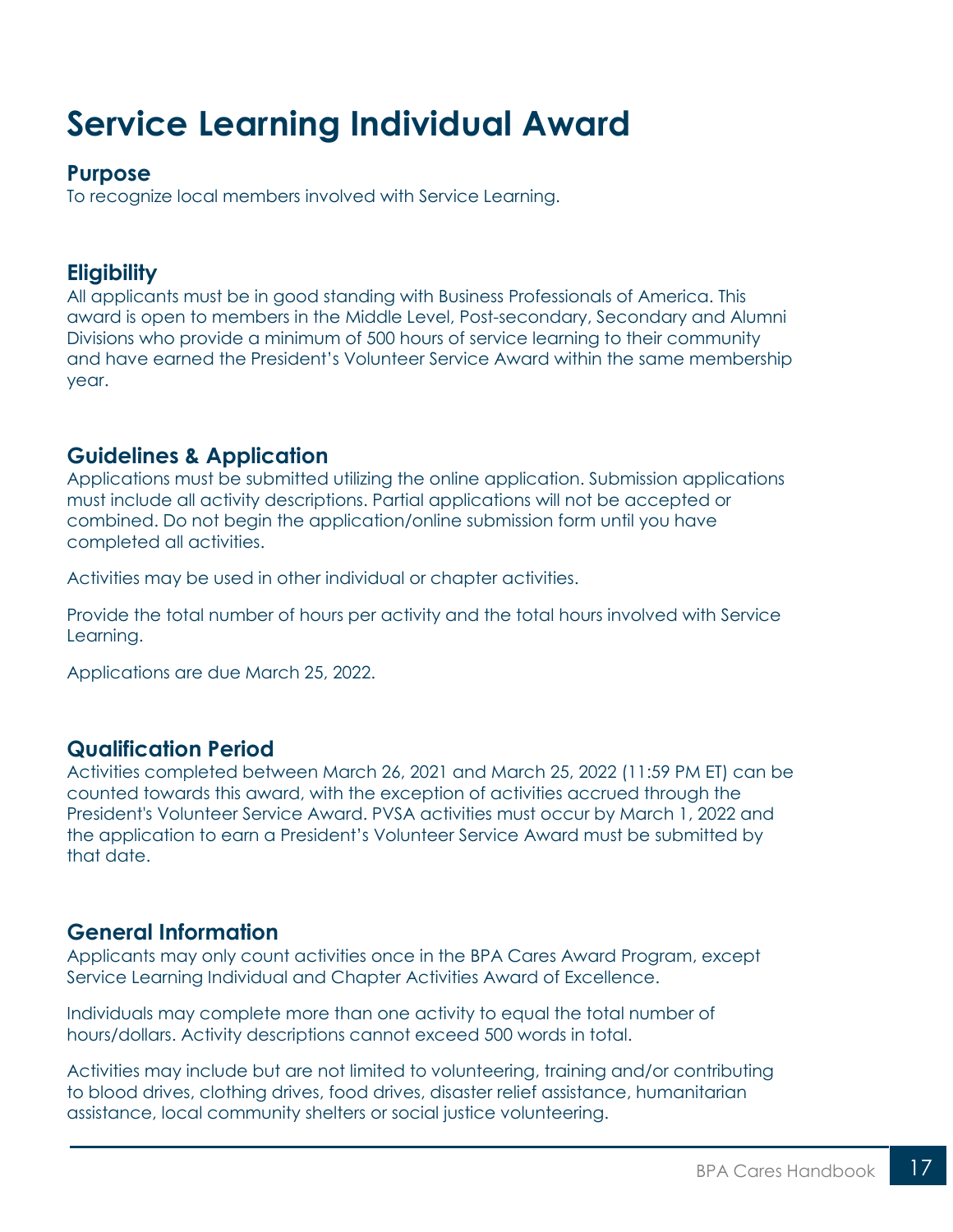## <span id="page-16-0"></span>**Service Learning Individual Award**

#### **Purpose**

To recognize local members involved with Service Learning.

### **Eligibility**

All applicants must be in good standing with Business Professionals of America. This award is open to members in the Middle Level, Post-secondary, Secondary and Alumni Divisions who provide a minimum of 500 hours of service learning to their community and have earned the President's Volunteer Service Award within the same membership year.

## **Guidelines & Application**

Applications must be submitted utilizing the online application. Submission applications must include all activity descriptions. Partial applications will not be accepted or combined. Do not begin the application/online submission form until you have completed all activities.

Activities may be used in other individual or chapter activities.

Provide the total number of hours per activity and the total hours involved with Service Learning.

Applications are due March 25, 2022.

### **Qualification Period**

Activities completed between March 26, 2021 and March 25, 2022 (11:59 PM ET) can be counted towards this award, with the exception of activities accrued through the President's Volunteer Service Award. PVSA activities must occur by March 1, 2022 and the application to earn a President's Volunteer Service Award must be submitted by that date.

### **General Information**

Applicants may only count activities once in the BPA Cares Award Program, except Service Learning Individual and Chapter Activities Award of Excellence.

Individuals may complete more than one activity to equal the total number of hours/dollars. Activity descriptions cannot exceed 500 words in total.

Activities may include but are not limited to volunteering, training and/or contributing to blood drives, clothing drives, food drives, disaster relief assistance, humanitarian assistance, local community shelters or social justice volunteering.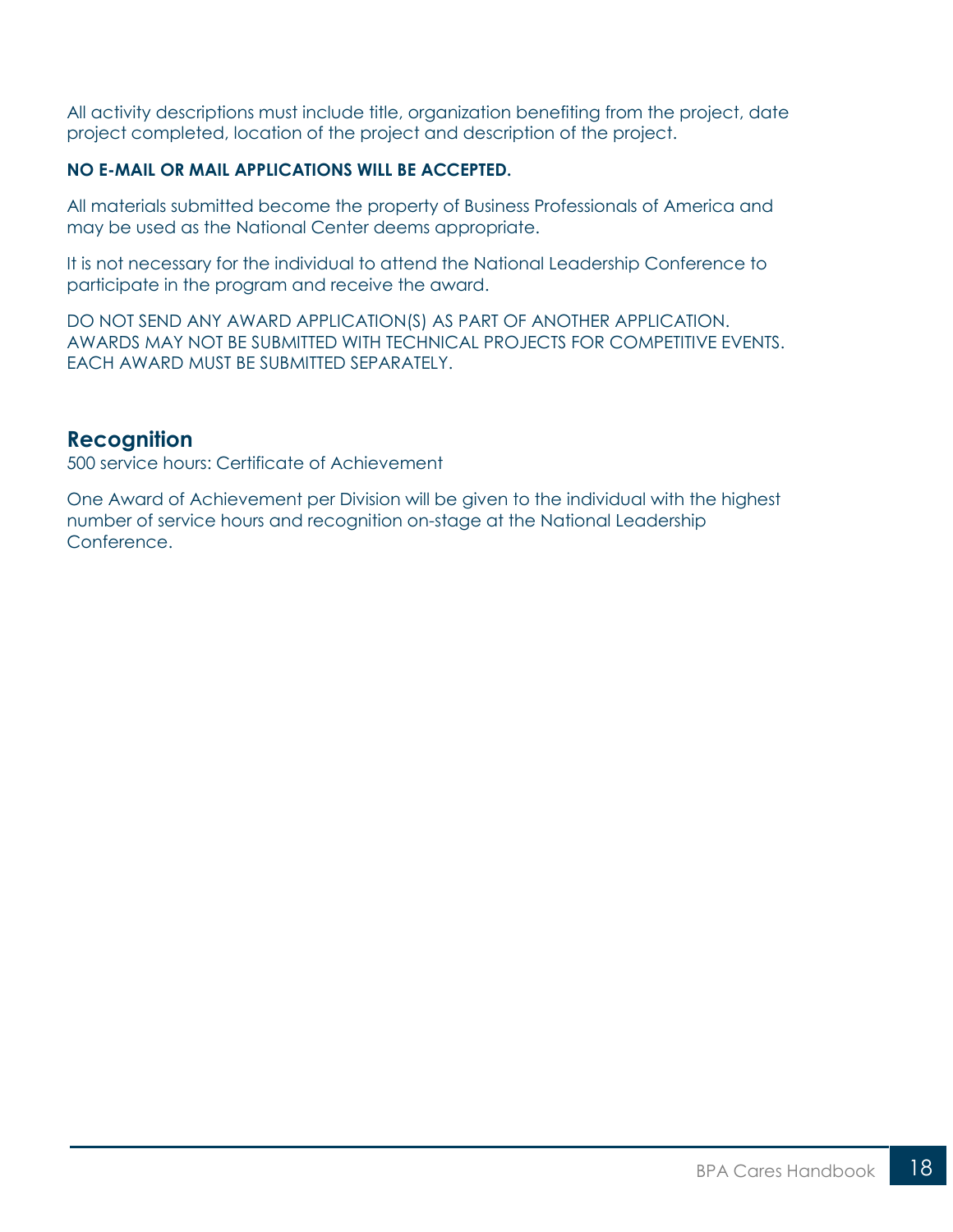All activity descriptions must include title, organization benefiting from the project, date project completed, location of the project and description of the project.

#### **NO E-MAIL OR MAIL APPLICATIONS WILL BE ACCEPTED.**

All materials submitted become the property of Business Professionals of America and may be used as the National Center deems appropriate.

It is not necessary for the individual to attend the National Leadership Conference to participate in the program and receive the award.

DO NOT SEND ANY AWARD APPLICATION(S) AS PART OF ANOTHER APPLICATION. AWARDS MAY NOT BE SUBMITTED WITH TECHNICAL PROJECTS FOR COMPETITIVE EVENTS. EACH AWARD MUST BE SUBMITTED SEPARATELY.

#### **Recognition**

500 service hours: Certificate of Achievement

One Award of Achievement per Division will be given to the individual with the highest number of service hours and recognition on-stage at the National Leadership Conference.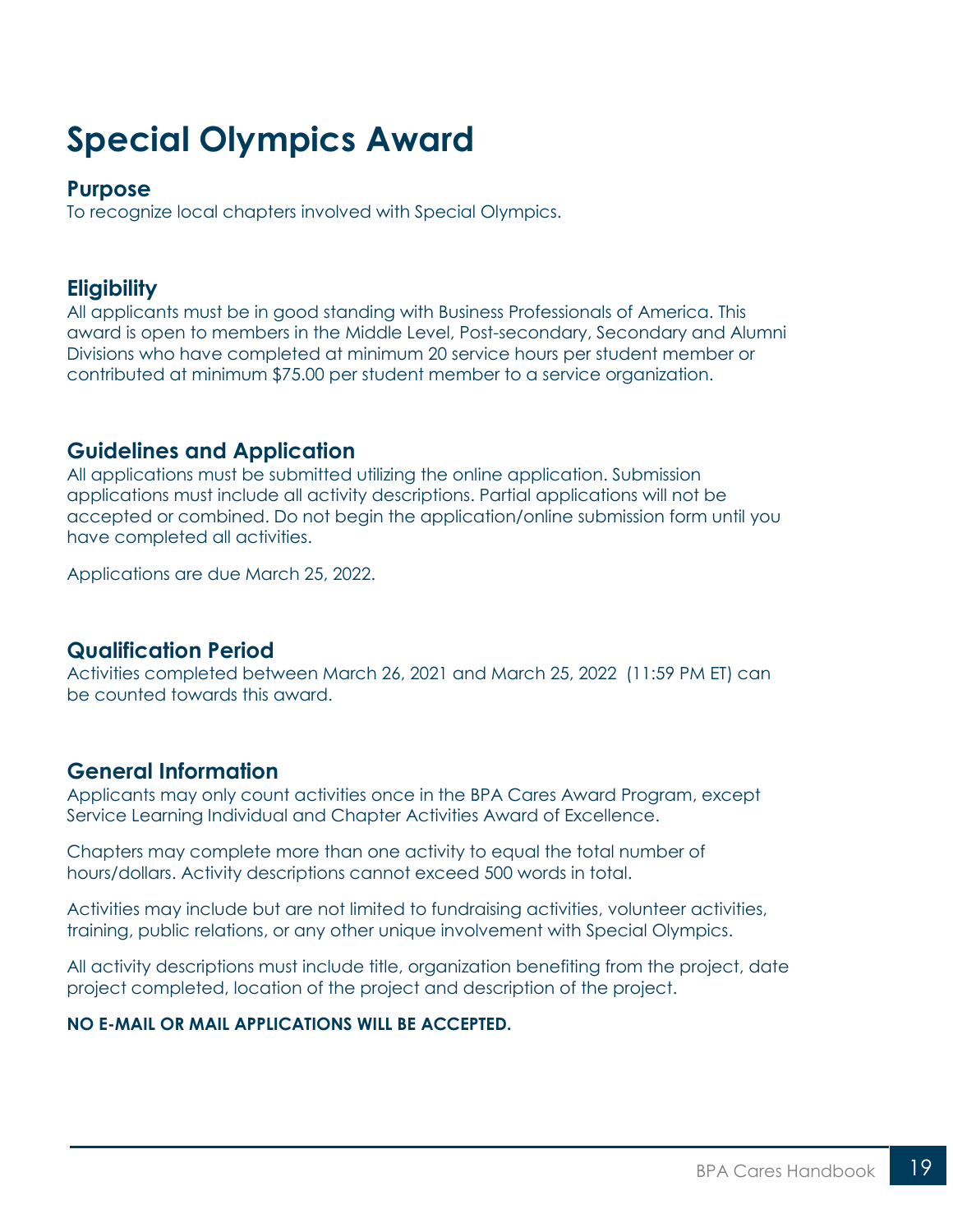## <span id="page-18-0"></span>**Special Olympics Award**

#### **Purpose**

To recognize local chapters involved with Special Olympics.

## **Eligibility**

All applicants must be in good standing with Business Professionals of America. This award is open to members in the Middle Level, Post-secondary, Secondary and Alumni Divisions who have completed at minimum 20 service hours per student member or contributed at minimum \$75.00 per student member to a service organization.

## **Guidelines and Application**

All applications must be submitted utilizing the online application. Submission applications must include all activity descriptions. Partial applications will not be accepted or combined. Do not begin the application/online submission form until you have completed all activities.

Applications are due March 25, 2022.

### **Qualification Period**

Activities completed between March 26, 2021 and March 25, 2022 (11:59 PM ET) can be counted towards this award.

### **General Information**

Applicants may only count activities once in the BPA Cares Award Program, except Service Learning Individual and Chapter Activities Award of Excellence.

Chapters may complete more than one activity to equal the total number of hours/dollars. Activity descriptions cannot exceed 500 words in total.

Activities may include but are not limited to fundraising activities, volunteer activities, training, public relations, or any other unique involvement with Special Olympics.

All activity descriptions must include title, organization benefiting from the project, date project completed, location of the project and description of the project.

#### **NO E-MAIL OR MAIL APPLICATIONS WILL BE ACCEPTED.**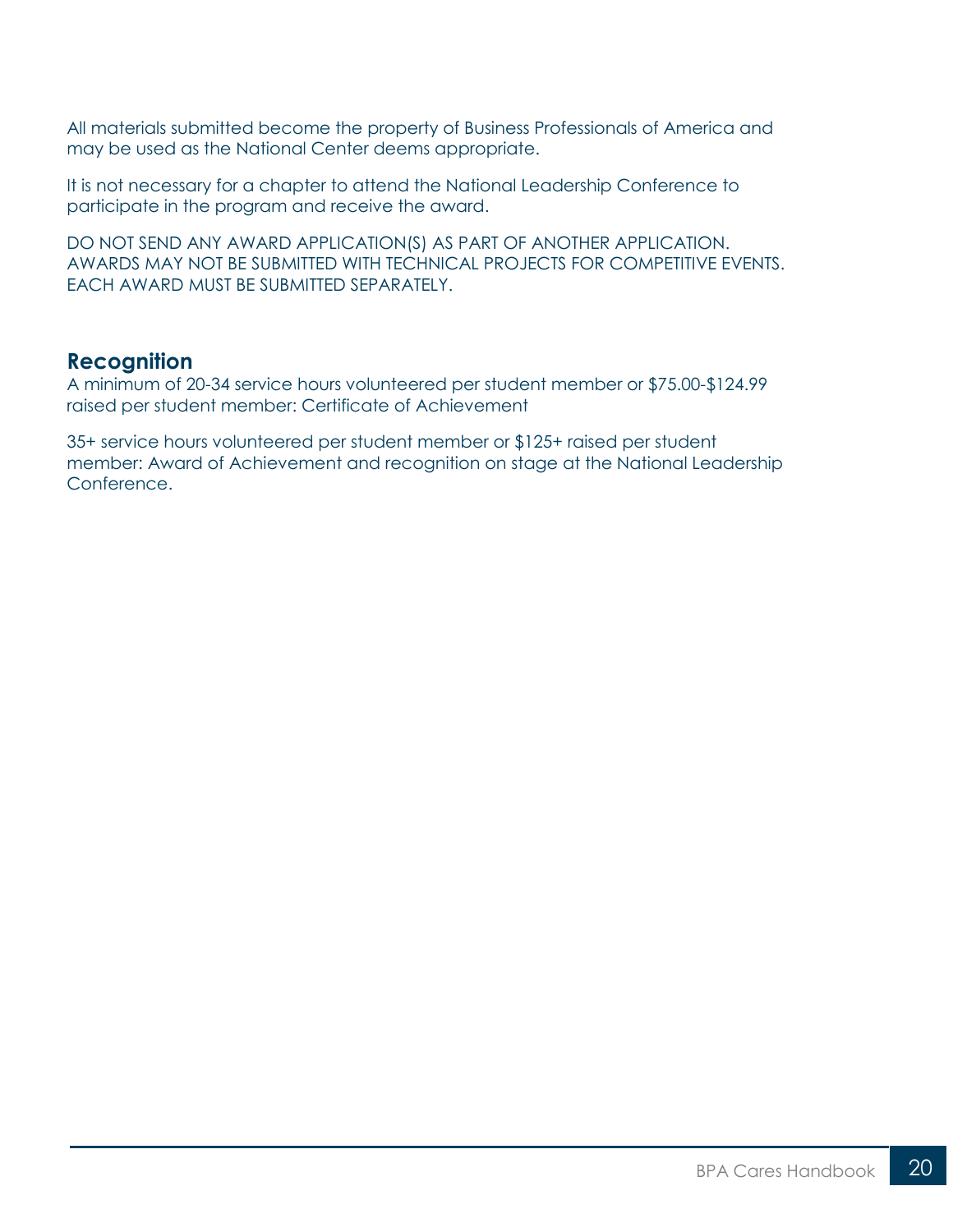All materials submitted become the property of Business Professionals of America and may be used as the National Center deems appropriate.

It is not necessary for a chapter to attend the National Leadership Conference to participate in the program and receive the award.

DO NOT SEND ANY AWARD APPLICATION(S) AS PART OF ANOTHER APPLICATION. AWARDS MAY NOT BE SUBMITTED WITH TECHNICAL PROJECTS FOR COMPETITIVE EVENTS. EACH AWARD MUST BE SUBMITTED SEPARATELY.

#### **Recognition**

A minimum of 20-34 service hours volunteered per student member or \$75.00-\$124.99 raised per student member: Certificate of Achievement

35+ service hours volunteered per student member or \$125+ raised per student member: Award of Achievement and recognition on stage at the National Leadership Conference.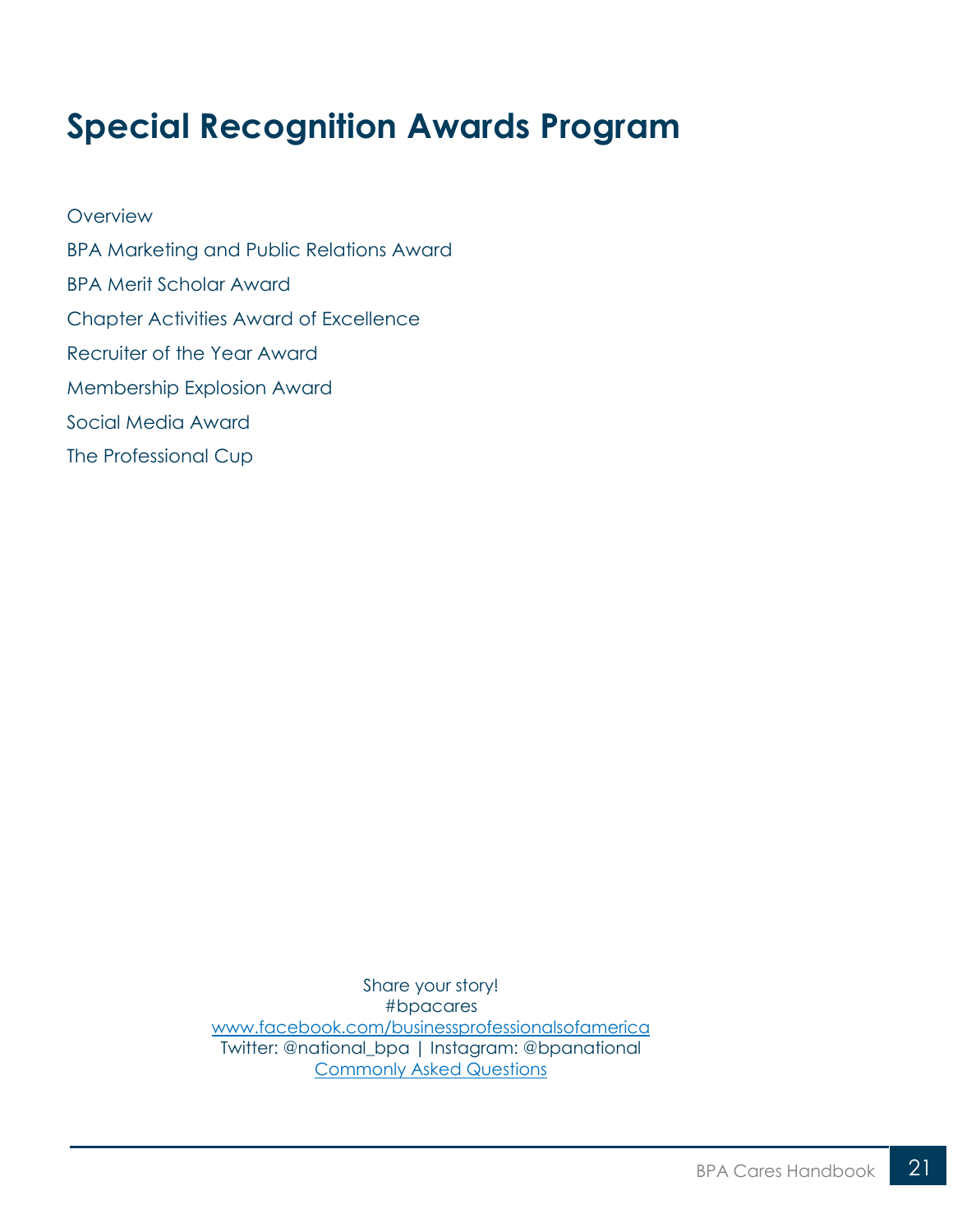## <span id="page-20-0"></span>**Special Recognition Awards Program**

**[Overview](#page-21-0)** [BPA Marketing and Public Relations Award](#page-24-0) [BPA Merit Scholar Award](#page-26-0) [Chapter Activities Award of Excellence](#page-27-0) [Recruiter of the Year Award](#page-30-0) [Membership Explosion Award](#page-32-0) [Social Media Award](#page-33-0) [The Professional Cup](#page-35-0)

> Share your story! #bpacares [www.facebook.com/businessprofessionalsofamerica](http://www.facebook.com/businessprofessionalsofamerica) Twitter: @national\_bpa | Instagram: @bpanational [Commonly Asked Questions](https://bpa.org/students/bpa-cares/)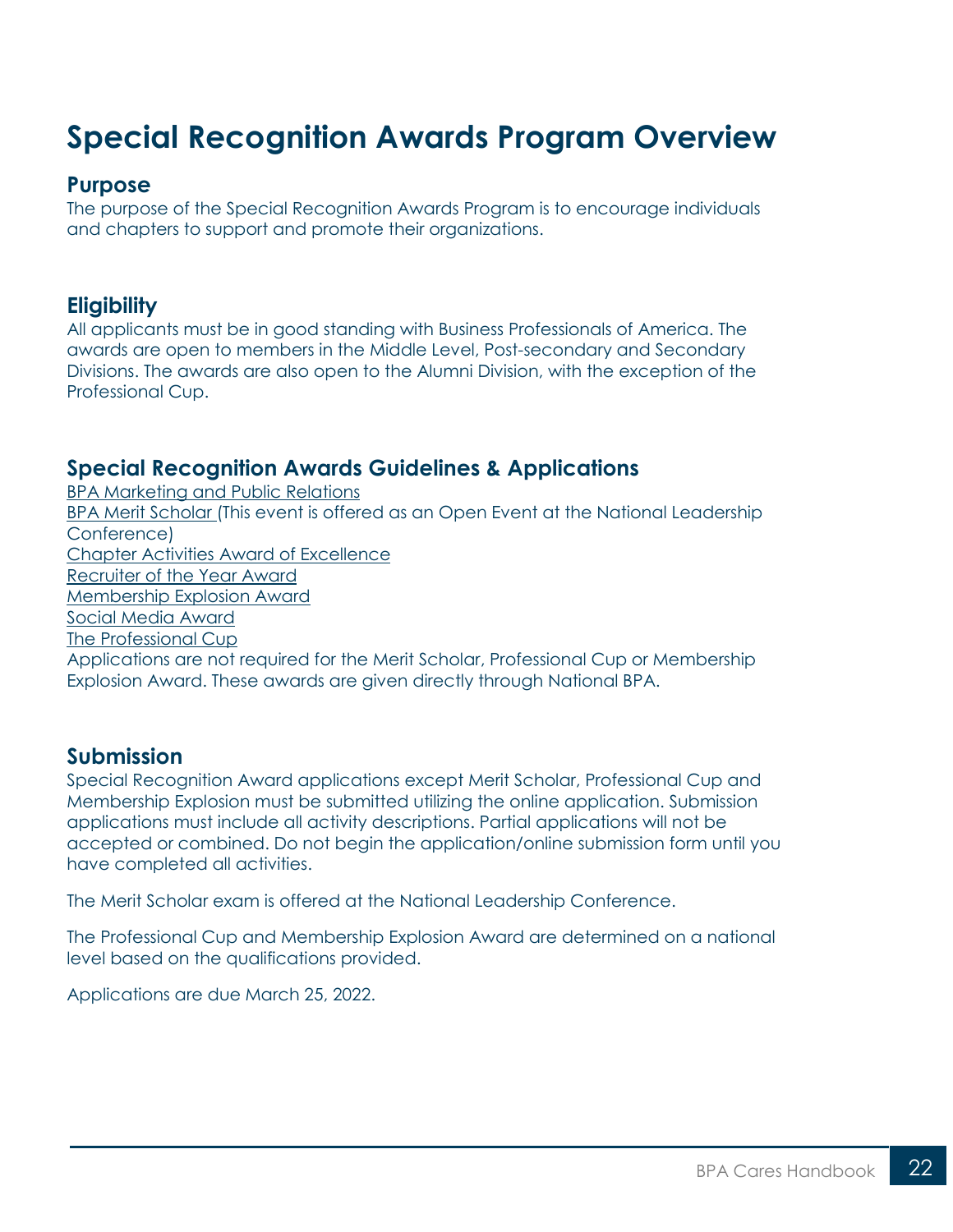## <span id="page-21-0"></span>**Special Recognition Awards Program Overview**

#### **Purpose**

The purpose of the Special Recognition Awards Program is to encourage individuals and chapters to support and promote their organizations.

#### **Eligibility**

All applicants must be in good standing with Business Professionals of America. The awards are open to members in the Middle Level, Post-secondary and Secondary Divisions. The awards are also open to the Alumni Division, with the exception of the Professional Cup.

#### **Special Recognition Awards Guidelines & Applications**

[BPA Marketing and Public Relations](https://bpa.org/students/bpa-cares/marketing-and-public-relations/) [BPA Merit Scholar](https://bpa.org/students/bpa-cares/bpa-merit-scholar-award/) (This event is offered as an Open Event at the National Leadership Conference) [Chapter Activities Award of Excellence](https://bpa.org/students/bpa-cares/chapter-activities-award-of-excellence/) [Recruiter of the Year Award](https://bpa.org/students/bpa-cares/recruiter-of-the-year-award/) [Membership Explosion Award](https://bpa.org/students/bpa-cares/membership-explosion-award/) [Social Media Award](https://bpa.org/students/bpa-cares/social-media-award/) [The Professional Cup](https://bpa.org/students/bpa-cares/professional-cup-award/) Applications are not required for the Merit Scholar, Professional Cup or Membership Explosion Award. These awards are given directly through National BPA.

#### **Submission**

Special Recognition Award applications except Merit Scholar, Professional Cup and Membership Explosion must be submitted utilizing the online application. Submission applications must include all activity descriptions. Partial applications will not be accepted or combined. Do not begin the application/online submission form until you have completed all activities.

The Merit Scholar exam is offered at the National Leadership Conference.

The Professional Cup and Membership Explosion Award are determined on a national level based on the qualifications provided.

Applications are due March 25, 2022.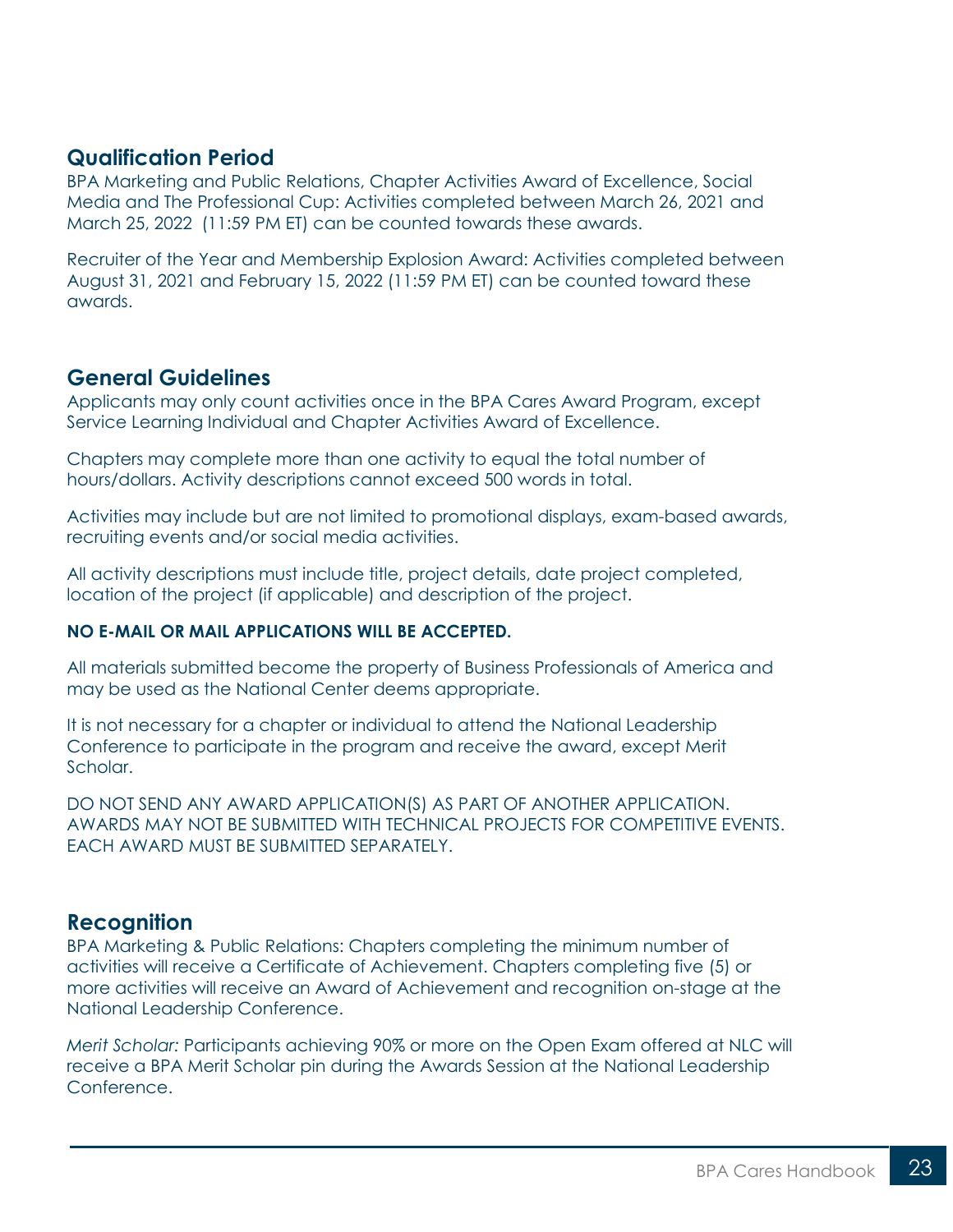#### **Qualification Period**

BPA Marketing and Public Relations, Chapter Activities Award of Excellence, Social Media and The Professional Cup: Activities completed between March 26, 2021 and March 25, 2022 (11:59 PM ET) can be counted towards these awards.

Recruiter of the Year and Membership Explosion Award: Activities completed between August 31, 2021 and February 15, 2022 (11:59 PM ET) can be counted toward these awards.

#### **General Guidelines**

Applicants may only count activities once in the BPA Cares Award Program, except Service Learning Individual and Chapter Activities Award of Excellence.

Chapters may complete more than one activity to equal the total number of hours/dollars. Activity descriptions cannot exceed 500 words in total.

Activities may include but are not limited to promotional displays, exam-based awards, recruiting events and/or social media activities.

All activity descriptions must include title, project details, date project completed, location of the project (if applicable) and description of the project.

#### **NO E-MAIL OR MAIL APPLICATIONS WILL BE ACCEPTED.**

All materials submitted become the property of Business Professionals of America and may be used as the National Center deems appropriate.

It is not necessary for a chapter or individual to attend the National Leadership Conference to participate in the program and receive the award, except Merit Scholar.

DO NOT SEND ANY AWARD APPLICATION(S) AS PART OF ANOTHER APPLICATION. AWARDS MAY NOT BE SUBMITTED WITH TECHNICAL PROJECTS FOR COMPETITIVE EVENTS. EACH AWARD MUST BE SUBMITTED SEPARATELY.

#### **Recognition**

BPA Marketing & Public Relations: Chapters completing the minimum number of activities will receive a Certificate of Achievement. Chapters completing five (5) or more activities will receive an Award of Achievement and recognition on-stage at the National Leadership Conference.

*Merit Scholar:* Participants achieving 90% or more on the Open Exam offered at NLC will receive a BPA Merit Scholar pin during the Awards Session at the National Leadership Conference.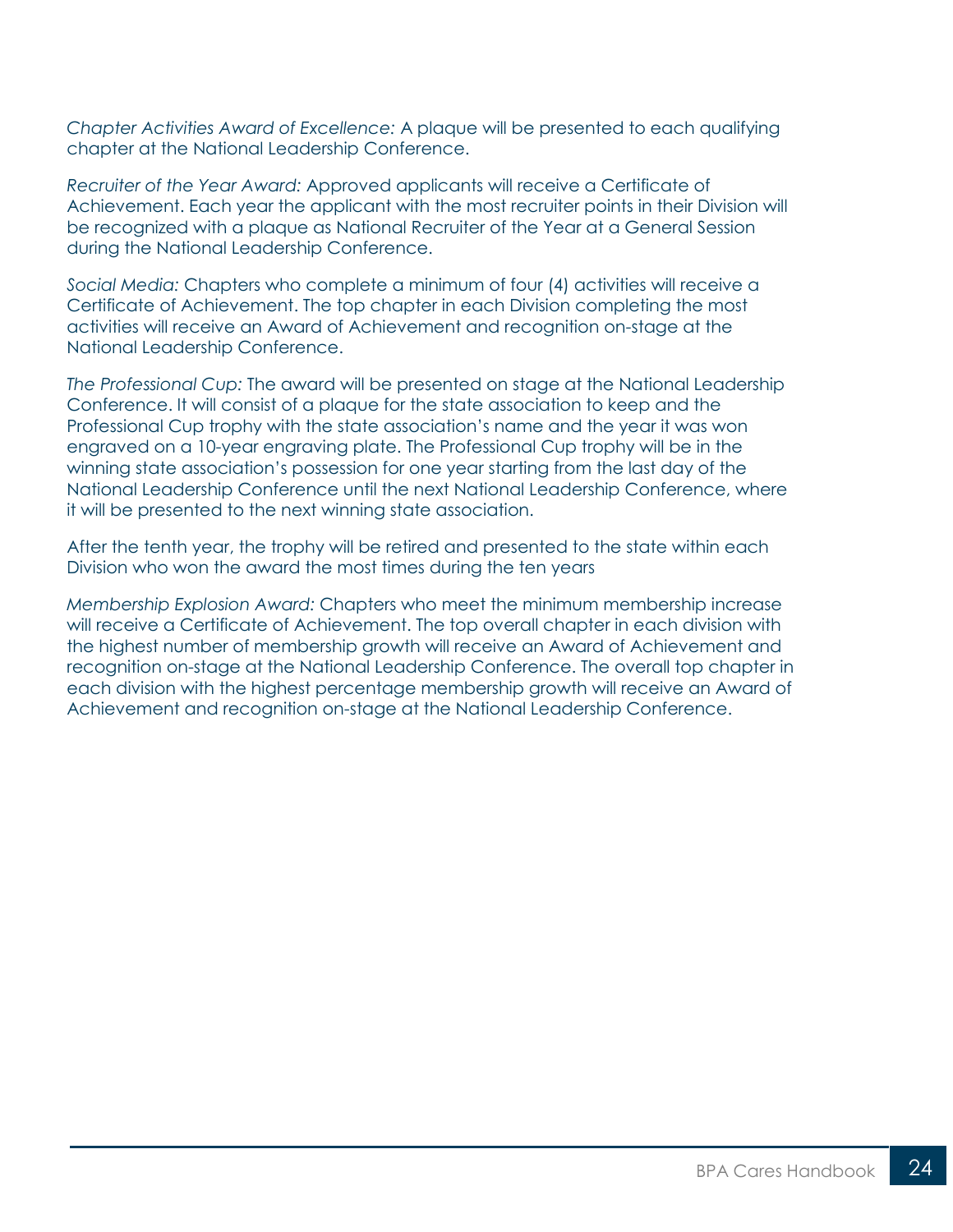*Chapter Activities Award of Excellence:* A plaque will be presented to each qualifying chapter at the National Leadership Conference.

*Recruiter of the Year Award:* Approved applicants will receive a Certificate of Achievement. Each year the applicant with the most recruiter points in their Division will be recognized with a plaque as National Recruiter of the Year at a General Session during the National Leadership Conference.

*Social Media:* Chapters who complete a minimum of four (4) activities will receive a Certificate of Achievement. The top chapter in each Division completing the most activities will receive an Award of Achievement and recognition on-stage at the National Leadership Conference.

*The Professional Cup:* The award will be presented on stage at the National Leadership Conference. It will consist of a plaque for the state association to keep and the Professional Cup trophy with the state association's name and the year it was won engraved on a 10-year engraving plate. The Professional Cup trophy will be in the winning state association's possession for one year starting from the last day of the National Leadership Conference until the next National Leadership Conference, where it will be presented to the next winning state association.

After the tenth year, the trophy will be retired and presented to the state within each Division who won the award the most times during the ten years

*Membership Explosion Award:* Chapters who meet the minimum membership increase will receive a Certificate of Achievement. The top overall chapter in each division with the highest number of membership growth will receive an Award of Achievement and recognition on-stage at the National Leadership Conference. The overall top chapter in each division with the highest percentage membership growth will receive an Award of Achievement and recognition on-stage at the National Leadership Conference.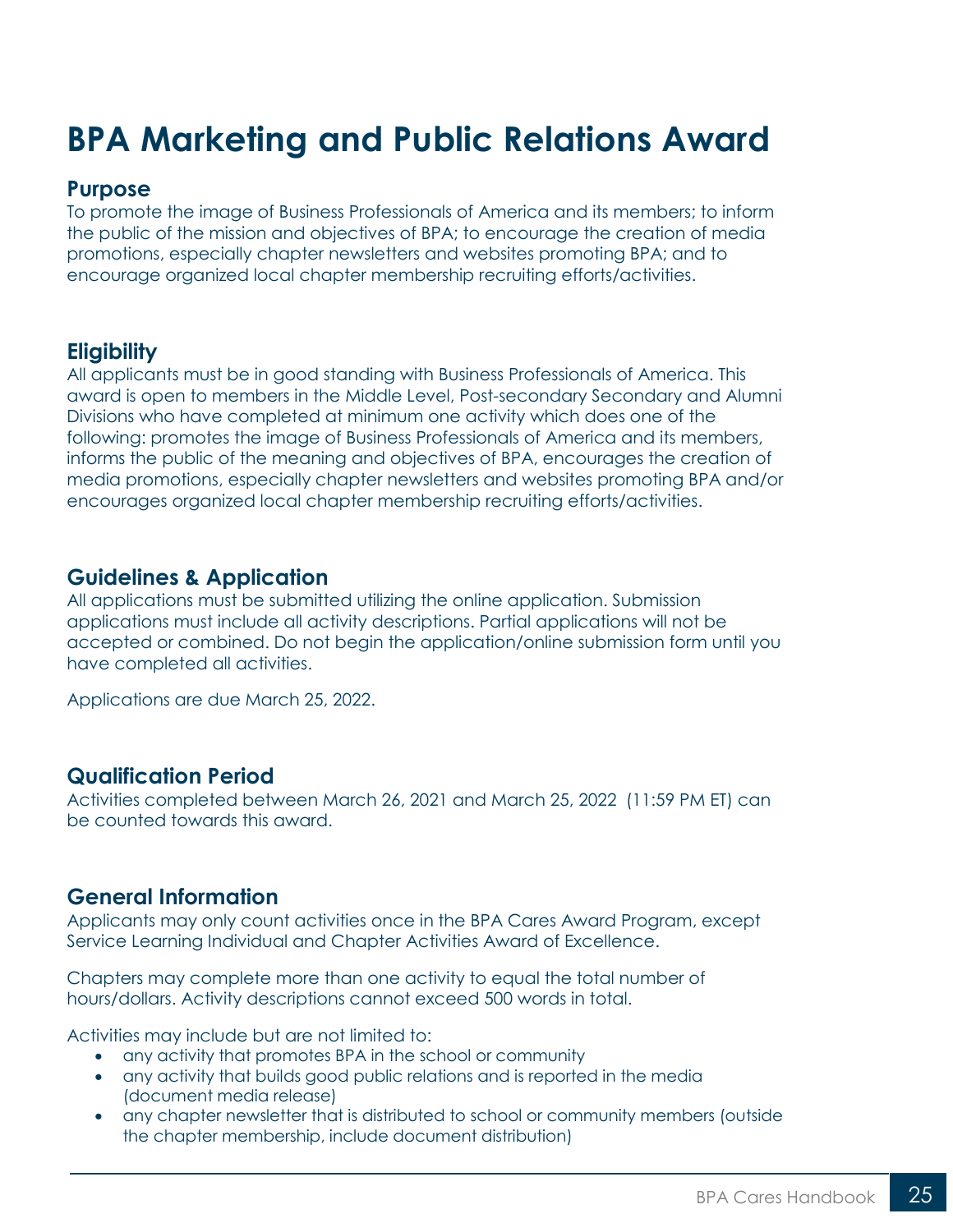## <span id="page-24-0"></span>**BPA Marketing and Public Relations Award**

#### **Purpose**

To promote the image of Business Professionals of America and its members; to inform the public of the mission and objectives of BPA; to encourage the creation of media promotions, especially chapter newsletters and websites promoting BPA; and to encourage organized local chapter membership recruiting efforts/activities.

#### **Eligibility**

All applicants must be in good standing with Business Professionals of America. This award is open to members in the Middle Level, Post-secondary Secondary and Alumni Divisions who have completed at minimum one activity which does one of the following: promotes the image of Business Professionals of America and its members, informs the public of the meaning and objectives of BPA, encourages the creation of media promotions, especially chapter newsletters and websites promoting BPA and/or encourages organized local chapter membership recruiting efforts/activities.

#### **Guidelines & Application**

All applications must be submitted utilizing the online application. Submission applications must include all activity descriptions. Partial applications will not be accepted or combined. Do not begin the application/online submission form until you have completed all activities.

Applications are due March 25, 2022.

#### **Qualification Period**

Activities completed between March 26, 2021 and March 25, 2022 (11:59 PM ET) can be counted towards this award.

### **General Information**

Applicants may only count activities once in the BPA Cares Award Program, except Service Learning Individual and Chapter Activities Award of Excellence.

Chapters may complete more than one activity to equal the total number of hours/dollars. Activity descriptions cannot exceed 500 words in total.

Activities may include but are not limited to:

- any activity that promotes BPA in the school or community
- any activity that builds good public relations and is reported in the media (document media release)
- any chapter newsletter that is distributed to school or community members (outside the chapter membership, include document distribution)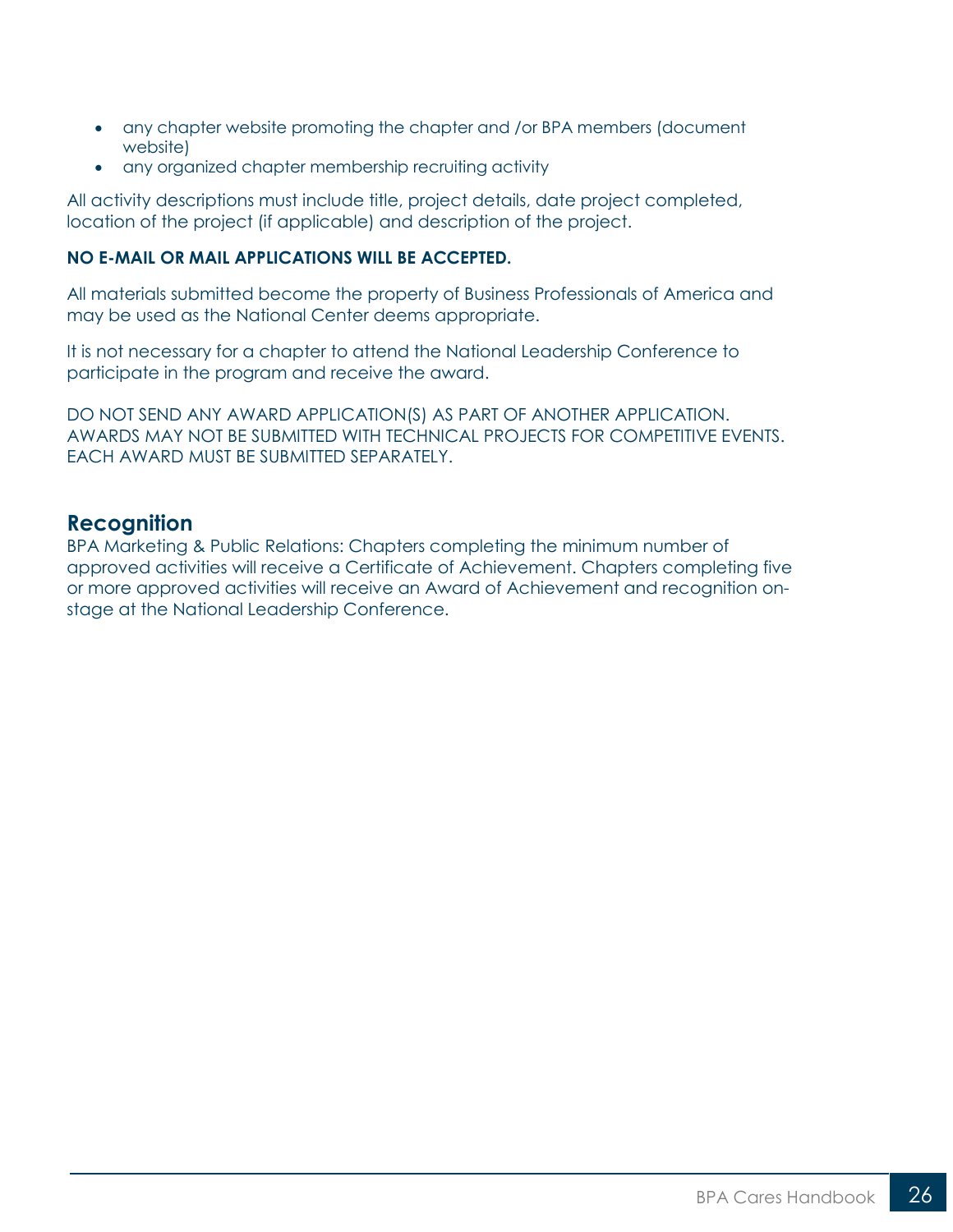- any chapter website promoting the chapter and /or BPA members (document website)
- any organized chapter membership recruiting activity

All activity descriptions must include title, project details, date project completed, location of the project (if applicable) and description of the project.

#### **NO E-MAIL OR MAIL APPLICATIONS WILL BE ACCEPTED.**

All materials submitted become the property of Business Professionals of America and may be used as the National Center deems appropriate.

It is not necessary for a chapter to attend the National Leadership Conference to participate in the program and receive the award.

DO NOT SEND ANY AWARD APPLICATION(S) AS PART OF ANOTHER APPLICATION. AWARDS MAY NOT BE SUBMITTED WITH TECHNICAL PROJECTS FOR COMPETITIVE EVENTS. EACH AWARD MUST BE SUBMITTED SEPARATELY.

#### **Recognition**

BPA Marketing & Public Relations: Chapters completing the minimum number of approved activities will receive a Certificate of Achievement. Chapters completing five or more approved activities will receive an Award of Achievement and recognition onstage at the National Leadership Conference.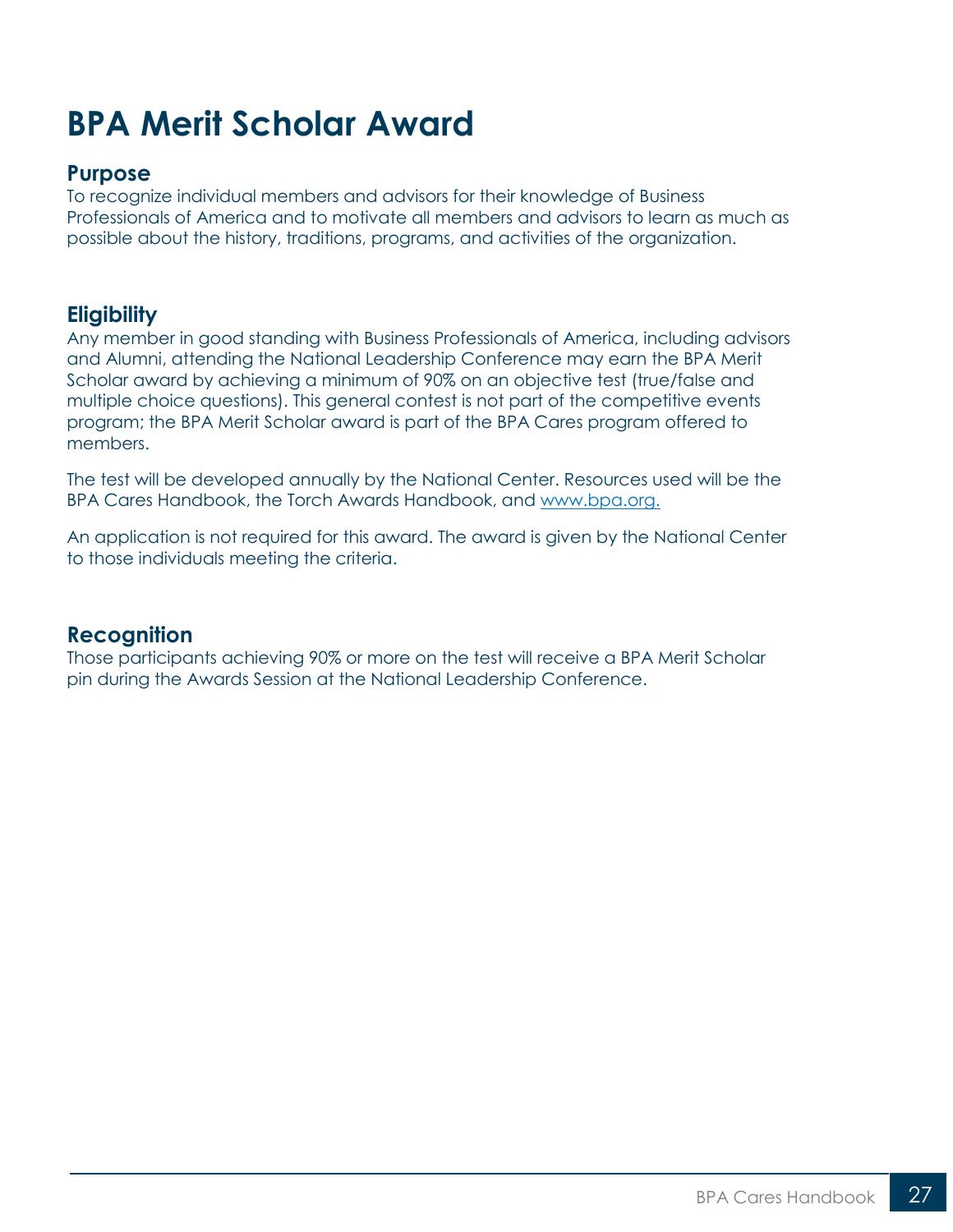## <span id="page-26-0"></span>**BPA Merit Scholar Award**

#### **Purpose**

To recognize individual members and advisors for their knowledge of Business Professionals of America and to motivate all members and advisors to learn as much as possible about the history, traditions, programs, and activities of the organization.

## **Eligibility**

Any member in good standing with Business Professionals of America, including advisors and Alumni, attending the National Leadership Conference may earn the BPA Merit Scholar award by achieving a minimum of 90% on an objective test (true/false and multiple choice questions). This general contest is not part of the competitive events program; the BPA Merit Scholar award is part of the BPA Cares program offered to members.

The test will be developed annually by the National Center. Resources used will be the BPA Cares Handbook, the Torch Awards Handbook, and [www.bpa.org.](http://www.bpa.org/)

An application is not required for this award. The award is given by the National Center to those individuals meeting the criteria.

#### **Recognition**

Those participants achieving 90% or more on the test will receive a BPA Merit Scholar pin during the Awards Session at the National Leadership Conference.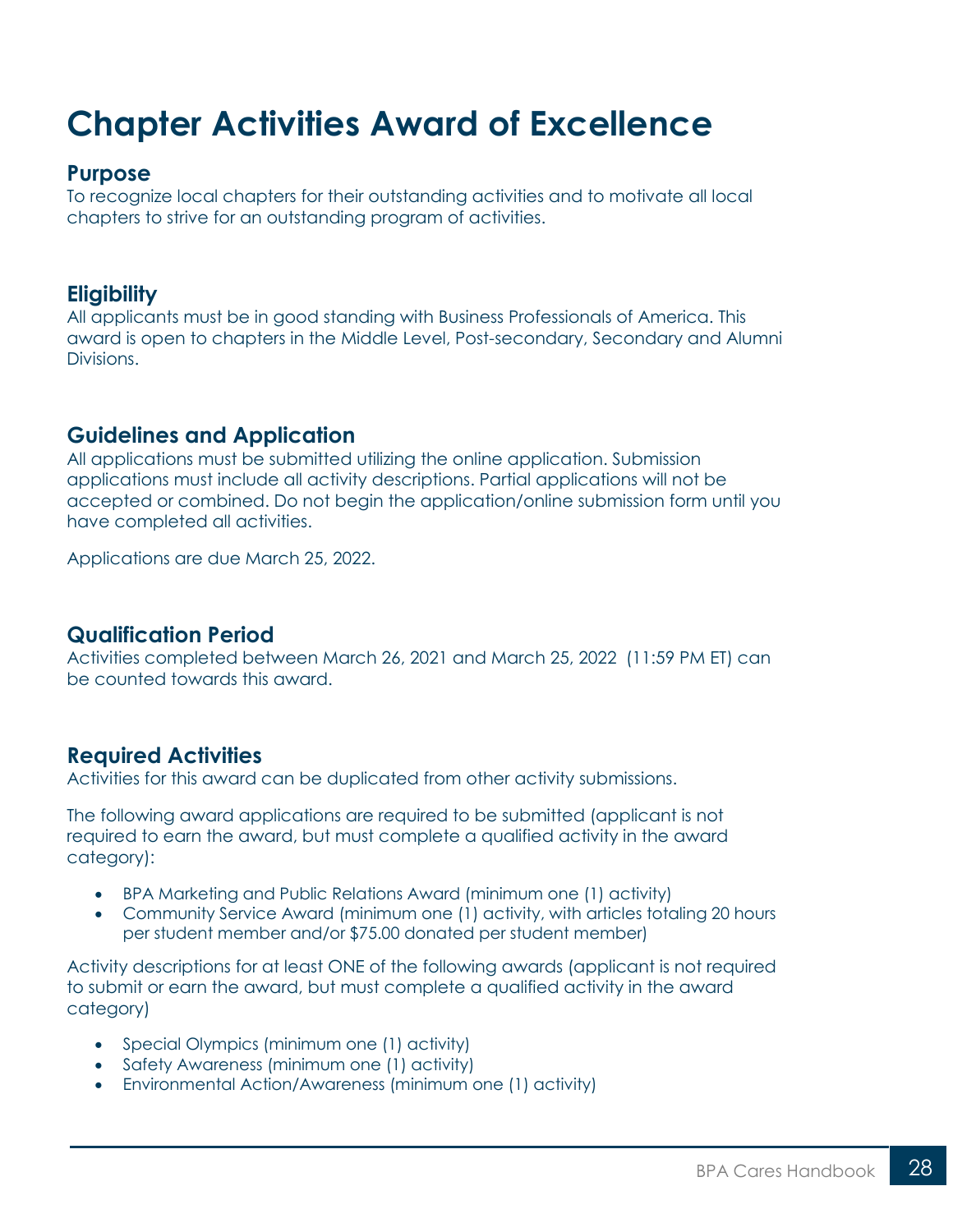## <span id="page-27-0"></span>**Chapter Activities Award of Excellence**

#### **Purpose**

To recognize local chapters for their outstanding activities and to motivate all local chapters to strive for an outstanding program of activities.

### **Eligibility**

All applicants must be in good standing with Business Professionals of America. This award is open to chapters in the Middle Level, Post-secondary, Secondary and Alumni Divisions.

## **Guidelines and Application**

All applications must be submitted utilizing the online application. Submission applications must include all activity descriptions. Partial applications will not be accepted or combined. Do not begin the application/online submission form until you have completed all activities.

Applications are due March 25, 2022.

### **Qualification Period**

Activities completed between March 26, 2021 and March 25, 2022 (11:59 PM ET) can be counted towards this award.

### **Required Activities**

Activities for this award can be duplicated from other activity submissions.

The following award applications are required to be submitted (applicant is not required to earn the award, but must complete a qualified activity in the award category):

- BPA Marketing and Public Relations Award (minimum one (1) activity)
- Community Service Award (minimum one (1) activity, with articles totaling 20 hours per student member and/or \$75.00 donated per student member)

Activity descriptions for at least ONE of the following awards (applicant is not required to submit or earn the award, but must complete a qualified activity in the award category)

- Special Olympics (minimum one (1) activity)
- Safety Awareness (minimum one (1) activity)
- Environmental Action/Awareness (minimum one (1) activity)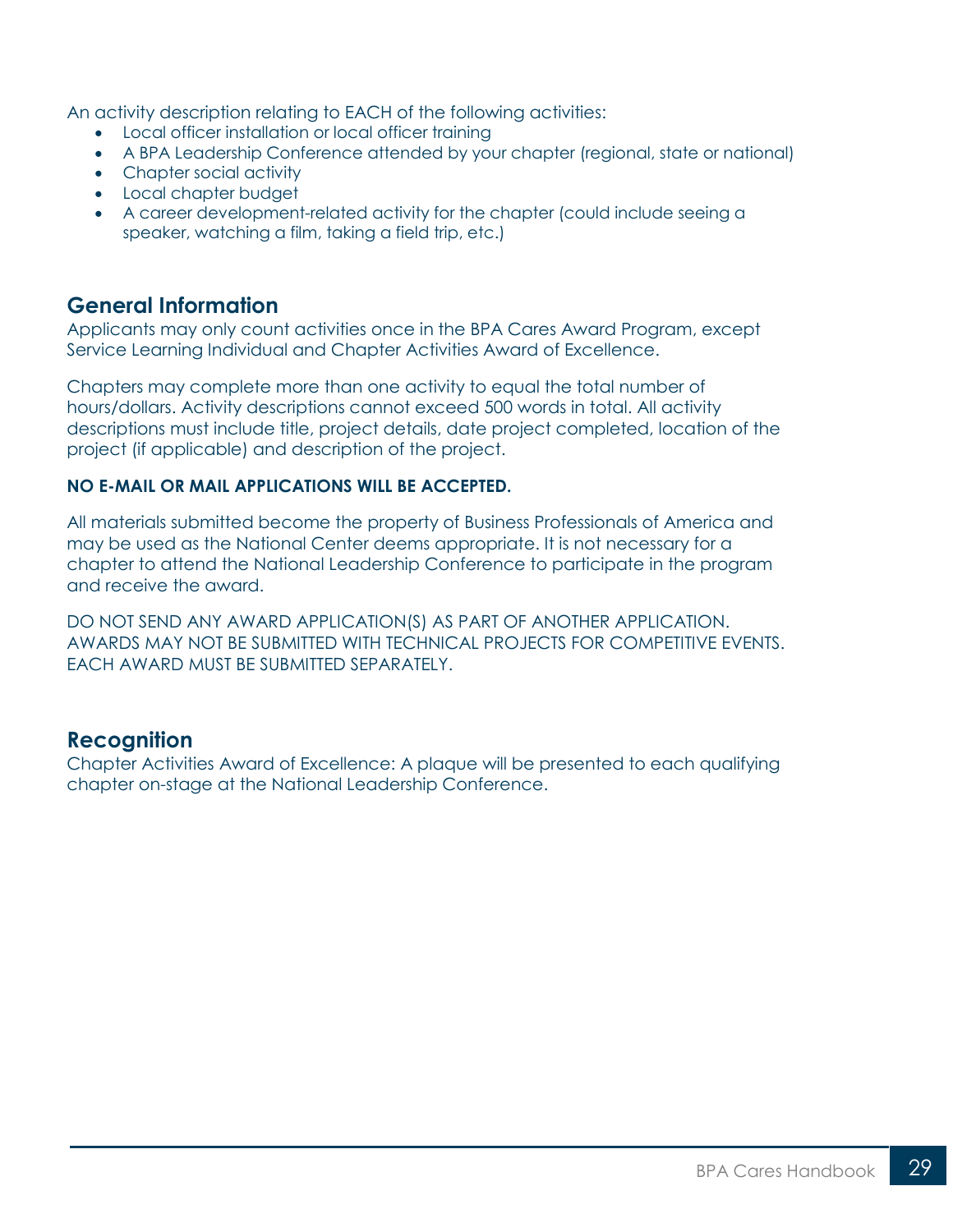An activity description relating to EACH of the following activities:

- Local officer installation or local officer training
- A BPA Leadership Conference attended by your chapter (regional, state or national)
- Chapter social activity
- Local chapter budget
- A career development-related activity for the chapter (could include seeing a speaker, watching a film, taking a field trip, etc.)

#### **General Information**

Applicants may only count activities once in the BPA Cares Award Program, except Service Learning Individual and Chapter Activities Award of Excellence.

Chapters may complete more than one activity to equal the total number of hours/dollars. Activity descriptions cannot exceed 500 words in total. All activity descriptions must include title, project details, date project completed, location of the project (if applicable) and description of the project.

#### **NO E-MAIL OR MAIL APPLICATIONS WILL BE ACCEPTED.**

All materials submitted become the property of Business Professionals of America and may be used as the National Center deems appropriate. It is not necessary for a chapter to attend the National Leadership Conference to participate in the program and receive the award.

DO NOT SEND ANY AWARD APPLICATION(S) AS PART OF ANOTHER APPLICATION. AWARDS MAY NOT BE SUBMITTED WITH TECHNICAL PROJECTS FOR COMPETITIVE EVENTS. EACH AWARD MUST BE SUBMITTED SEPARATELY.

#### **Recognition**

Chapter Activities Award of Excellence: A plaque will be presented to each qualifying chapter on-stage at the National Leadership Conference.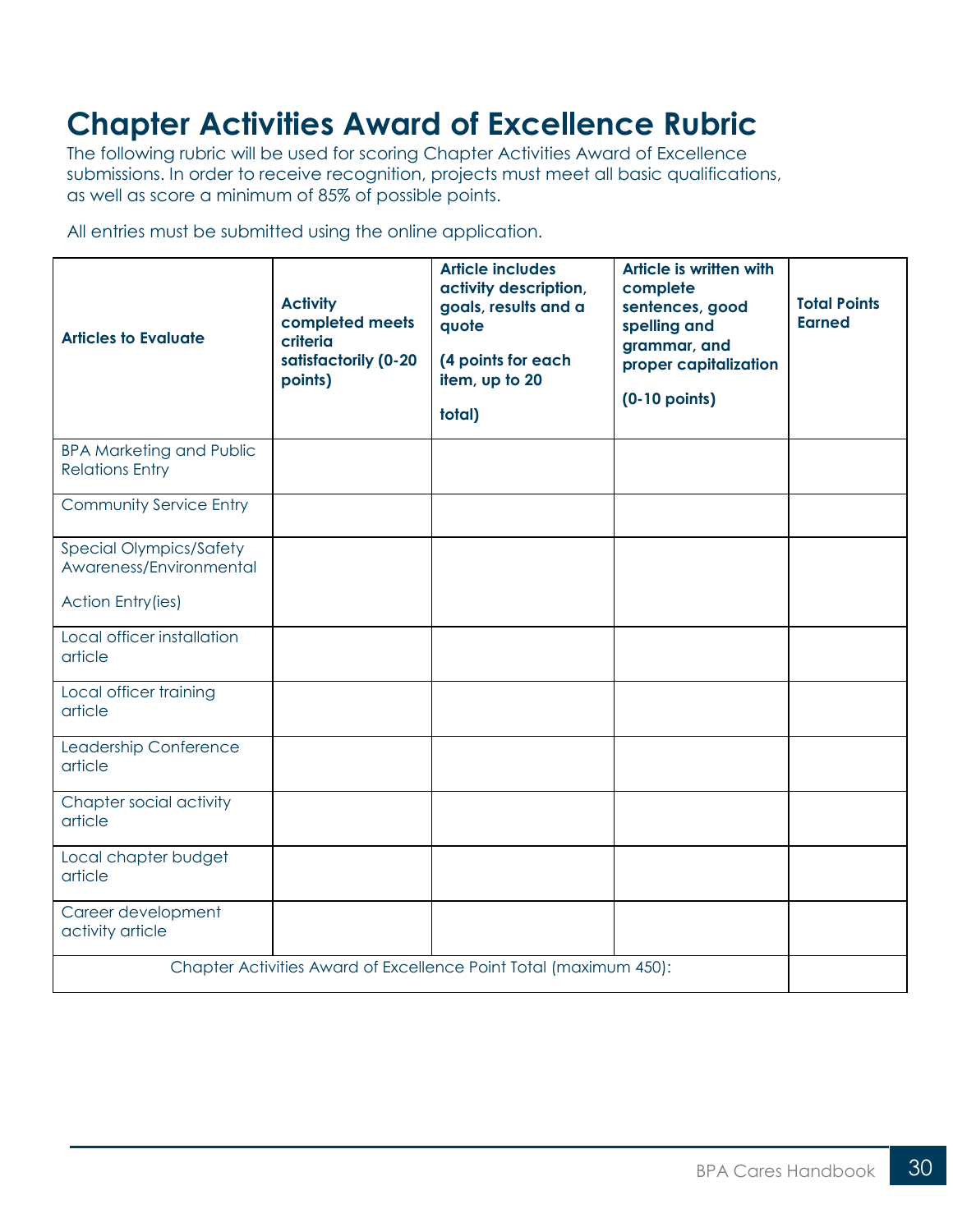## **Chapter Activities Award of Excellence Rubric**

The following rubric will be used for scoring Chapter Activities Award of Excellence submissions. In order to receive recognition, projects must meet all basic qualifications, as well as score a minimum of 85% of possible points.

All entries must be submitted using the online application.

| <b>Articles to Evaluate</b>                               | <b>Activity</b><br>completed meets<br>criteria<br>satisfactorily (0-20<br>points) | <b>Article includes</b><br>activity description,<br>goals, results and a<br>quote<br>(4 points for each<br>item, up to 20<br>total) | Article is written with<br>complete<br>sentences, good<br>spelling and<br>grammar, and<br>proper capitalization<br>$(0-10$ points) | <b>Total Points</b><br><b>Earned</b> |
|-----------------------------------------------------------|-----------------------------------------------------------------------------------|-------------------------------------------------------------------------------------------------------------------------------------|------------------------------------------------------------------------------------------------------------------------------------|--------------------------------------|
| <b>BPA Marketing and Public</b><br><b>Relations Entry</b> |                                                                                   |                                                                                                                                     |                                                                                                                                    |                                      |
| <b>Community Service Entry</b>                            |                                                                                   |                                                                                                                                     |                                                                                                                                    |                                      |
| <b>Special Olympics/Safety</b><br>Awareness/Environmental |                                                                                   |                                                                                                                                     |                                                                                                                                    |                                      |
| <b>Action Entry (ies)</b>                                 |                                                                                   |                                                                                                                                     |                                                                                                                                    |                                      |
| Local officer installation<br>article                     |                                                                                   |                                                                                                                                     |                                                                                                                                    |                                      |
| Local officer training<br>article                         |                                                                                   |                                                                                                                                     |                                                                                                                                    |                                      |
| Leadership Conference<br>article                          |                                                                                   |                                                                                                                                     |                                                                                                                                    |                                      |
| Chapter social activity<br>article                        |                                                                                   |                                                                                                                                     |                                                                                                                                    |                                      |
| Local chapter budget<br>article                           |                                                                                   |                                                                                                                                     |                                                                                                                                    |                                      |
| Career development<br>activity article                    |                                                                                   |                                                                                                                                     |                                                                                                                                    |                                      |
|                                                           |                                                                                   | Chapter Activities Award of Excellence Point Total (maximum 450):                                                                   |                                                                                                                                    |                                      |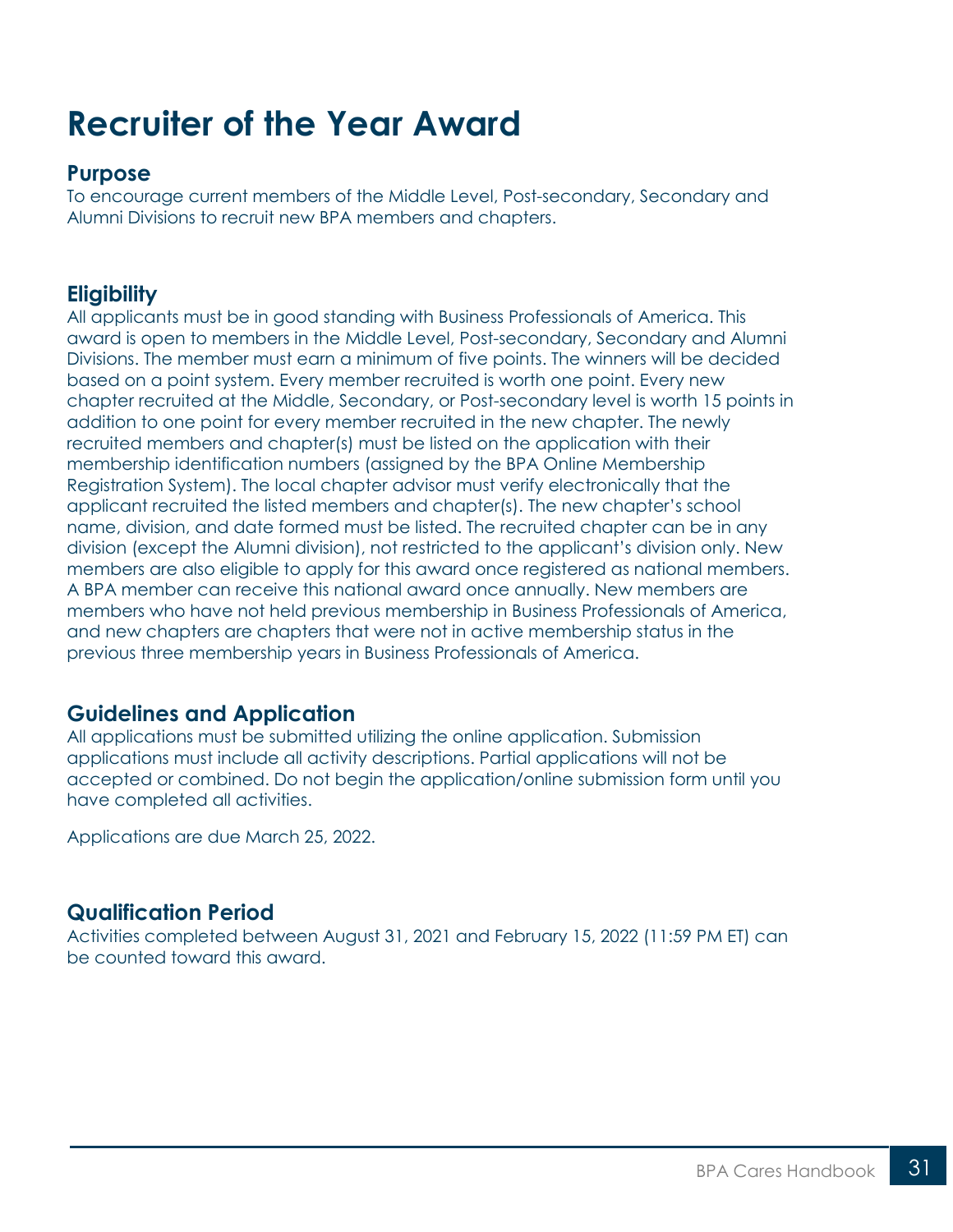## <span id="page-30-0"></span>**Recruiter of the Year Award**

### **Purpose**

To encourage current members of the Middle Level, Post-secondary, Secondary and Alumni Divisions to recruit new BPA members and chapters.

## **Eligibility**

All applicants must be in good standing with Business Professionals of America. This award is open to members in the Middle Level, Post-secondary, Secondary and Alumni Divisions. The member must earn a minimum of five points. The winners will be decided based on a point system. Every member recruited is worth one point. Every new chapter recruited at the Middle, Secondary, or Post-secondary level is worth 15 points in addition to one point for every member recruited in the new chapter. The newly recruited members and chapter(s) must be listed on the application with their membership identification numbers (assigned by the BPA Online Membership Registration System). The local chapter advisor must verify electronically that the applicant recruited the listed members and chapter(s). The new chapter's school name, division, and date formed must be listed. The recruited chapter can be in any division (except the Alumni division), not restricted to the applicant's division only. New members are also eligible to apply for this award once registered as national members. A BPA member can receive this national award once annually. New members are members who have not held previous membership in Business Professionals of America, and new chapters are chapters that were not in active membership status in the previous three membership years in Business Professionals of America.

## **Guidelines and Application**

All applications must be submitted utilizing the online application. Submission applications must include all activity descriptions. Partial applications will not be accepted or combined. Do not begin the application/online submission form until you have completed all activities.

Applications are due March 25, 2022.

## **Qualification Period**

Activities completed between August 31, 2021 and February 15, 2022 (11:59 PM ET) can be counted toward this award.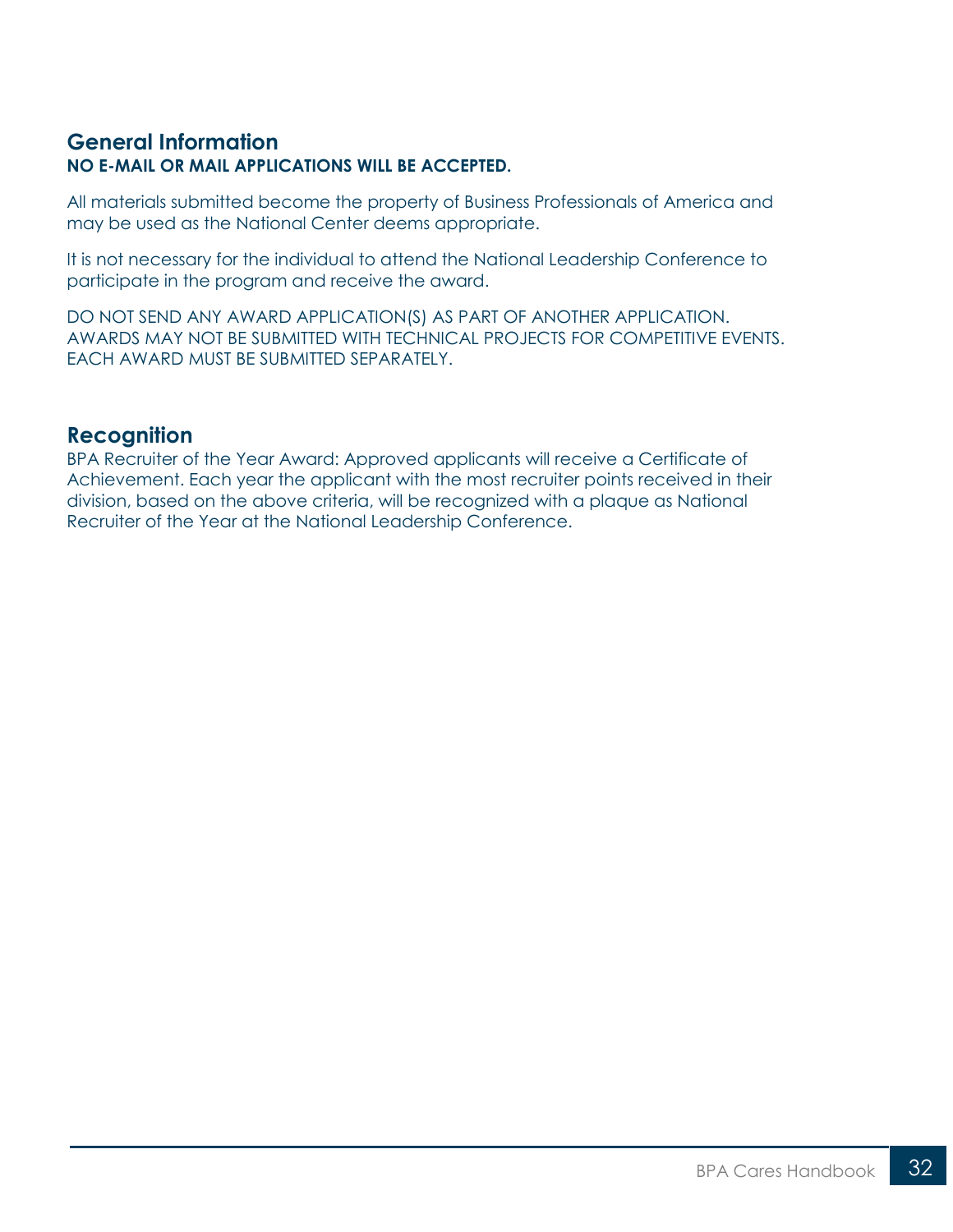#### **General Information NO E-MAIL OR MAIL APPLICATIONS WILL BE ACCEPTED.**

All materials submitted become the property of Business Professionals of America and may be used as the National Center deems appropriate.

It is not necessary for the individual to attend the National Leadership Conference to participate in the program and receive the award.

DO NOT SEND ANY AWARD APPLICATION(S) AS PART OF ANOTHER APPLICATION. AWARDS MAY NOT BE SUBMITTED WITH TECHNICAL PROJECTS FOR COMPETITIVE EVENTS. EACH AWARD MUST BE SUBMITTED SEPARATELY.

#### **Recognition**

BPA Recruiter of the Year Award: Approved applicants will receive a Certificate of Achievement. Each year the applicant with the most recruiter points received in their division, based on the above criteria, will be recognized with a plaque as National Recruiter of the Year at the National Leadership Conference.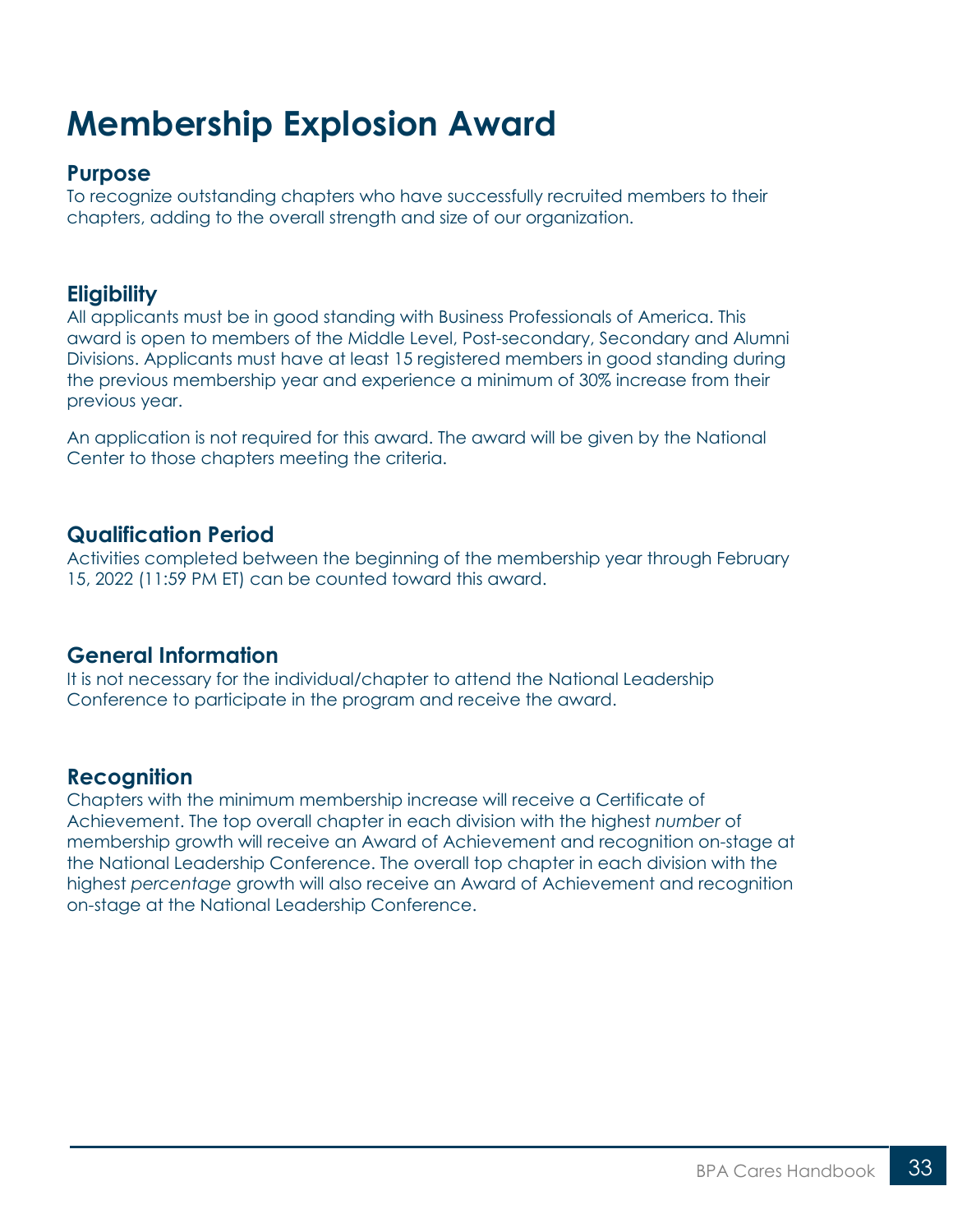## <span id="page-32-0"></span>**Membership Explosion Award**

#### **Purpose**

To recognize outstanding chapters who have successfully recruited members to their chapters, adding to the overall strength and size of our organization.

#### **Eligibility**

All applicants must be in good standing with Business Professionals of America. This award is open to members of the Middle Level, Post-secondary, Secondary and Alumni Divisions. Applicants must have at least 15 registered members in good standing during the previous membership year and experience a minimum of 30% increase from their previous year.

An application is not required for this award. The award will be given by the National Center to those chapters meeting the criteria.

#### **Qualification Period**

Activities completed between the beginning of the membership year through February 15, 2022 (11:59 PM ET) can be counted toward this award.

#### **General Information**

It is not necessary for the individual/chapter to attend the National Leadership Conference to participate in the program and receive the award.

#### **Recognition**

Chapters with the minimum membership increase will receive a Certificate of Achievement. The top overall chapter in each division with the highest *number* of membership growth will receive an Award of Achievement and recognition on-stage at the National Leadership Conference. The overall top chapter in each division with the highest *percentage* growth will also receive an Award of Achievement and recognition on-stage at the National Leadership Conference.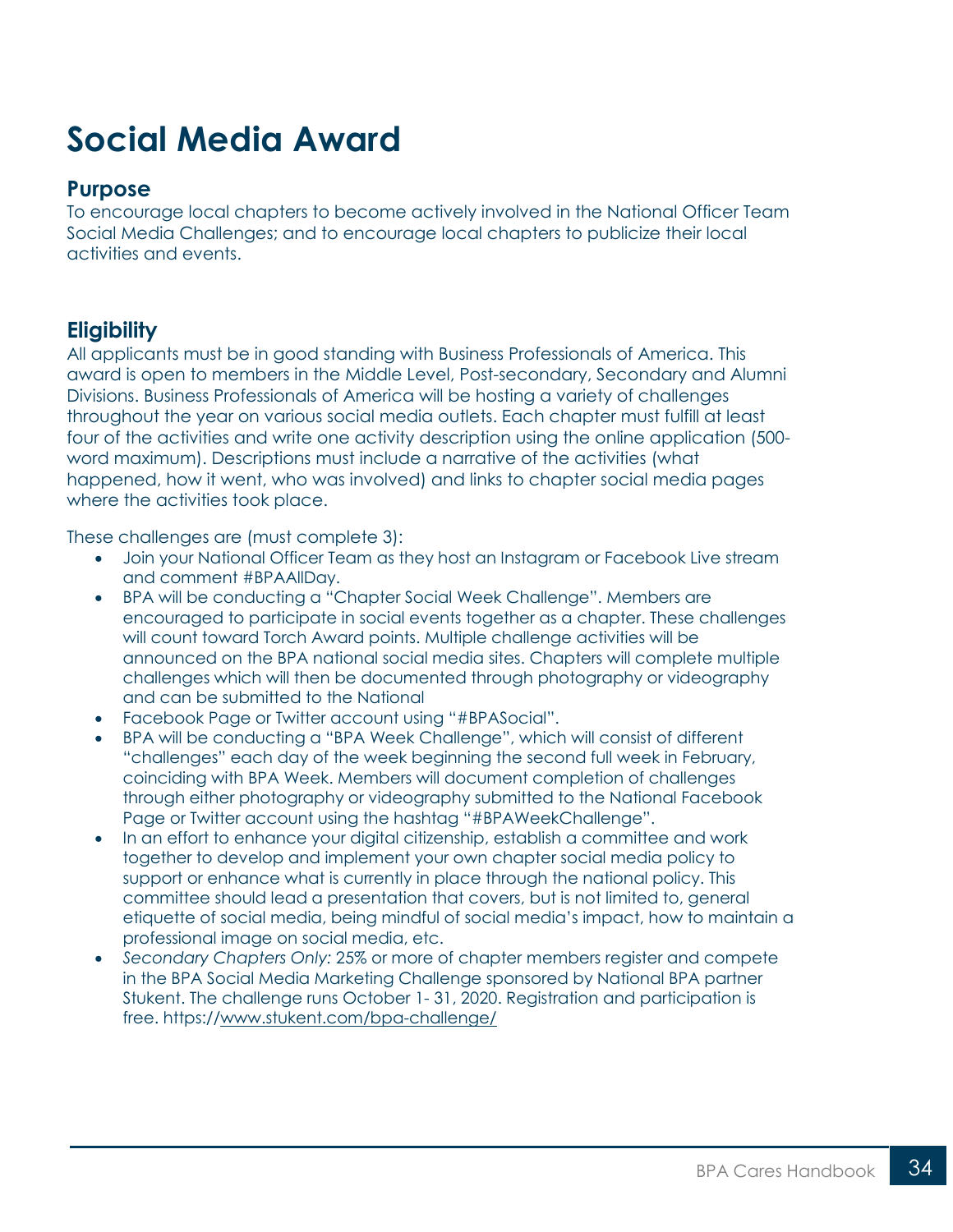## <span id="page-33-0"></span>**Social Media Award**

#### **Purpose**

To encourage local chapters to become actively involved in the National Officer Team Social Media Challenges; and to encourage local chapters to publicize their local activities and events.

## **Eligibility**

All applicants must be in good standing with Business Professionals of America. This award is open to members in the Middle Level, Post-secondary, Secondary and Alumni Divisions. Business Professionals of America will be hosting a variety of challenges throughout the year on various social media outlets. Each chapter must fulfill at least four of the activities and write one activity description using the online application (500 word maximum). Descriptions must include a narrative of the activities (what happened, how it went, who was involved) and links to chapter social media pages where the activities took place.

These challenges are (must complete 3):

- Join your National Officer Team as they host an Instagram or Facebook Live stream and comment #BPAAllDay.
- BPA will be conducting a "Chapter Social Week Challenge". Members are encouraged to participate in social events together as a chapter. These challenges will count toward Torch Award points. Multiple challenge activities will be announced on the BPA national social media sites. Chapters will complete multiple challenges which will then be documented through photography or videography and can be submitted to the National
- Facebook Page or Twitter account using "#BPASocial".
- BPA will be conducting a "BPA Week Challenge", which will consist of different "challenges" each day of the week beginning the second full week in February, coinciding with BPA Week. Members will document completion of challenges through either photography or videography submitted to the National Facebook Page or Twitter account using the hashtag "#BPAWeekChallenge".
- In an effort to enhance your digital citizenship, establish a committee and work together to develop and implement your own chapter social media policy to support or enhance what is currently in place through the national policy. This committee should lead a presentation that covers, but is not limited to, general etiquette of social media, being mindful of social media's impact, how to maintain a professional image on social media, etc.
- *Secondary Chapters Only:* 25% or more of chapter members register and compete in the BPA Social Media Marketing Challenge sponsored by National BPA partner Stukent. The challenge runs October 1- 31, 2020. Registration and participation is free. https:/[/www.stukent.com/bpa-challenge/](http://www.stukent.com/bpa-challenge/)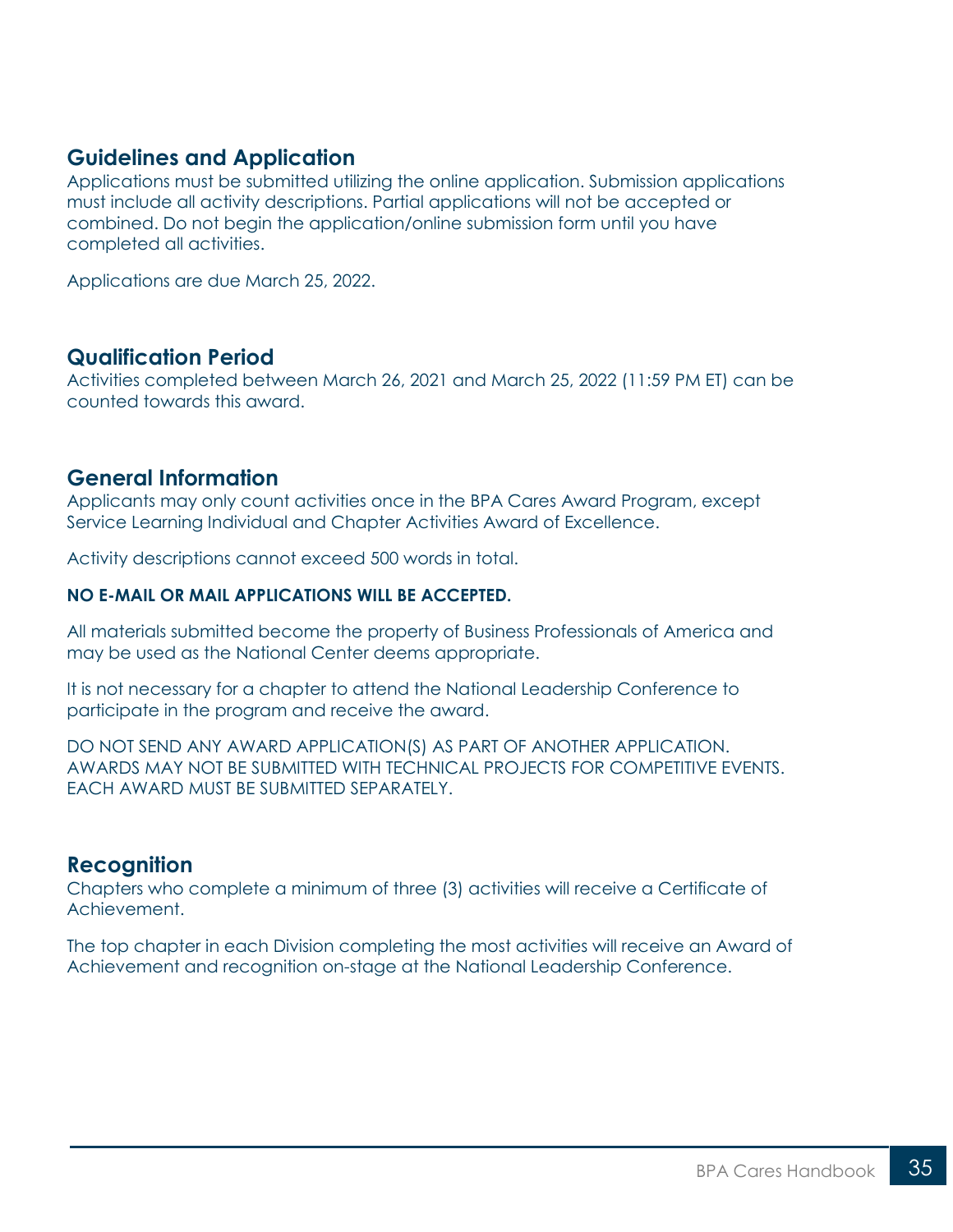#### **Guidelines and Application**

Applications must be submitted utilizing the online application. Submission applications must include all activity descriptions. Partial applications will not be accepted or combined. Do not begin the application/online submission form until you have completed all activities.

Applications are due March 25, 2022.

#### **Qualification Period**

Activities completed between March 26, 2021 and March 25, 2022 (11:59 PM ET) can be counted towards this award.

#### **General Information**

Applicants may only count activities once in the BPA Cares Award Program, except Service Learning Individual and Chapter Activities Award of Excellence.

Activity descriptions cannot exceed 500 words in total.

#### **NO E-MAIL OR MAIL APPLICATIONS WILL BE ACCEPTED.**

All materials submitted become the property of Business Professionals of America and may be used as the National Center deems appropriate.

It is not necessary for a chapter to attend the National Leadership Conference to participate in the program and receive the award.

DO NOT SEND ANY AWARD APPLICATION(S) AS PART OF ANOTHER APPLICATION. AWARDS MAY NOT BE SUBMITTED WITH TECHNICAL PROJECTS FOR COMPETITIVE EVENTS. EACH AWARD MUST BE SUBMITTED SEPARATELY.

### **Recognition**

Chapters who complete a minimum of three (3) activities will receive a Certificate of Achievement.

The top chapter in each Division completing the most activities will receive an Award of Achievement and recognition on-stage at the National Leadership Conference.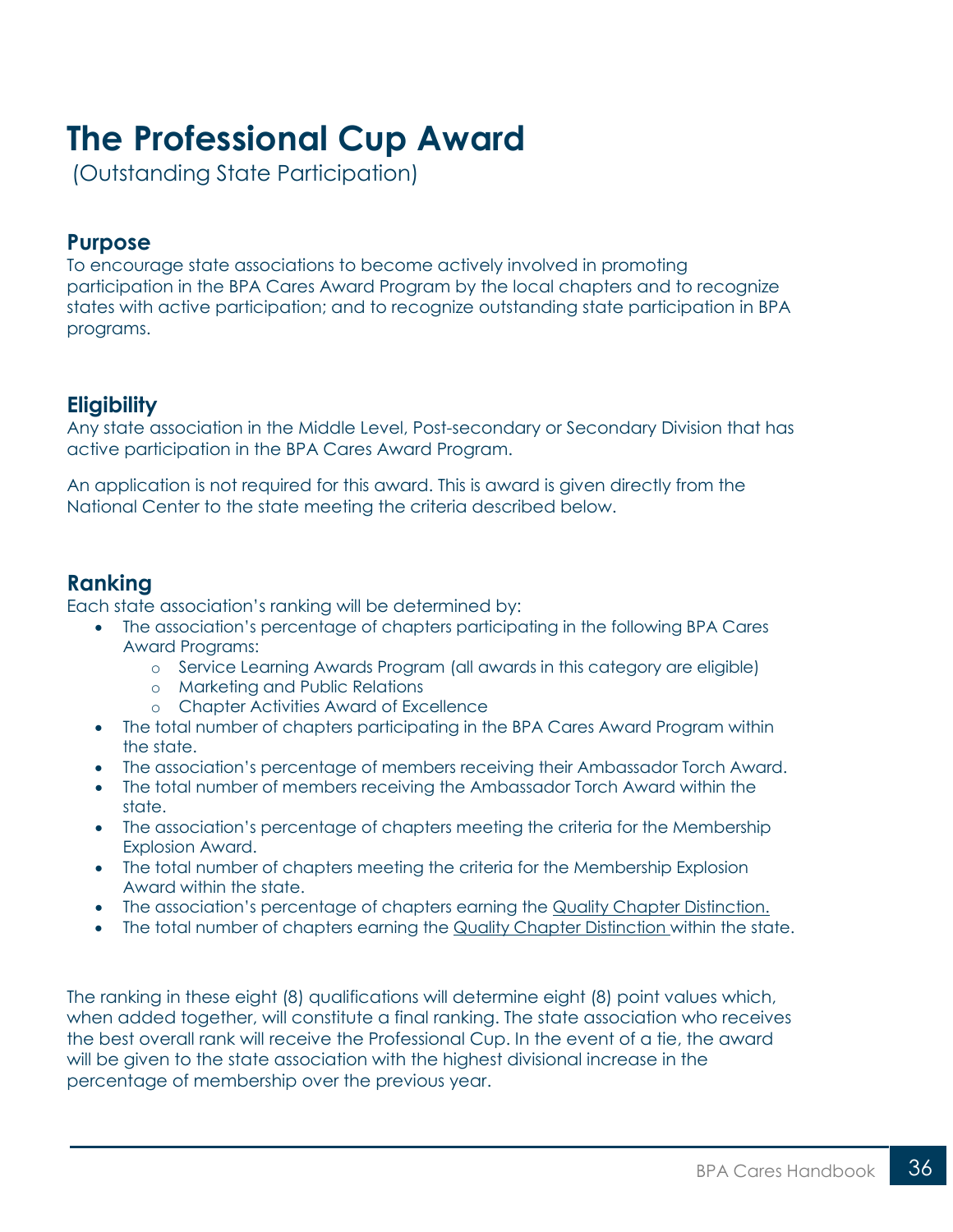## <span id="page-35-0"></span>**The Professional Cup Award**

(Outstanding State Participation)

### **Purpose**

To encourage state associations to become actively involved in promoting participation in the BPA Cares Award Program by the local chapters and to recognize states with active participation; and to recognize outstanding state participation in BPA programs.

### **Eligibility**

Any state association in the Middle Level, Post-secondary or Secondary Division that has active participation in the BPA Cares Award Program.

An application is not required for this award. This is award is given directly from the National Center to the state meeting the criteria described below.

## **Ranking**

Each state association's ranking will be determined by:

- The association's percentage of chapters participating in the following BPA Cares Award Programs:
	- o Service Learning Awards Program (all awards in this category are eligible)
	- o Marketing and Public Relations
	- o Chapter Activities Award of Excellence
- The total number of chapters participating in the BPA Cares Award Program within the state.
- The association's percentage of members receiving their Ambassador Torch Award.
- The total number of members receiving the Ambassador Torch Award within the state.
- The association's percentage of chapters meeting the criteria for the Membership Explosion Award.
- The total number of chapters meeting the criteria for the Membership Explosion Award within the state.
- The association's percentage of chapters earning the [Quality Chapter Distinction.](https://bpa.org/students/scholarships-and-awards/quality-chapter-distinction/)
- The total number of chapters earning the [Quality Chapter Distinction](https://bpa.org/students/scholarships-and-awards/quality-chapter-distinction/) [w](https://bpa.org/students/scholarships-and-awards/quality-chapter-distinction/)ithin the state.

The ranking in these eight (8) qualifications will determine eight (8) point values which, when added together, will constitute a final ranking. The state association who receives the best overall rank will receive the Professional Cup. In the event of a tie, the award will be given to the state association with the highest divisional increase in the percentage of membership over the previous year.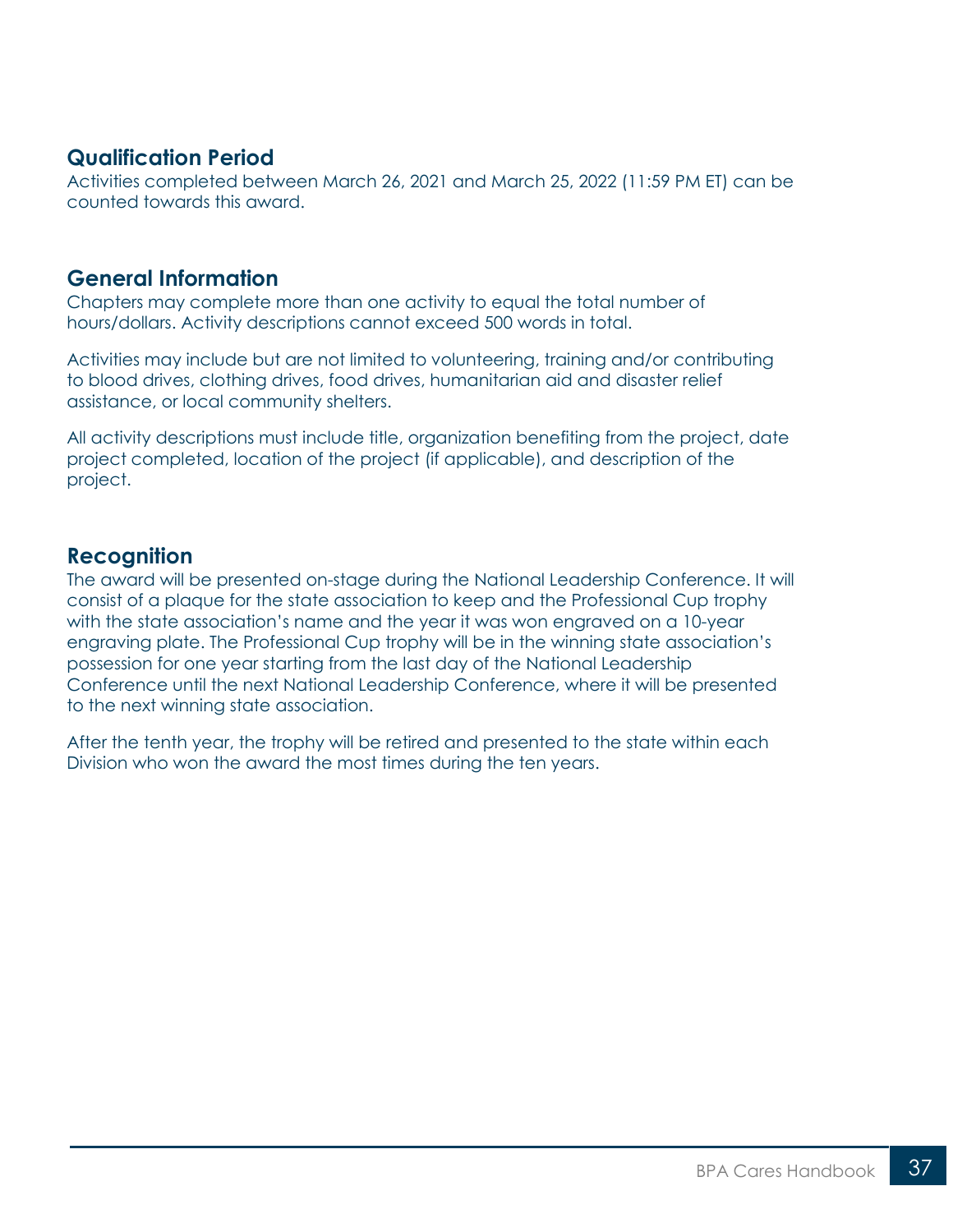#### **Qualification Period**

Activities completed between March 26, 2021 and March 25, 2022 (11:59 PM ET) can be counted towards this award.

#### **General Information**

Chapters may complete more than one activity to equal the total number of hours/dollars. Activity descriptions cannot exceed 500 words in total.

Activities may include but are not limited to volunteering, training and/or contributing to blood drives, clothing drives, food drives, humanitarian aid and disaster relief assistance, or local community shelters.

All activity descriptions must include title, organization benefiting from the project, date project completed, location of the project (if applicable), and description of the project.

#### **Recognition**

The award will be presented on-stage during the National Leadership Conference. It will consist of a plaque for the state association to keep and the Professional Cup trophy with the state association's name and the year it was won engraved on a 10-year engraving plate. The Professional Cup trophy will be in the winning state association's possession for one year starting from the last day of the National Leadership Conference until the next National Leadership Conference, where it will be presented to the next winning state association.

After the tenth year, the trophy will be retired and presented to the state within each Division who won the award the most times during the ten years.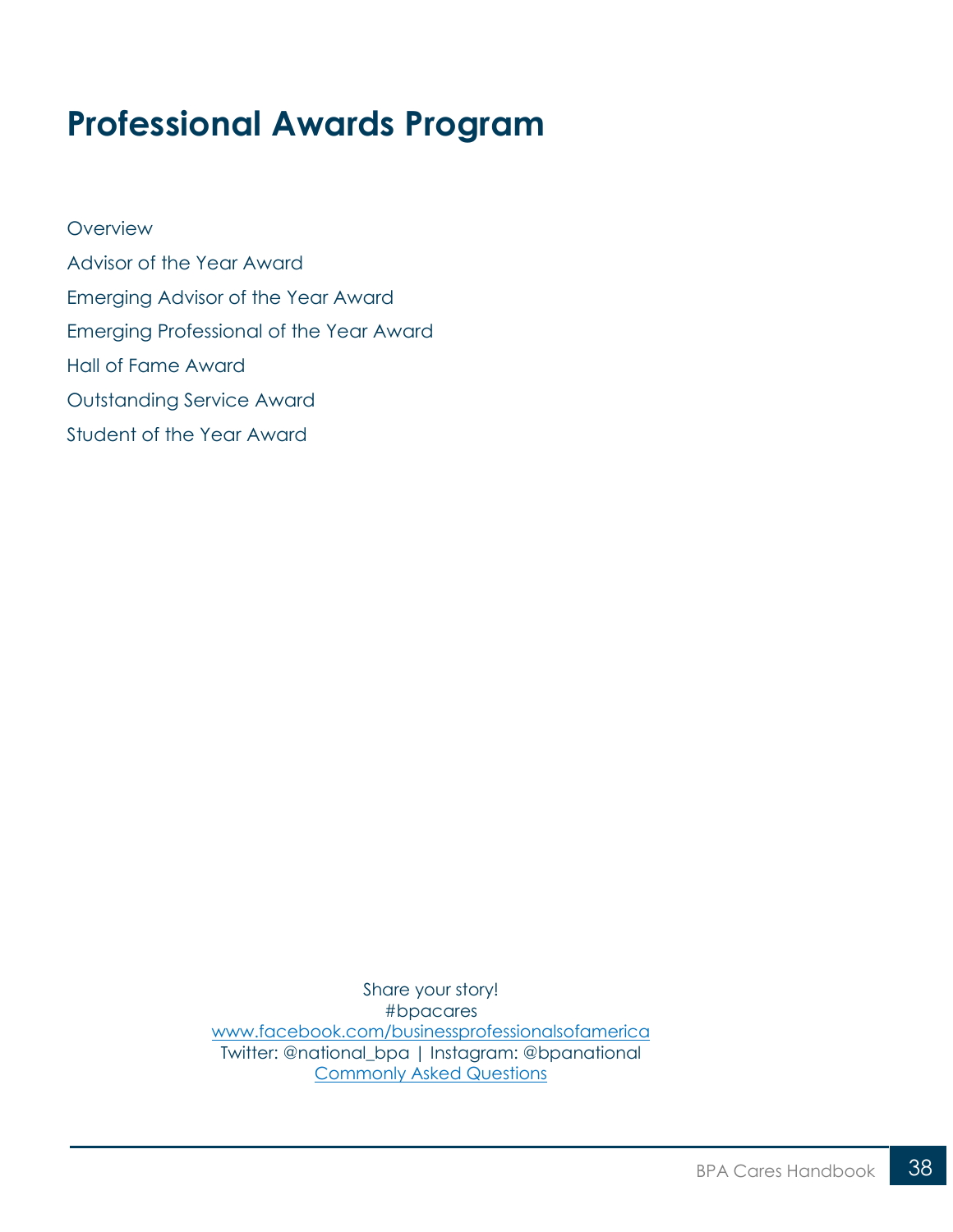## <span id="page-37-0"></span>**Professional Awards Program**

**[Overview](#page-38-0)** [Advisor of the Year Award](#page-40-0) [Emerging Advisor of the Year Award](#page-41-0) [Emerging Professional of the Year Award](#page-42-0) [Hall of Fame Award](#page-43-0) [Outstanding Service Award](#page-45-0) [Student of the Year Award](#page-47-0)

> Share your story! #bpacares [www.facebook.com/businessprofessionalsofamerica](http://www.facebook.com/businessprofessionalsofamerica) Twitter: @national\_bpa | Instagram: @bpanational [Commonly Asked Questions](https://bpa.org/students/bpa-cares/)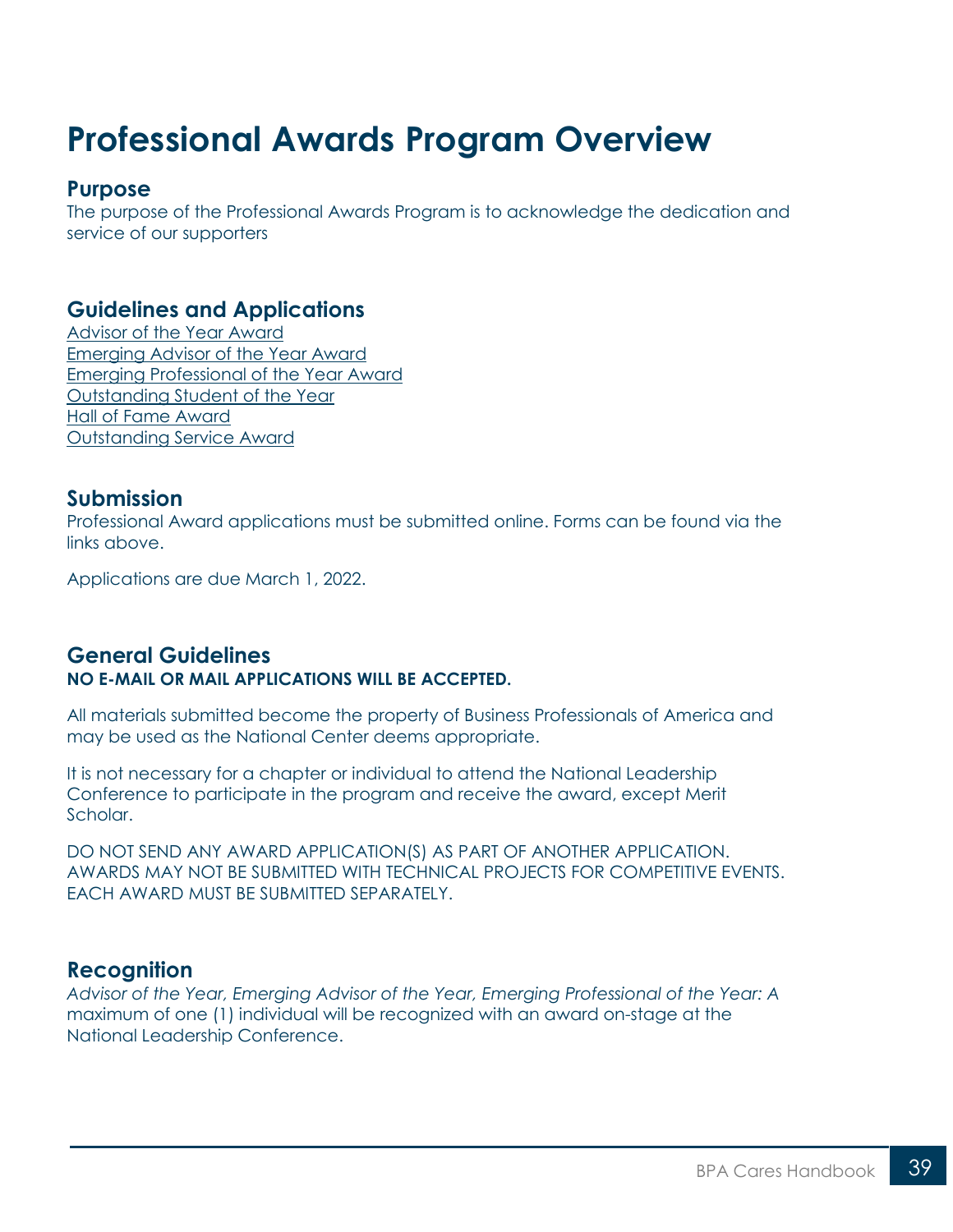## <span id="page-38-0"></span>**Professional Awards Program Overview**

#### **Purpose**

The purpose of the Professional Awards Program is to acknowledge the dedication and service of our supporters

### **Guidelines and Applications**

[Advisor of the Year Award](https://bpa.org/students/bpa-cares/advisor-of-the-year-award/) [Emerging Advisor of the Year Award](https://bpa.org/students/bpa-cares/emerging-advisor-of-the-year-award/) [Emerging Professional of the Year Award](https://bpa.org/students/bpa-cares/emerging-professional-of-the-year-award/) [Outstanding Student of the Year](https://bpa.org/students/bpa-cares/student-of-the-year-award/) [Hall of Fame Award](https://bpa.org/students/bpa-cares/hall-of-fame/) [Outstanding Service Award](https://bpa.org/students/bpa-cares/outstanding-service-award/)

### **Submission**

Professional Award applications must be submitted online. Forms can be found via the links above.

Applications are due March 1, 2022.

#### **General Guidelines NO E-MAIL OR MAIL APPLICATIONS WILL BE ACCEPTED.**

All materials submitted become the property of Business Professionals of America and may be used as the National Center deems appropriate.

It is not necessary for a chapter or individual to attend the National Leadership Conference to participate in the program and receive the award, except Merit Scholar.

DO NOT SEND ANY AWARD APPLICATION(S) AS PART OF ANOTHER APPLICATION. AWARDS MAY NOT BE SUBMITTED WITH TECHNICAL PROJECTS FOR COMPETITIVE EVENTS. EACH AWARD MUST BE SUBMITTED SEPARATELY.

#### **Recognition**

*Advisor of the Year, Emerging Advisor of the Year, Emerging Professional of the Year: A* maximum of one (1) individual will be recognized with an award on-stage at the National Leadership Conference.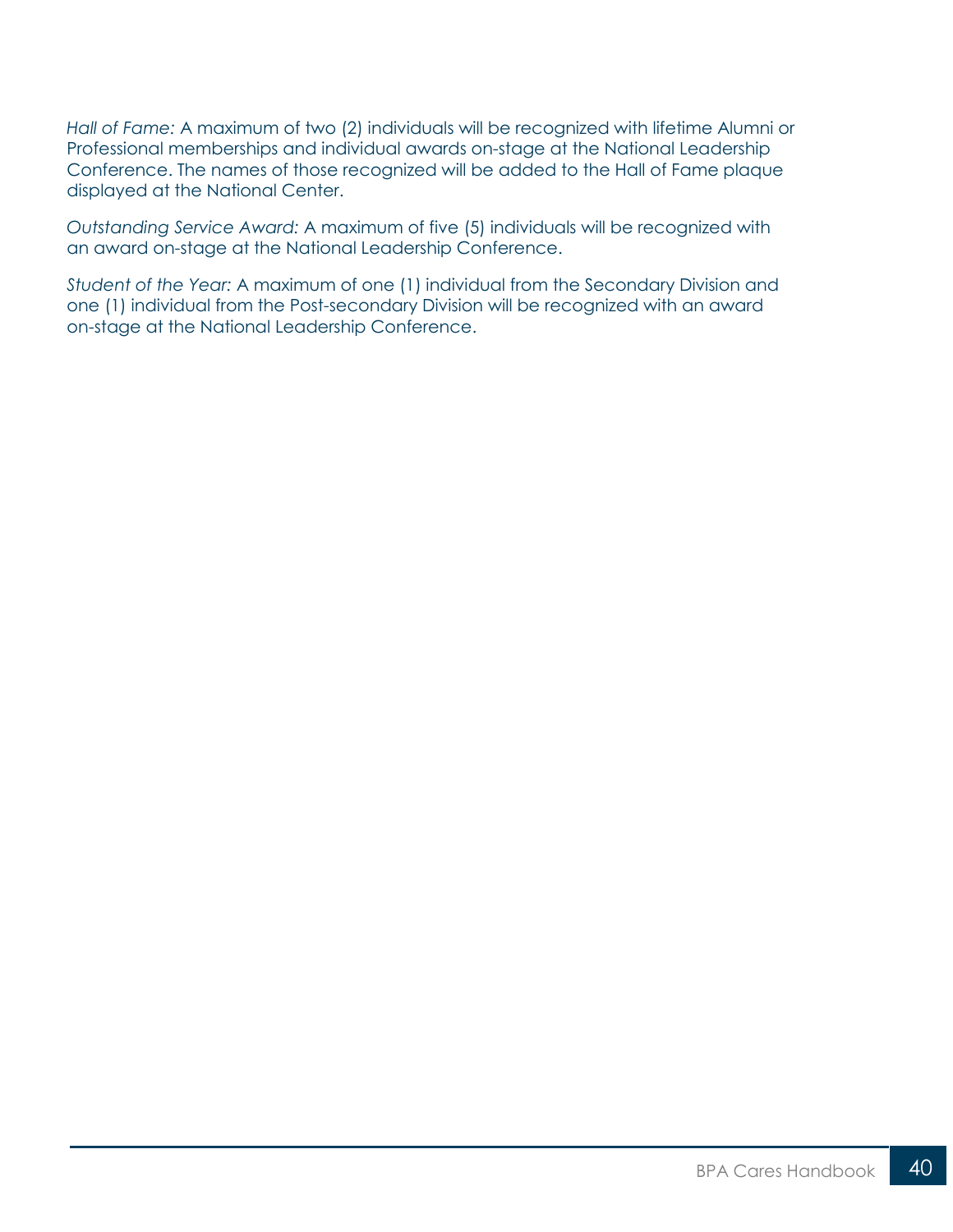*Hall of Fame:* A maximum of two (2) individuals will be recognized with lifetime Alumni or Professional memberships and individual awards on-stage at the National Leadership Conference. The names of those recognized will be added to the Hall of Fame plaque displayed at the National Center.

*Outstanding Service Award:* A maximum of five (5) individuals will be recognized with an award on-stage at the National Leadership Conference.

*Student of the Year:* A maximum of one (1) individual from the Secondary Division and one (1) individual from the Post-secondary Division will be recognized with an award on-stage at the National Leadership Conference.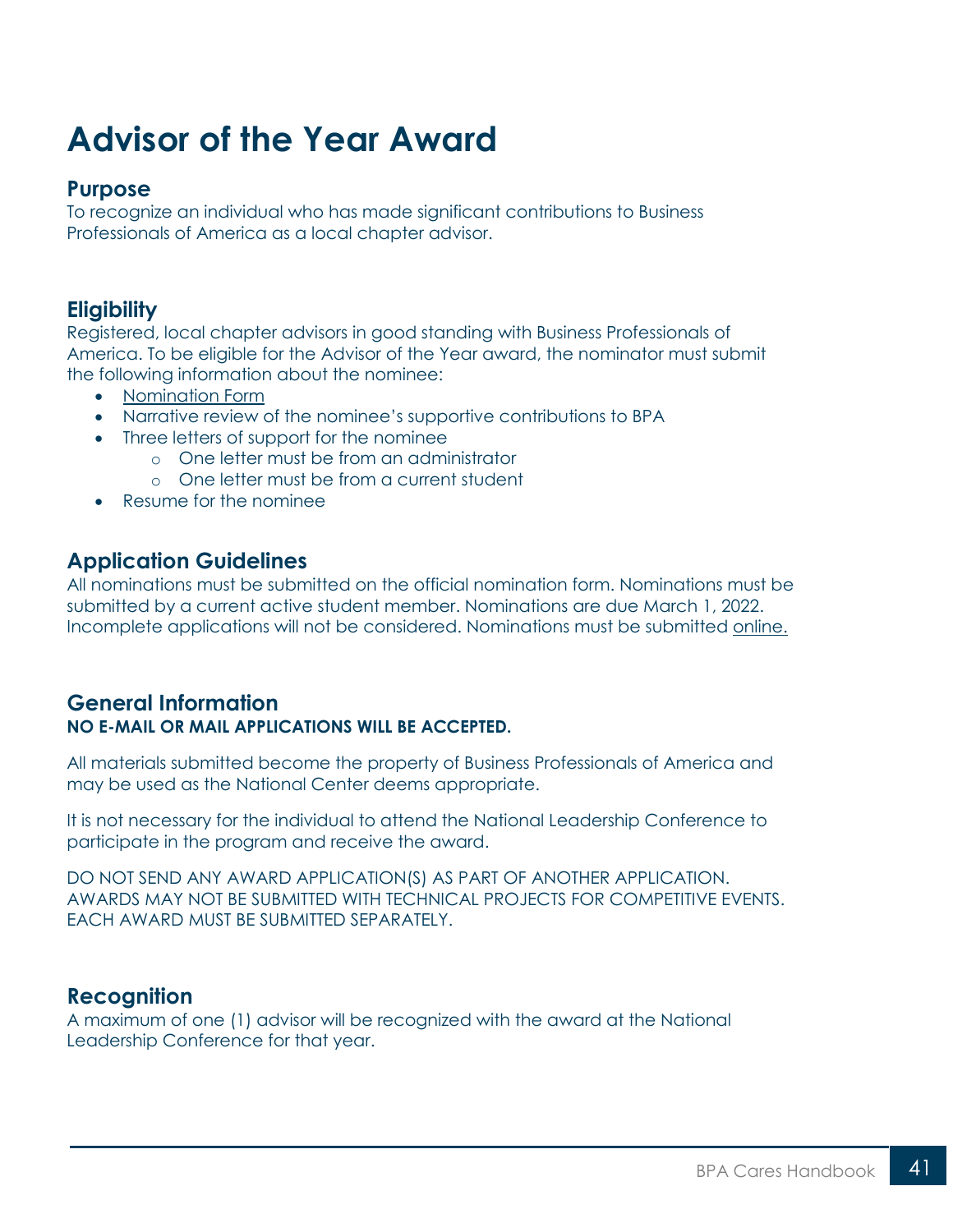## <span id="page-40-0"></span>**Advisor of the Year Award**

#### **Purpose**

To recognize an individual who has made significant contributions to Business Professionals of America as a local chapter advisor.

## **Eligibility**

Registered, local chapter advisors in good standing with Business Professionals of America. To be eligible for the Advisor of the Year award, the nominator must submit the following information about the nominee:

- [Nomination Form](https://bpa.org/students/bpa-cares/advisor-of-the-year-award/)
- Narrative review of the nominee's supportive contributions to BPA
- Three letters of support for the nominee
	- o One letter must be from an administrator
	- o One letter must be from a current student
- Resume for the nominee

## **Application Guidelines**

All nominations must be submitted on the official nomination form. Nominations must be submitted by a current active student member. Nominations are due March 1, 2022. Incomplete applications will not be considered. Nominations must be submitted [online.](https://bpa.org/students/bpa-cares/advisor-of-the-year-award/)

### **General Information NO E-MAIL OR MAIL APPLICATIONS WILL BE ACCEPTED.**

All materials submitted become the property of Business Professionals of America and may be used as the National Center deems appropriate.

It is not necessary for the individual to attend the National Leadership Conference to participate in the program and receive the award.

DO NOT SEND ANY AWARD APPLICATION(S) AS PART OF ANOTHER APPLICATION. AWARDS MAY NOT BE SUBMITTED WITH TECHNICAL PROJECTS FOR COMPETITIVE EVENTS. EACH AWARD MUST BE SUBMITTED SEPARATELY.

### **Recognition**

A maximum of one (1) advisor will be recognized with the award at the National Leadership Conference for that year.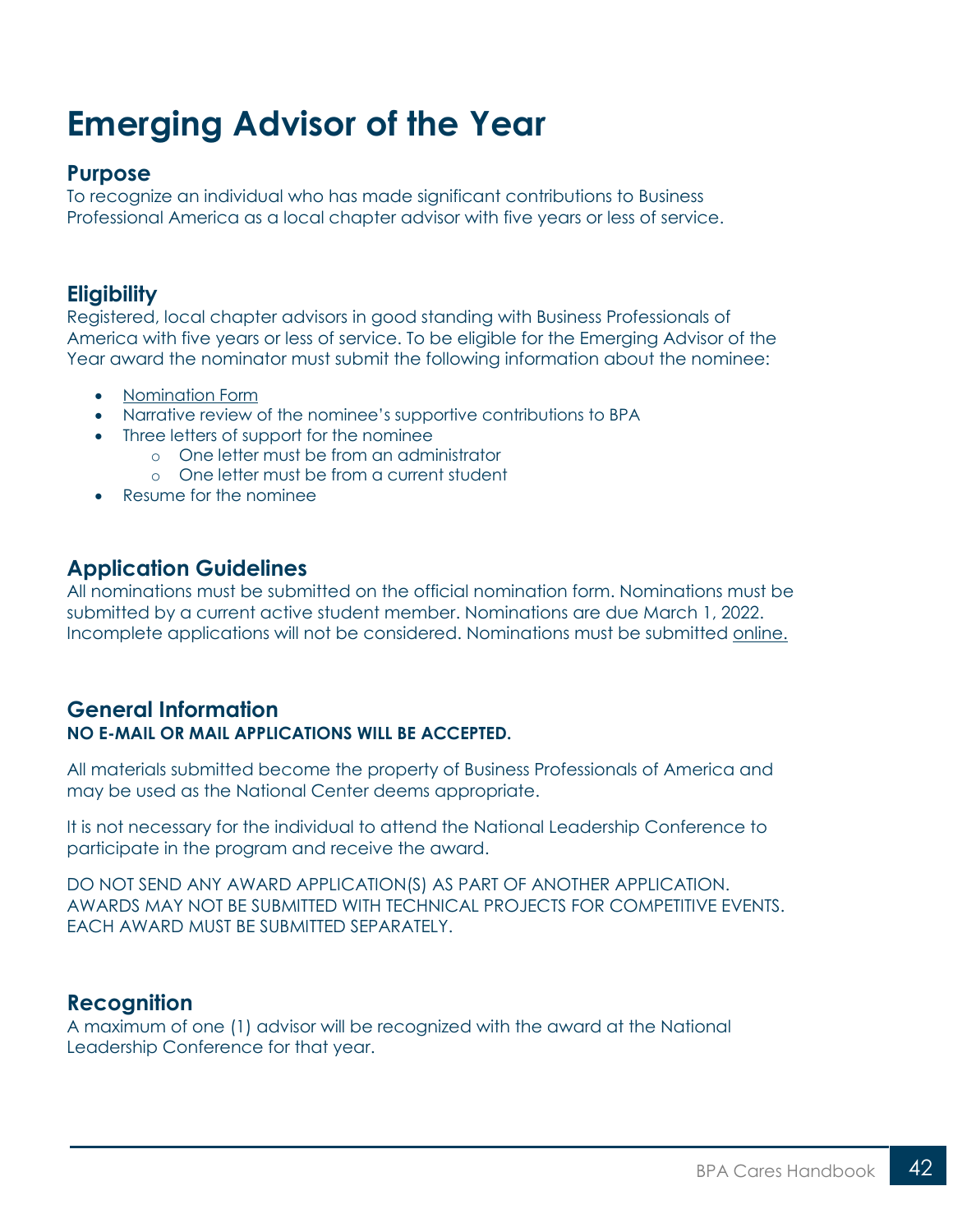## <span id="page-41-0"></span>**Emerging Advisor of the Year**

#### **Purpose**

To recognize an individual who has made significant contributions to Business Professional America as a local chapter advisor with five years or less of service.

## **Eligibility**

Registered, local chapter advisors in good standing with Business Professionals of America with five years or less of service. To be eligible for the Emerging Advisor of the Year award the nominator must submit the following information about the nominee:

- [Nomination Form](https://bpa.org/students/bpa-cares/emerging-advisor-of-the-year-award/)
- Narrative review of the nominee's supportive contributions to BPA
- Three letters of support for the nominee
	- o One letter must be from an administrator
	- o One letter must be from a current student
	- Resume for the nominee

#### **Application Guidelines**

All nominations must be submitted on the official nomination form. Nominations must be submitted by a current active student member. Nominations are due March 1, 2022. Incomplete applications will not be considered. Nominations must be submitted [online.](https://bpa.org/students/bpa-cares/emerging-advisor-of-the-year-award/)

#### **General Information NO E-MAIL OR MAIL APPLICATIONS WILL BE ACCEPTED.**

All materials submitted become the property of Business Professionals of America and may be used as the National Center deems appropriate.

It is not necessary for the individual to attend the National Leadership Conference to participate in the program and receive the award.

DO NOT SEND ANY AWARD APPLICATION(S) AS PART OF ANOTHER APPLICATION. AWARDS MAY NOT BE SUBMITTED WITH TECHNICAL PROJECTS FOR COMPETITIVE EVENTS. EACH AWARD MUST BE SUBMITTED SEPARATELY.

#### **Recognition**

A maximum of one (1) advisor will be recognized with the award at the National Leadership Conference for that year.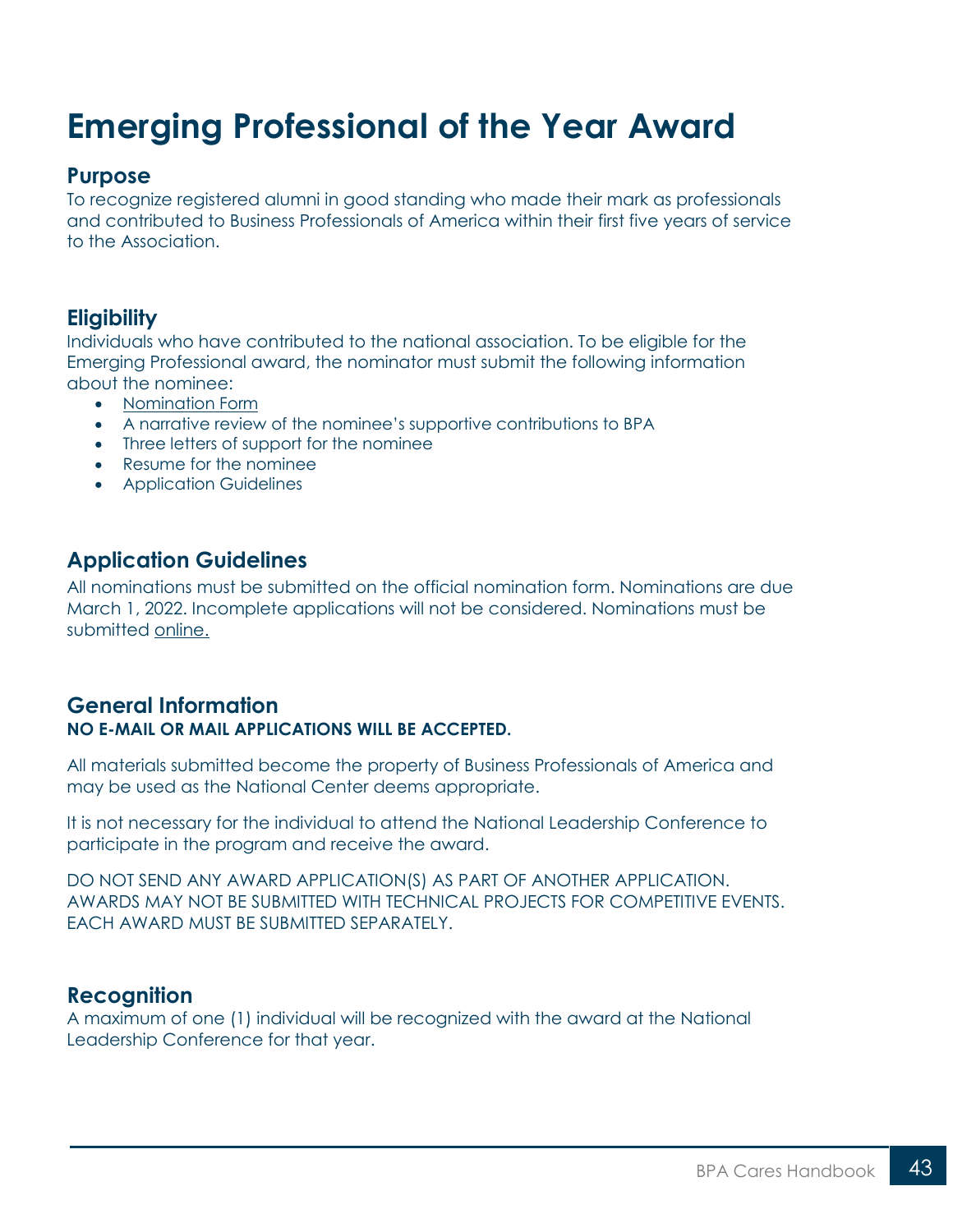## <span id="page-42-0"></span>**Emerging Professional of the Year Award**

#### **Purpose**

To recognize registered alumni in good standing who made their mark as professionals and contributed to Business Professionals of America within their first five years of service to the Association.

## **Eligibility**

Individuals who have contributed to the national association. To be eligible for the Emerging Professional award, the nominator must submit the following information about the nominee:

- [Nomination Form](https://bpa.org/students/bpa-cares/emerging-professional-of-the-year-award/)
- A narrative review of the nominee's supportive contributions to BPA
- Three letters of support for the nominee
- Resume for the nominee
- Application Guidelines

### **Application Guidelines**

All nominations must be submitted on the official nomination form. Nominations are due March 1, 2022. Incomplete applications will not be considered. Nominations must be submitted [online.](https://bpa.org/students/bpa-cares/emerging-professional-of-the-year-award/)

#### **General Information NO E-MAIL OR MAIL APPLICATIONS WILL BE ACCEPTED.**

All materials submitted become the property of Business Professionals of America and may be used as the National Center deems appropriate.

It is not necessary for the individual to attend the National Leadership Conference to participate in the program and receive the award.

DO NOT SEND ANY AWARD APPLICATION(S) AS PART OF ANOTHER APPLICATION. AWARDS MAY NOT BE SUBMITTED WITH TECHNICAL PROJECTS FOR COMPETITIVE EVENTS. EACH AWARD MUST BE SUBMITTED SEPARATELY.

#### **Recognition**

A maximum of one (1) individual will be recognized with the award at the National Leadership Conference for that year.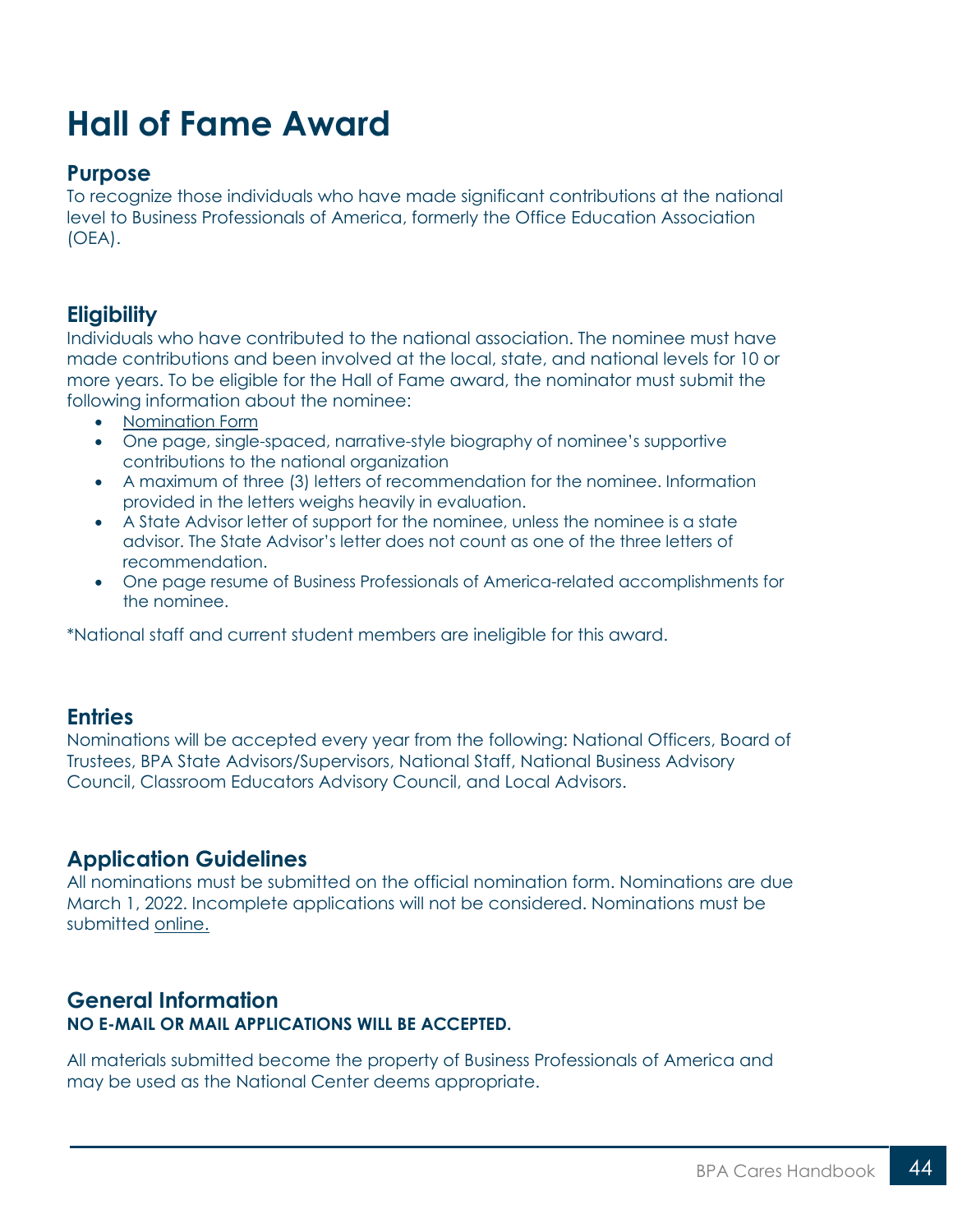## <span id="page-43-0"></span>**Hall of Fame Award**

#### **Purpose**

To recognize those individuals who have made significant contributions at the national level to Business Professionals of America, formerly the Office Education Association (OEA).

## **Eligibility**

Individuals who have contributed to the national association. The nominee must have made contributions and been involved at the local, state, and national levels for 10 or more years. To be eligible for the Hall of Fame award, the nominator must submit the following information about the nominee:

- [Nomination Form](https://bpa.org/students/bpa-cares/hall-of-fame/)
- One page, single-spaced, narrative-style biography of nominee's supportive contributions to the national organization
- A maximum of three (3) letters of recommendation for the nominee. Information provided in the letters weighs heavily in evaluation.
- A State Advisor letter of support for the nominee, unless the nominee is a state advisor. The State Advisor's letter does not count as one of the three letters of recommendation.
- One page resume of Business Professionals of America-related accomplishments for the nominee.

\*National staff and current student members are ineligible for this award.

#### **Entries**

Nominations will be accepted every year from the following: National Officers, Board of Trustees, BPA State Advisors/Supervisors, National Staff, National Business Advisory Council, Classroom Educators Advisory Council, and Local Advisors.

#### **Application Guidelines**

All nominations must be submitted on the official nomination form. Nominations are due March 1, 2022. Incomplete applications will not be considered. Nominations must be submitted [online.](https://bpa.org/students/bpa-cares/hall-of-fame/)

#### **General Information NO E-MAIL OR MAIL APPLICATIONS WILL BE ACCEPTED.**

All materials submitted become the property of Business Professionals of America and may be used as the National Center deems appropriate.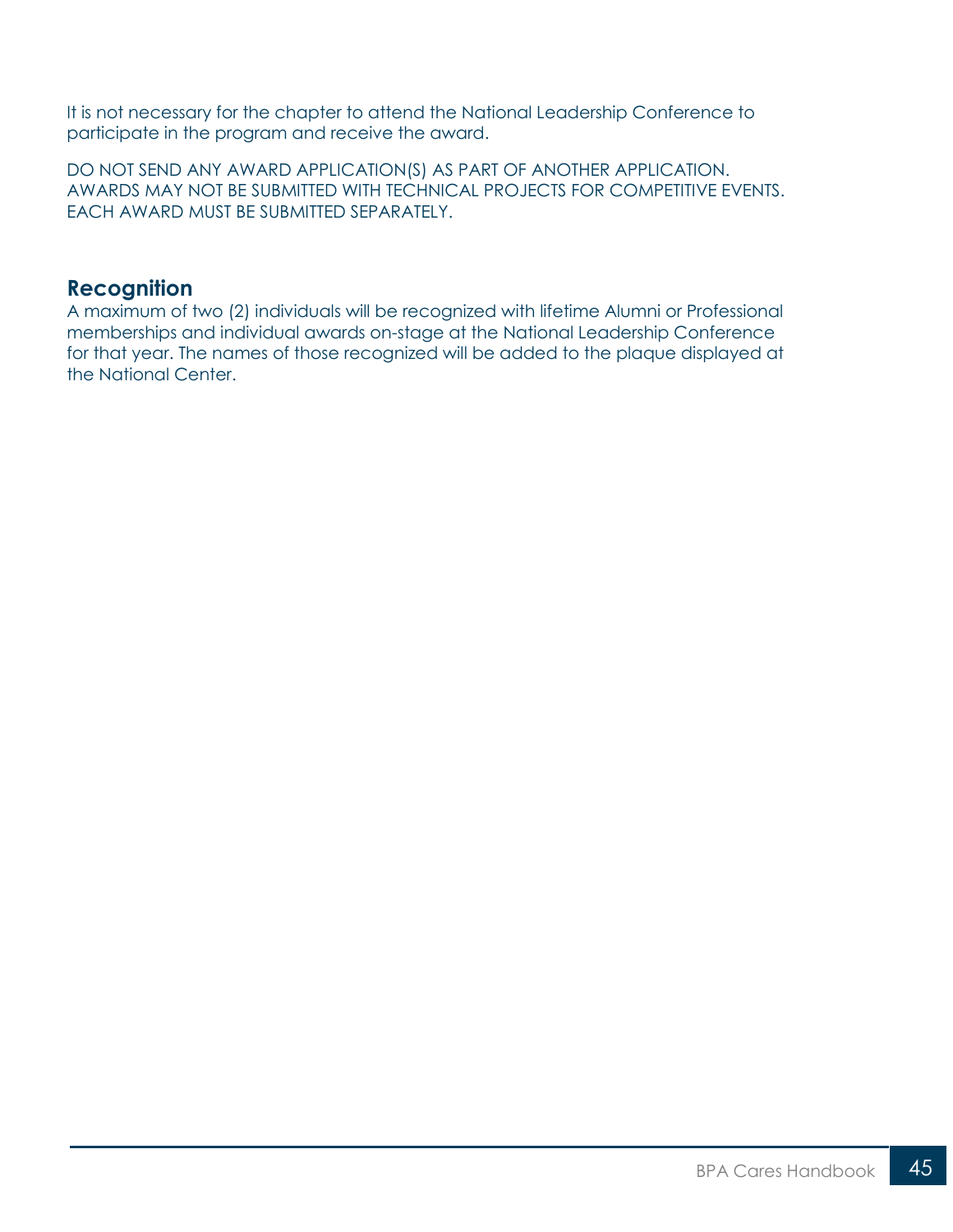It is not necessary for the chapter to attend the National Leadership Conference to participate in the program and receive the award.

DO NOT SEND ANY AWARD APPLICATION(S) AS PART OF ANOTHER APPLICATION. AWARDS MAY NOT BE SUBMITTED WITH TECHNICAL PROJECTS FOR COMPETITIVE EVENTS. EACH AWARD MUST BE SUBMITTED SEPARATELY.

#### **Recognition**

A maximum of two (2) individuals will be recognized with lifetime Alumni or Professional memberships and individual awards on-stage at the National Leadership Conference for that year. The names of those recognized will be added to the plaque displayed at the National Center.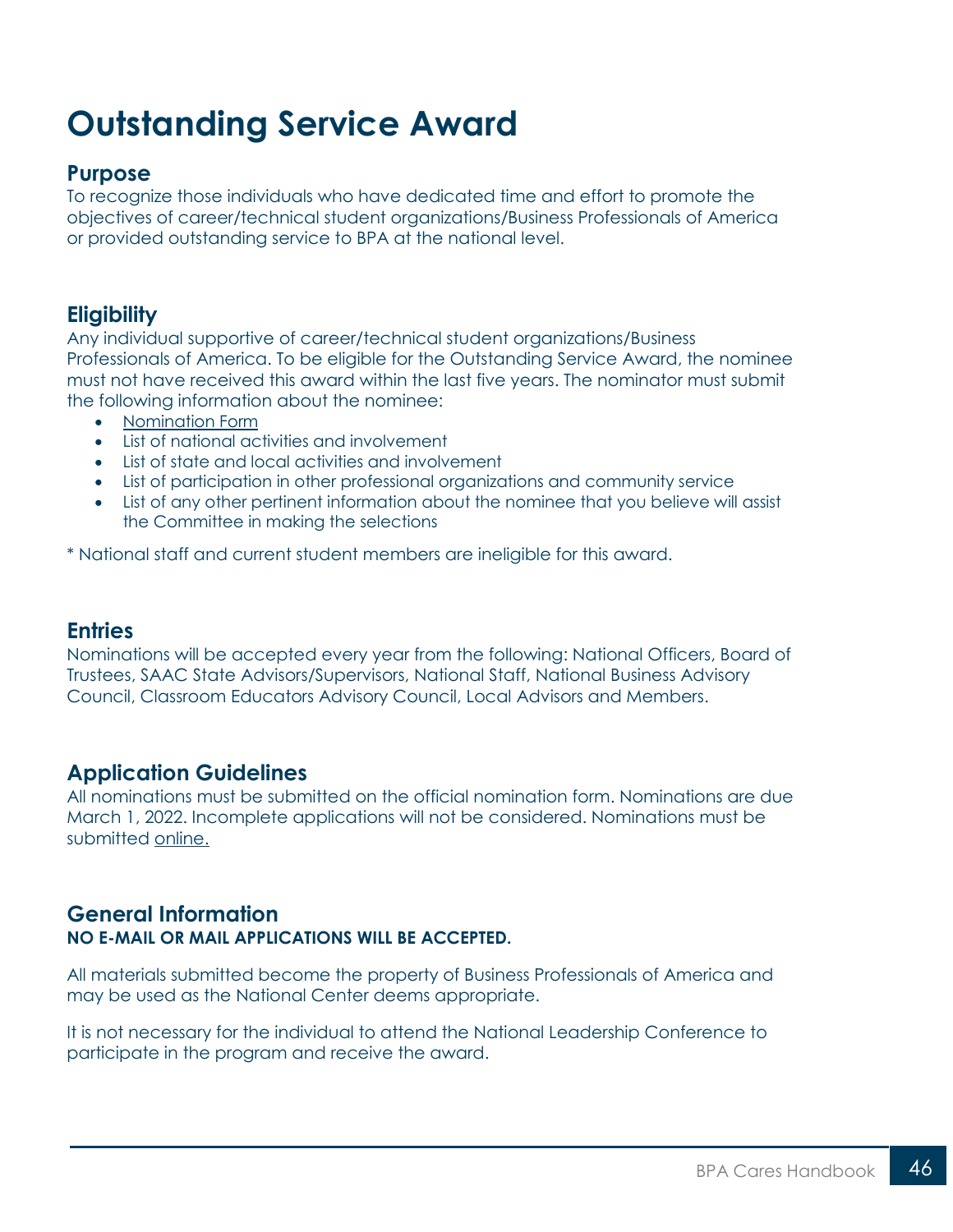## <span id="page-45-0"></span>**Outstanding Service Award**

#### **Purpose**

To recognize those individuals who have dedicated time and effort to promote the objectives of career/technical student organizations/Business Professionals of America or provided outstanding service to BPA at the national level.

### **Eligibility**

Any individual supportive of career/technical student organizations/Business Professionals of America. To be eligible for the Outstanding Service Award, the nominee must not have received this award within the last five years. The nominator must submit the following information about the nominee:

- [Nomination Form](https://bpa.org/students/bpa-cares/outstanding-service-award/)
- List of national activities and involvement
- List of state and local activities and involvement
- List of participation in other professional organizations and community service
- List of any other pertinent information about the nominee that you believe will assist the Committee in making the selections

\* National staff and current student members are ineligible for this award.

#### **Entries**

Nominations will be accepted every year from the following: National Officers, Board of Trustees, SAAC State Advisors/Supervisors, National Staff, National Business Advisory Council, Classroom Educators Advisory Council, Local Advisors and Members.

#### **Application Guidelines**

All nominations must be submitted on the official nomination form. Nominations are due March 1, 2022. Incomplete applications will not be considered. Nominations must be submitted [online.](https://bpa.org/students/bpa-cares/outstanding-service-award/)

#### **General Information NO E-MAIL OR MAIL APPLICATIONS WILL BE ACCEPTED.**

All materials submitted become the property of Business Professionals of America and may be used as the National Center deems appropriate.

It is not necessary for the individual to attend the National Leadership Conference to participate in the program and receive the award.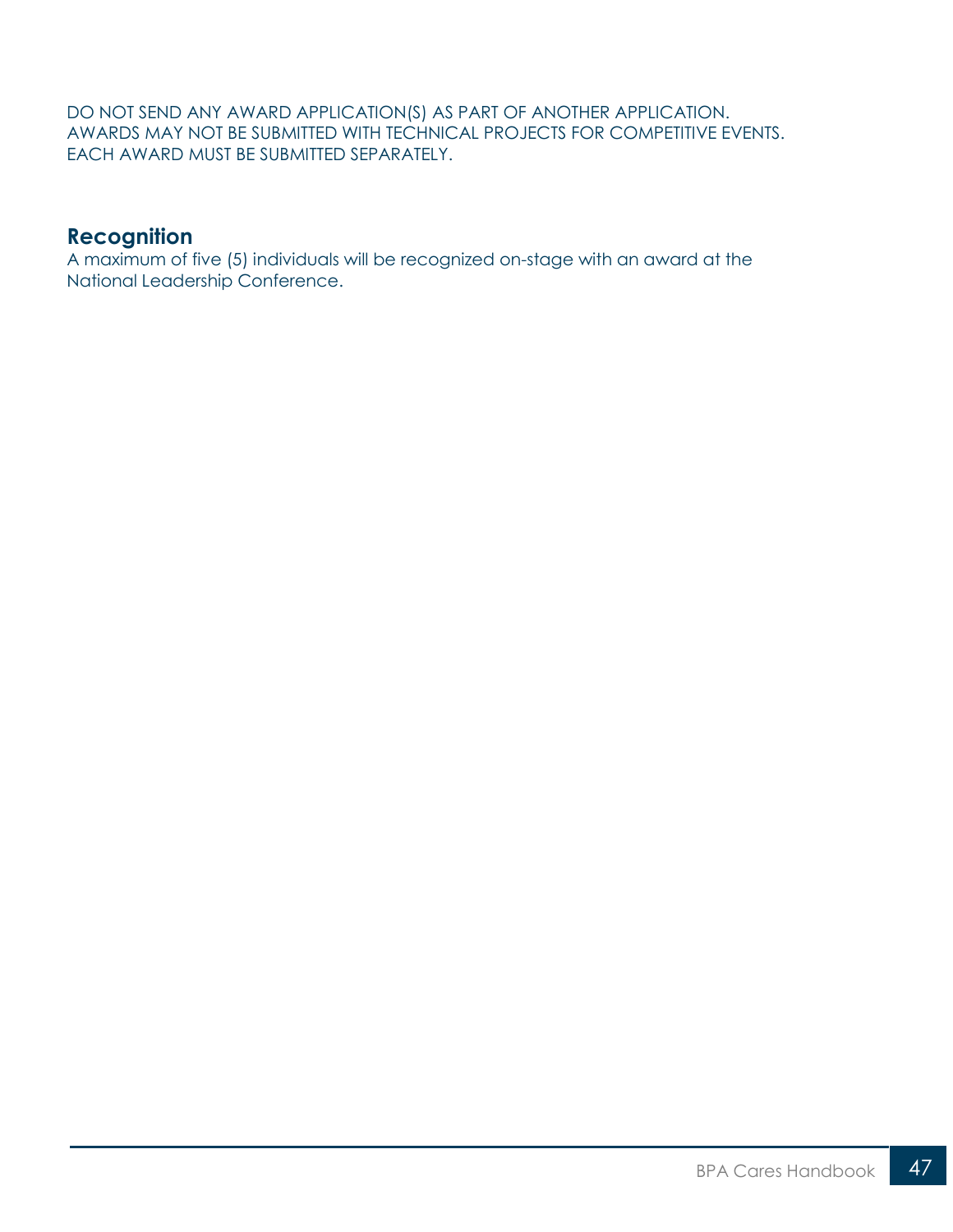DO NOT SEND ANY AWARD APPLICATION(S) AS PART OF ANOTHER APPLICATION. AWARDS MAY NOT BE SUBMITTED WITH TECHNICAL PROJECTS FOR COMPETITIVE EVENTS. EACH AWARD MUST BE SUBMITTED SEPARATELY.

#### **Recognition**

A maximum of five (5) individuals will be recognized on-stage with an award at the National Leadership Conference.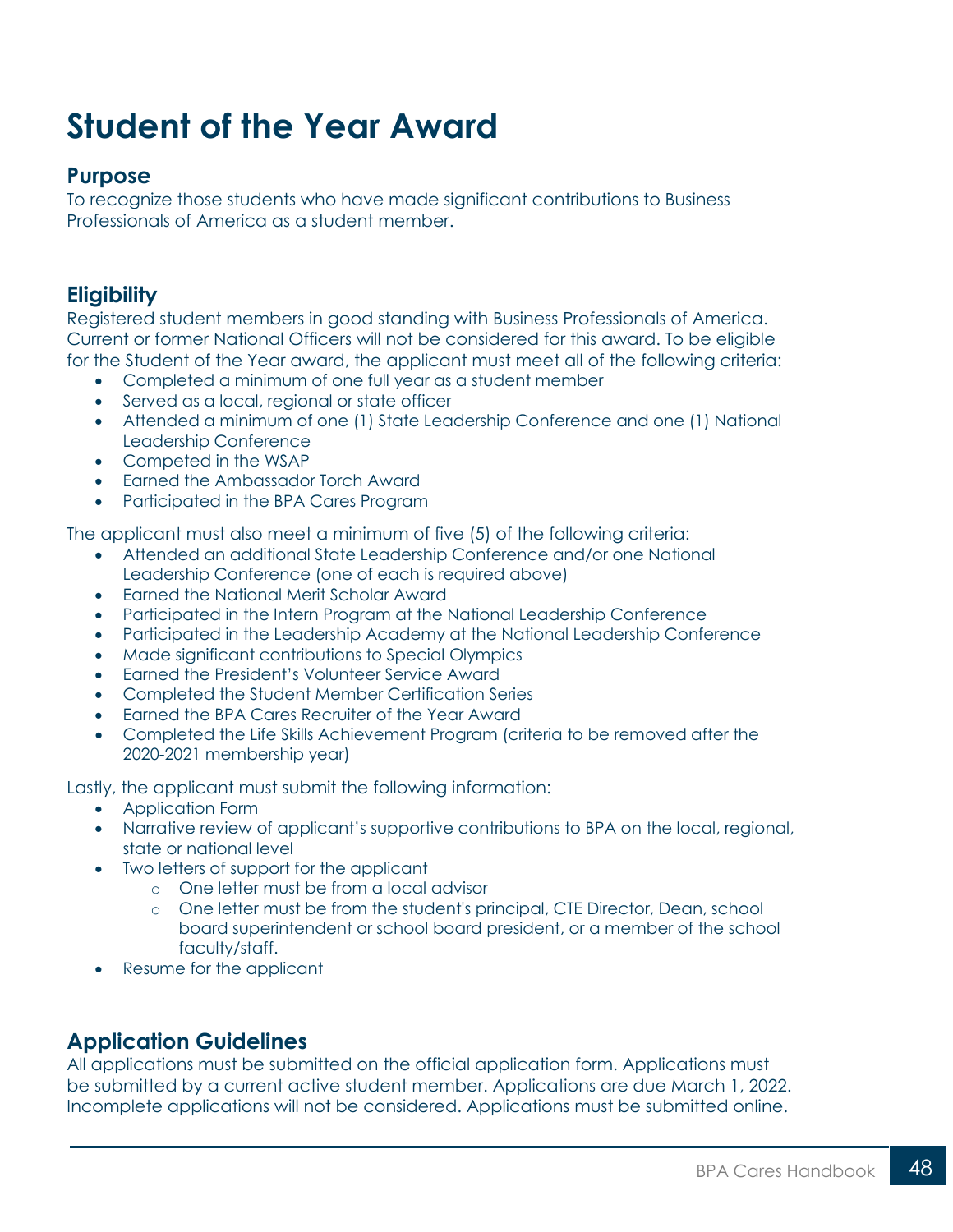## <span id="page-47-0"></span>**Student of the Year Award**

#### **Purpose**

To recognize those students who have made significant contributions to Business Professionals of America as a student member.

### **Eligibility**

Registered student members in good standing with Business Professionals of America. Current or former National Officers will not be considered for this award. To be eligible for the Student of the Year award, the applicant must meet all of the following criteria:

- Completed a minimum of one full year as a student member
- Served as a local, regional or state officer
- Attended a minimum of one (1) State Leadership Conference and one (1) National Leadership Conference
- Competed in the WSAP
- Earned the Ambassador Torch Award
- Participated in the BPA Cares Program

The applicant must also meet a minimum of five (5) of the following criteria:

- Attended an additional State Leadership Conference and/or one National Leadership Conference (one of each is required above)
- Earned the National Merit Scholar Award
- Participated in the Intern Program at the National Leadership Conference
- Participated in the Leadership Academy at the National Leadership Conference
- Made significant contributions to Special Olympics
- Earned the President's Volunteer Service Award
- Completed the Student Member Certification Series
- Earned the BPA Cares Recruiter of the Year Award
- Completed the Life Skills Achievement Program (criteria to be removed after the 2020-2021 membership year)

Lastly, the applicant must submit the following information:

- [Application Form](https://bpa.org/students/bpa-cares/student-of-the-year-award/)
- Narrative review of applicant's supportive contributions to BPA on the local, regional, state or national level
- Two letters of support for the applicant
	- o One letter must be from a local advisor
	- o One letter must be from the student's principal, CTE Director, Dean, school board superintendent or school board president, or a member of the school faculty/staff.
- Resume for the applicant

### **Application Guidelines**

All applications must be submitted on the official application form. Applications must be submitted by a current active student member. Applications are due March 1, 2022. Incomplete applications will not be considered. Applications must be submitted [online.](https://bpa.org/students/bpa-cares/student-of-the-year-award/)